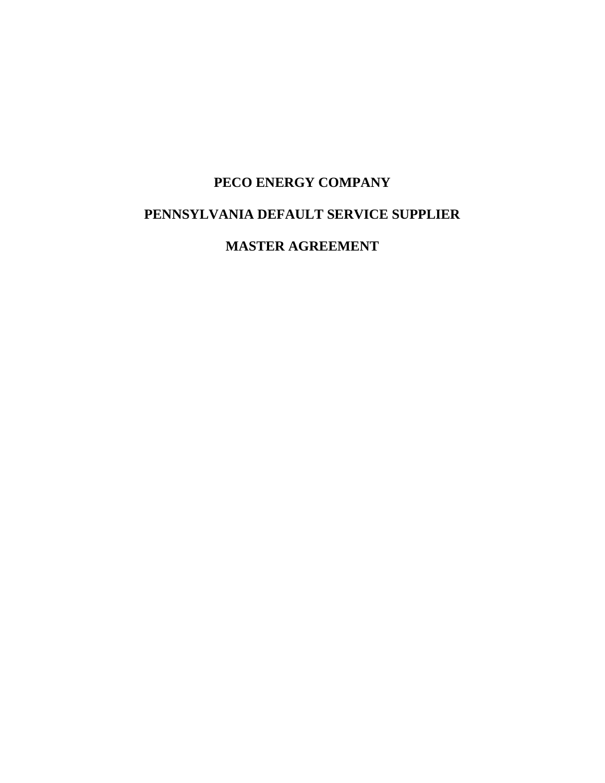# **PECO ENERGY COMPANY PENNSYLVANIA DEFAULT SERVICE SUPPLIER**

**MASTER AGREEMENT**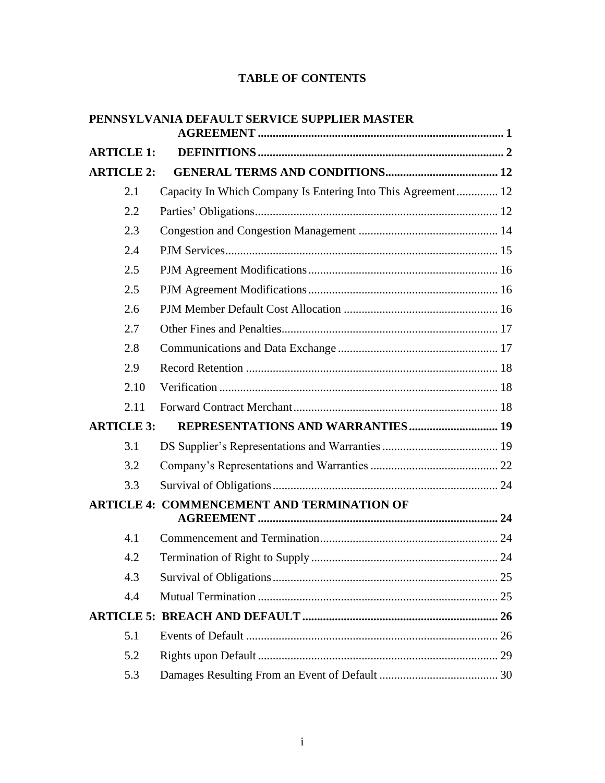# **TABLE OF CONTENTS**

|                   | PENNSYLVANIA DEFAULT SERVICE SUPPLIER MASTER                 |  |
|-------------------|--------------------------------------------------------------|--|
| <b>ARTICLE 1:</b> |                                                              |  |
| <b>ARTICLE 2:</b> |                                                              |  |
| 2.1               | Capacity In Which Company Is Entering Into This Agreement 12 |  |
| 2.2               |                                                              |  |
| 2.3               |                                                              |  |
| 2.4               |                                                              |  |
| 2.5               |                                                              |  |
| 2.5               |                                                              |  |
| 2.6               |                                                              |  |
| 2.7               |                                                              |  |
| 2.8               |                                                              |  |
| 2.9               |                                                              |  |
| 2.10              |                                                              |  |
| 2.11              |                                                              |  |
| <b>ARTICLE 3:</b> |                                                              |  |
| 3.1               |                                                              |  |
| 3.2               |                                                              |  |
| 3.3               |                                                              |  |
|                   | <b>ARTICLE 4: COMMENCEMENT AND TERMINATION OF</b>            |  |
| 4.1               |                                                              |  |
| 4.2               |                                                              |  |
| 4.3               |                                                              |  |
| 4.4               |                                                              |  |
|                   |                                                              |  |
| 5.1               |                                                              |  |
| 5.2               |                                                              |  |
| 5.3               |                                                              |  |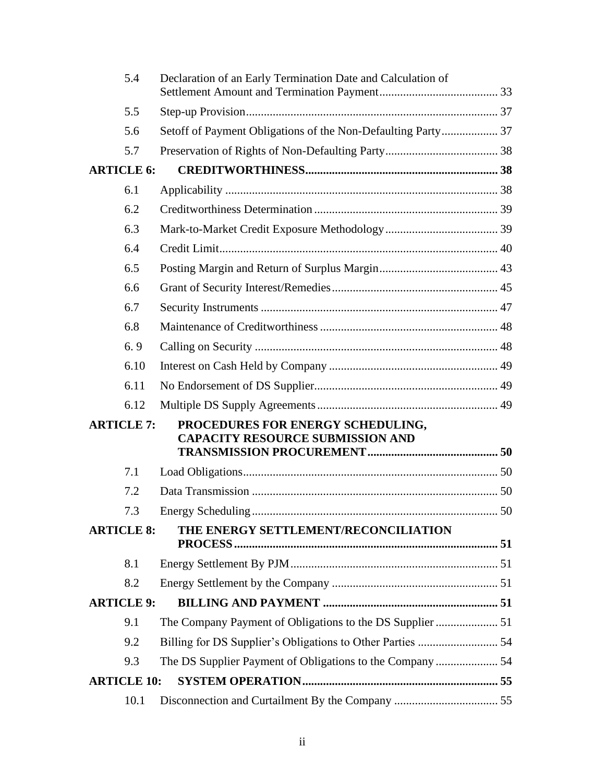|                    | 5.4  | Declaration of an Early Termination Date and Calculation of                  |  |
|--------------------|------|------------------------------------------------------------------------------|--|
|                    | 5.5  |                                                                              |  |
|                    | 5.6  | Setoff of Payment Obligations of the Non-Defaulting Party 37                 |  |
|                    | 5.7  |                                                                              |  |
| <b>ARTICLE 6:</b>  |      |                                                                              |  |
|                    | 6.1  |                                                                              |  |
|                    | 6.2  |                                                                              |  |
|                    | 6.3  |                                                                              |  |
|                    | 6.4  |                                                                              |  |
|                    | 6.5  |                                                                              |  |
|                    | 6.6  |                                                                              |  |
|                    | 6.7  |                                                                              |  |
|                    | 6.8  |                                                                              |  |
|                    | 6.9  |                                                                              |  |
|                    | 6.10 |                                                                              |  |
|                    | 6.11 |                                                                              |  |
|                    | 6.12 |                                                                              |  |
| <b>ARTICLE 7:</b>  |      | PROCEDURES FOR ENERGY SCHEDULING,<br><b>CAPACITY RESOURCE SUBMISSION AND</b> |  |
|                    | 7.1  |                                                                              |  |
|                    | 7.2  |                                                                              |  |
|                    | 7.3  |                                                                              |  |
| <b>ARTICLE 8:</b>  |      | THE ENERGY SETTLEMENT/RECONCILIATION                                         |  |
|                    | 8.1  |                                                                              |  |
|                    | 8.2  |                                                                              |  |
| <b>ARTICLE 9:</b>  |      |                                                                              |  |
|                    | 9.1  |                                                                              |  |
|                    | 9.2  |                                                                              |  |
|                    | 9.3  | The DS Supplier Payment of Obligations to the Company  54                    |  |
| <b>ARTICLE 10:</b> |      |                                                                              |  |
|                    | 10.1 |                                                                              |  |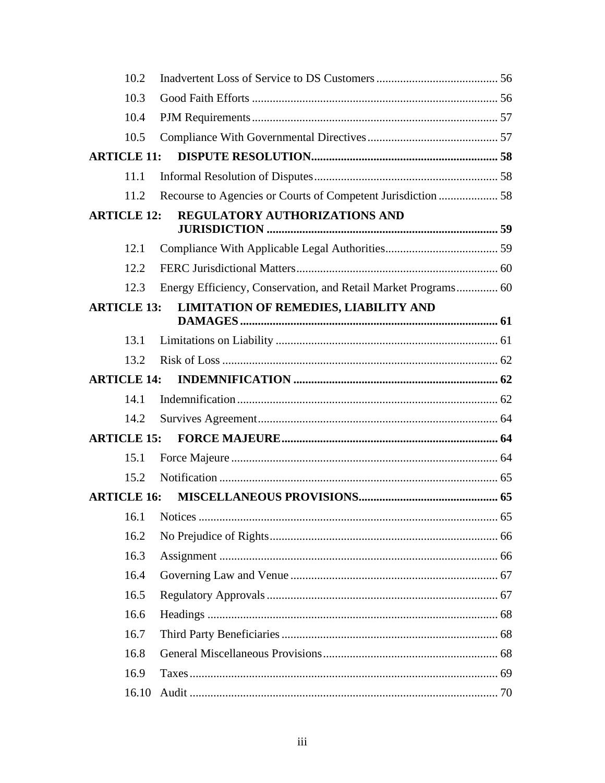|                    | 10.2  |                                                                |  |
|--------------------|-------|----------------------------------------------------------------|--|
|                    | 10.3  |                                                                |  |
|                    | 10.4  |                                                                |  |
|                    | 10.5  |                                                                |  |
| <b>ARTICLE 11:</b> |       |                                                                |  |
|                    | 11.1  |                                                                |  |
|                    | 11.2  | Recourse to Agencies or Courts of Competent Jurisdiction  58   |  |
| <b>ARTICLE 12:</b> |       | REGULATORY AUTHORIZATIONS AND                                  |  |
|                    | 12.1  |                                                                |  |
|                    | 12.2  |                                                                |  |
|                    | 12.3  | Energy Efficiency, Conservation, and Retail Market Programs 60 |  |
| <b>ARTICLE 13:</b> |       | <b>LIMITATION OF REMEDIES, LIABILITY AND</b>                   |  |
|                    |       |                                                                |  |
|                    | 13.1  |                                                                |  |
|                    | 13.2  |                                                                |  |
| <b>ARTICLE 14:</b> |       |                                                                |  |
|                    | 14.1  |                                                                |  |
|                    | 14.2  |                                                                |  |
| <b>ARTICLE 15:</b> |       |                                                                |  |
|                    | 15.1  |                                                                |  |
|                    | 15.2  |                                                                |  |
| <b>ARTICLE 16:</b> |       |                                                                |  |
|                    |       |                                                                |  |
|                    | 16.2  |                                                                |  |
|                    | 16.3  |                                                                |  |
|                    | 16.4  |                                                                |  |
|                    | 16.5  |                                                                |  |
|                    | 16.6  |                                                                |  |
|                    | 16.7  |                                                                |  |
|                    | 16.8  |                                                                |  |
|                    | 16.9  |                                                                |  |
|                    | 16.10 |                                                                |  |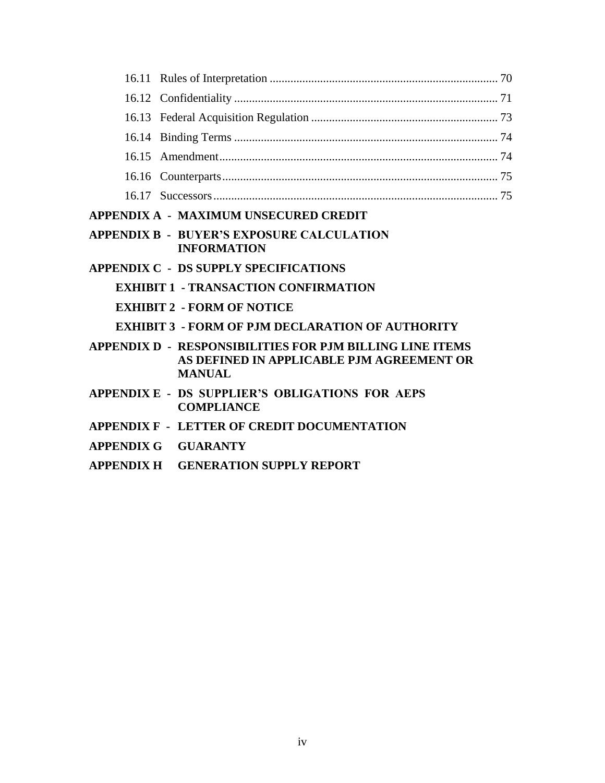| APPENDIX A - MAXIMUM UNSECURED CREDIT                                                                                          |  |
|--------------------------------------------------------------------------------------------------------------------------------|--|
| <b>APPENDIX B - BUYER'S EXPOSURE CALCULATION</b><br><b>INFORMATION</b>                                                         |  |
| <b>APPENDIX C - DS SUPPLY SPECIFICATIONS</b>                                                                                   |  |
| <b>EXHIBIT 1 - TRANSACTION CONFIRMATION</b>                                                                                    |  |
| <b>EXHIBIT 2 - FORM OF NOTICE</b>                                                                                              |  |
| <b>EXHIBIT 3 - FORM OF PJM DECLARATION OF AUTHORITY</b>                                                                        |  |
| <b>APPENDIX D - RESPONSIBILITIES FOR P.IM BILLING LINE ITEMS</b><br>AS DEFINED IN APPLICABLE PJM AGREEMENT OR<br><b>MANUAL</b> |  |
| APPENDIX E - DS SUPPLIER'S OBLIGATIONS FOR AEPS<br><b>COMPLIANCE</b>                                                           |  |
| <b>APPENDIX F - LETTER OF CREDIT DOCUMENTATION</b>                                                                             |  |
| APPENDIX G GUARANTY                                                                                                            |  |
| APPENDIX H GENERATION SUPPLY REPORT                                                                                            |  |
|                                                                                                                                |  |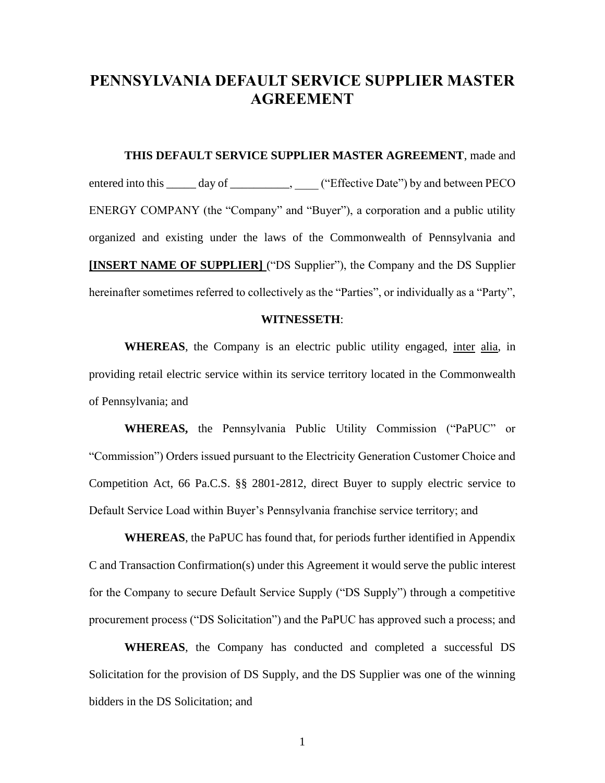# **PENNSYLVANIA DEFAULT SERVICE SUPPLIER MASTER AGREEMENT**

**THIS DEFAULT SERVICE SUPPLIER MASTER AGREEMENT**, made and entered into this \_\_\_\_\_ day of \_\_\_\_\_\_\_\_\_\_, \_\_\_\_ ("Effective Date") by and between PECO ENERGY COMPANY (the "Company" and "Buyer"), a corporation and a public utility organized and existing under the laws of the Commonwealth of Pennsylvania and **[INSERT NAME OF SUPPLIER]** ("DS Supplier"), the Company and the DS Supplier hereinafter sometimes referred to collectively as the "Parties", or individually as a "Party",

#### **WITNESSETH**:

WHEREAS, the Company is an electric public utility engaged, inter alia, in providing retail electric service within its service territory located in the Commonwealth of Pennsylvania; and

**WHEREAS,** the Pennsylvania Public Utility Commission ("PaPUC" or "Commission") Orders issued pursuant to the Electricity Generation Customer Choice and Competition Act, 66 Pa.C.S. §§ 2801-2812, direct Buyer to supply electric service to Default Service Load within Buyer's Pennsylvania franchise service territory; and

**WHEREAS**, the PaPUC has found that, for periods further identified in Appendix C and Transaction Confirmation(s) under this Agreement it would serve the public interest for the Company to secure Default Service Supply ("DS Supply") through a competitive procurement process ("DS Solicitation") and the PaPUC has approved such a process; and

**WHEREAS**, the Company has conducted and completed a successful DS Solicitation for the provision of DS Supply, and the DS Supplier was one of the winning bidders in the DS Solicitation; and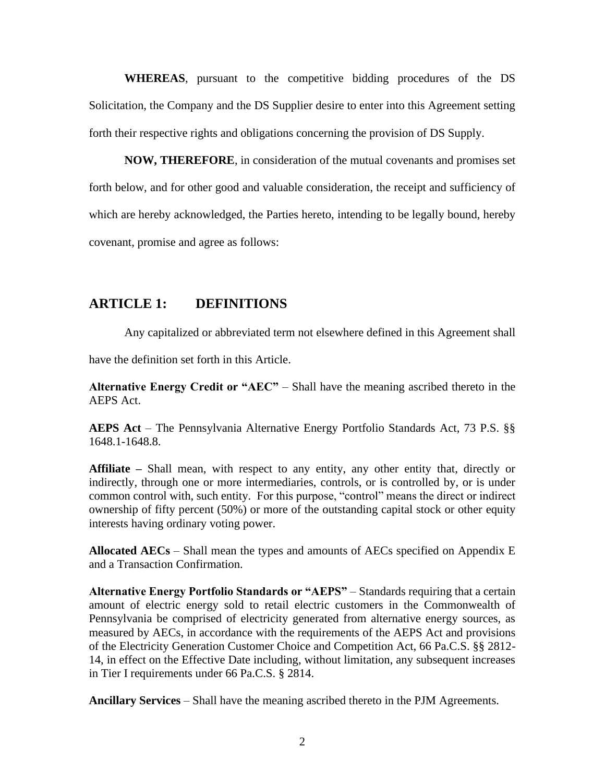**WHEREAS**, pursuant to the competitive bidding procedures of the DS Solicitation, the Company and the DS Supplier desire to enter into this Agreement setting forth their respective rights and obligations concerning the provision of DS Supply.

**NOW, THEREFORE**, in consideration of the mutual covenants and promises set forth below, and for other good and valuable consideration, the receipt and sufficiency of which are hereby acknowledged, the Parties hereto, intending to be legally bound, hereby covenant, promise and agree as follows:

# **ARTICLE 1: DEFINITIONS**

Any capitalized or abbreviated term not elsewhere defined in this Agreement shall

have the definition set forth in this Article.

**Alternative Energy Credit or "AEC"** – Shall have the meaning ascribed thereto in the AEPS Act.

**AEPS Act** – The Pennsylvania Alternative Energy Portfolio Standards Act, 73 P.S. §§ 1648.1-1648.8.

**Affiliate –** Shall mean, with respect to any entity, any other entity that, directly or indirectly, through one or more intermediaries, controls, or is controlled by, or is under common control with, such entity. For this purpose, "control" means the direct or indirect ownership of fifty percent (50%) or more of the outstanding capital stock or other equity interests having ordinary voting power.

**Allocated AECs** – Shall mean the types and amounts of AECs specified on Appendix E and a Transaction Confirmation.

**Alternative Energy Portfolio Standards or "AEPS"** – Standards requiring that a certain amount of electric energy sold to retail electric customers in the Commonwealth of Pennsylvania be comprised of electricity generated from alternative energy sources, as measured by AECs, in accordance with the requirements of the AEPS Act and provisions of the Electricity Generation Customer Choice and Competition Act, 66 Pa.C.S. §§ 2812- 14, in effect on the Effective Date including, without limitation, any subsequent increases in Tier I requirements under 66 Pa.C.S. § 2814.

**Ancillary Services** – Shall have the meaning ascribed thereto in the PJM Agreements.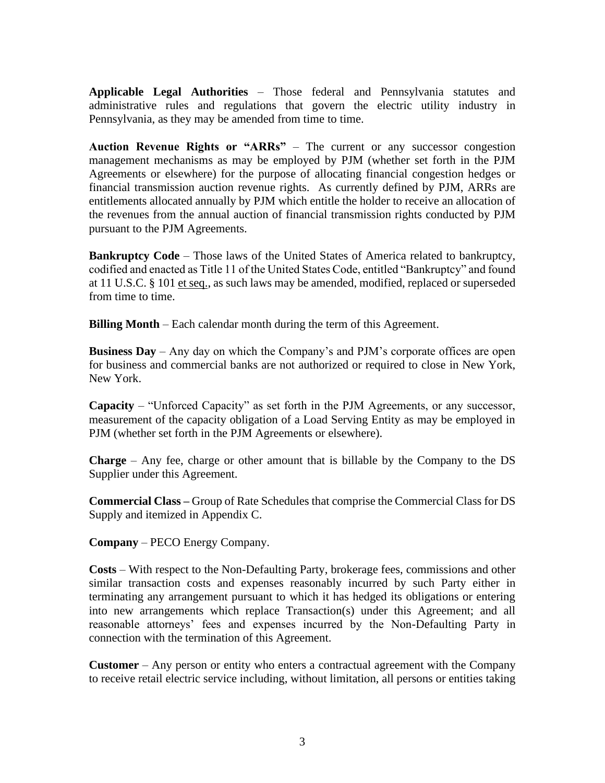**Applicable Legal Authorities** – Those federal and Pennsylvania statutes and administrative rules and regulations that govern the electric utility industry in Pennsylvania, as they may be amended from time to time.

**Auction Revenue Rights or "ARRs"** – The current or any successor congestion management mechanisms as may be employed by PJM (whether set forth in the PJM Agreements or elsewhere) for the purpose of allocating financial congestion hedges or financial transmission auction revenue rights. As currently defined by PJM, ARRs are entitlements allocated annually by PJM which entitle the holder to receive an allocation of the revenues from the annual auction of financial transmission rights conducted by PJM pursuant to the PJM Agreements.

**Bankruptcy Code** – Those laws of the United States of America related to bankruptcy, codified and enacted as Title 11 of the United States Code, entitled "Bankruptcy" and found at 11 U.S.C. § 101 et seq., as such laws may be amended, modified, replaced or superseded from time to time.

**Billing Month** – Each calendar month during the term of this Agreement.

**Business Day** – Any day on which the Company's and PJM's corporate offices are open for business and commercial banks are not authorized or required to close in New York, New York.

**Capacity** – "Unforced Capacity" as set forth in the PJM Agreements, or any successor, measurement of the capacity obligation of a Load Serving Entity as may be employed in PJM (whether set forth in the PJM Agreements or elsewhere).

**Charge** – Any fee, charge or other amount that is billable by the Company to the DS Supplier under this Agreement.

**Commercial Class –** Group of Rate Schedules that comprise the Commercial Class for DS Supply and itemized in Appendix C.

**Company** – PECO Energy Company.

**Costs** – With respect to the Non-Defaulting Party, brokerage fees, commissions and other similar transaction costs and expenses reasonably incurred by such Party either in terminating any arrangement pursuant to which it has hedged its obligations or entering into new arrangements which replace Transaction(s) under this Agreement; and all reasonable attorneys' fees and expenses incurred by the Non-Defaulting Party in connection with the termination of this Agreement.

**Customer** – Any person or entity who enters a contractual agreement with the Company to receive retail electric service including, without limitation, all persons or entities taking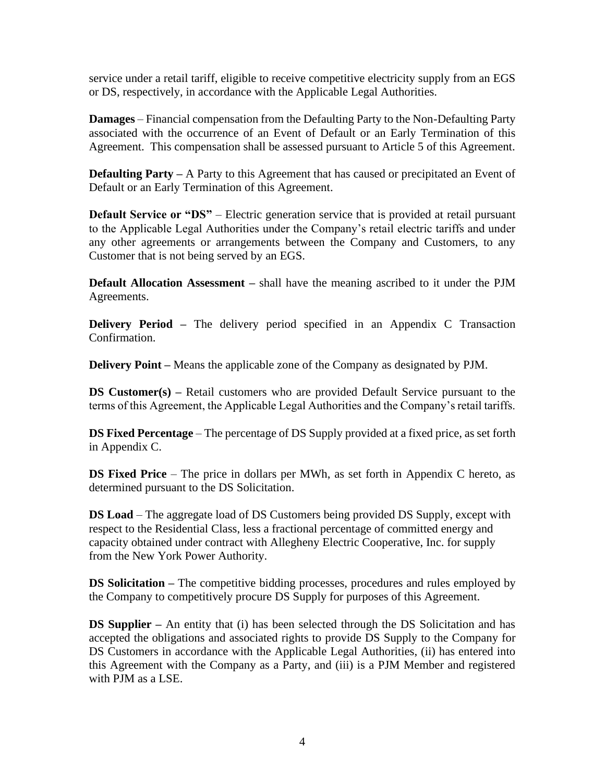service under a retail tariff, eligible to receive competitive electricity supply from an EGS or DS, respectively, in accordance with the Applicable Legal Authorities.

**Damages** – Financial compensation from the Defaulting Party to the Non-Defaulting Party associated with the occurrence of an Event of Default or an Early Termination of this Agreement. This compensation shall be assessed pursuant to Article 5 of this Agreement.

**Defaulting Party** – A Party to this Agreement that has caused or precipitated an Event of Default or an Early Termination of this Agreement.

**Default Service or "DS"** – Electric generation service that is provided at retail pursuant to the Applicable Legal Authorities under the Company's retail electric tariffs and under any other agreements or arrangements between the Company and Customers, to any Customer that is not being served by an EGS.

**Default Allocation Assessment –** shall have the meaning ascribed to it under the PJM Agreements.

**Delivery Period –** The delivery period specified in an Appendix C Transaction Confirmation.

**Delivery Point –** Means the applicable zone of the Company as designated by PJM.

**DS Customer(s) –** Retail customers who are provided Default Service pursuant to the terms of this Agreement, the Applicable Legal Authorities and the Company's retail tariffs.

**DS Fixed Percentage** – The percentage of DS Supply provided at a fixed price, as set forth in Appendix C.

**DS Fixed Price** – The price in dollars per MWh, as set forth in Appendix C hereto, as determined pursuant to the DS Solicitation.

**DS Load** – The aggregate load of DS Customers being provided DS Supply, except with respect to the Residential Class, less a fractional percentage of committed energy and capacity obtained under contract with Allegheny Electric Cooperative, Inc. for supply from the New York Power Authority.

**DS Solicitation** – The competitive bidding processes, procedures and rules employed by the Company to competitively procure DS Supply for purposes of this Agreement.

**DS Supplier** – An entity that (i) has been selected through the DS Solicitation and has accepted the obligations and associated rights to provide DS Supply to the Company for DS Customers in accordance with the Applicable Legal Authorities, (ii) has entered into this Agreement with the Company as a Party, and (iii) is a PJM Member and registered with PJM as a LSE.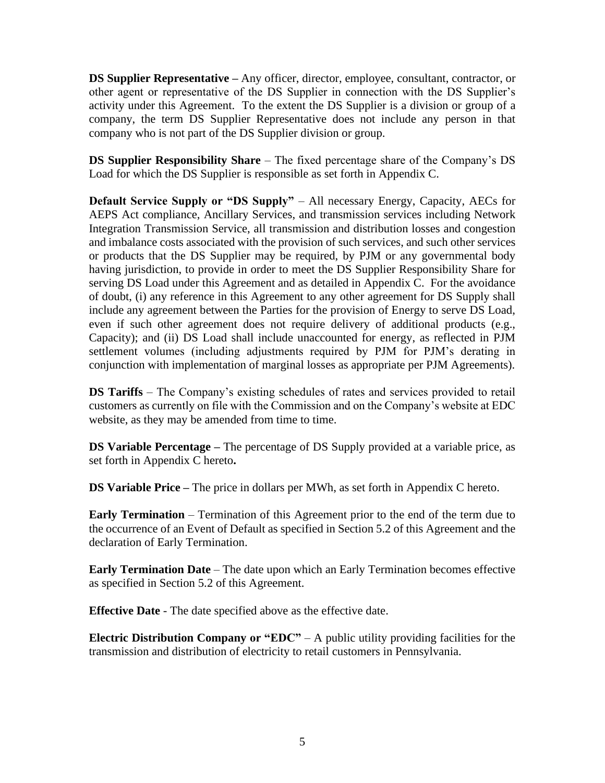**DS Supplier Representative** – Any officer, director, employee, consultant, contractor, or other agent or representative of the DS Supplier in connection with the DS Supplier's activity under this Agreement. To the extent the DS Supplier is a division or group of a company, the term DS Supplier Representative does not include any person in that company who is not part of the DS Supplier division or group.

**DS Supplier Responsibility Share** – The fixed percentage share of the Company's DS Load for which the DS Supplier is responsible as set forth in Appendix C.

**Default Service Supply or "DS Supply"** – All necessary Energy, Capacity, AECs for AEPS Act compliance, Ancillary Services, and transmission services including Network Integration Transmission Service, all transmission and distribution losses and congestion and imbalance costs associated with the provision of such services, and such other services or products that the DS Supplier may be required, by PJM or any governmental body having jurisdiction, to provide in order to meet the DS Supplier Responsibility Share for serving DS Load under this Agreement and as detailed in Appendix C. For the avoidance of doubt, (i) any reference in this Agreement to any other agreement for DS Supply shall include any agreement between the Parties for the provision of Energy to serve DS Load, even if such other agreement does not require delivery of additional products (e.g., Capacity); and (ii) DS Load shall include unaccounted for energy, as reflected in PJM settlement volumes (including adjustments required by PJM for PJM's derating in conjunction with implementation of marginal losses as appropriate per PJM Agreements).

**DS Tariffs** – The Company's existing schedules of rates and services provided to retail customers as currently on file with the Commission and on the Company's website at EDC website, as they may be amended from time to time.

**DS Variable Percentage –** The percentage of DS Supply provided at a variable price, as set forth in Appendix C hereto**.**

**DS Variable Price –** The price in dollars per MWh, as set forth in Appendix C hereto.

**Early Termination** – Termination of this Agreement prior to the end of the term due to the occurrence of an Event of Default as specified in Section 5.2 of this Agreement and the declaration of Early Termination.

**Early Termination Date** – The date upon which an Early Termination becomes effective as specified in Section 5.2 of this Agreement.

**Effective Date** - The date specified above as the effective date.

**Electric Distribution Company or "EDC"** – A public utility providing facilities for the transmission and distribution of electricity to retail customers in Pennsylvania.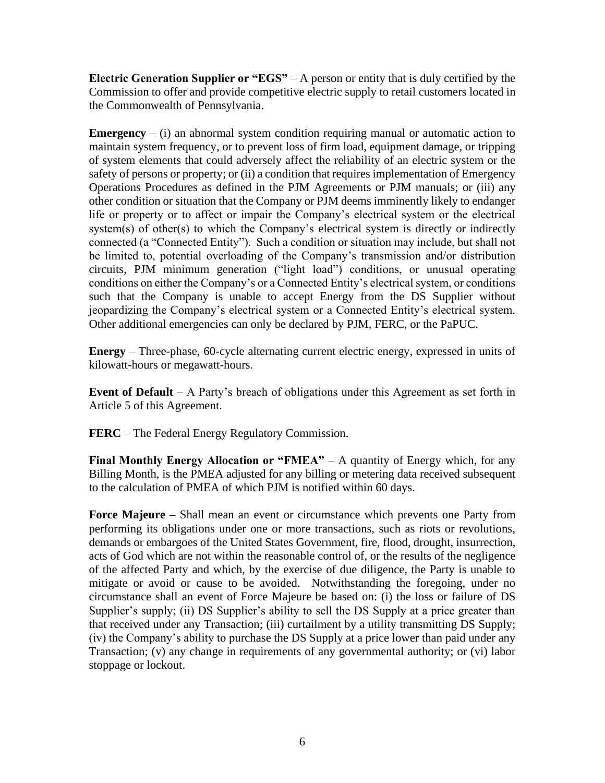**Electric Generation Supplier or "EGS"** – A person or entity that is duly certified by the Commission to offer and provide competitive electric supply to retail customers located in the Commonwealth of Pennsylvania.

**Emergency**  $-$  (i) an abnormal system condition requiring manual or automatic action to maintain system frequency, or to prevent loss of firm load, equipment damage, or tripping of system elements that could adversely affect the reliability of an electric system or the safety of persons or property; or (ii) a condition that requires implementation of Emergency Operations Procedures as defined in the PJM Agreements or PJM manuals; or (iii) any other condition or situation that the Company or PJM deems imminently likely to endanger life or property or to affect or impair the Company's electrical system or the electrical system(s) of other(s) to which the Company's electrical system is directly or indirectly connected (a "Connected Entity"). Such a condition or situation may include, but shall not be limited to, potential overloading of the Company's transmission and/or distribution circuits, PJM minimum generation ("light load") conditions, or unusual operating conditions on either the Company's or a Connected Entity's electrical system, or conditions such that the Company is unable to accept Energy from the DS Supplier without jeopardizing the Company's electrical system or a Connected Entity's electrical system. Other additional emergencies can only be declared by PJM, FERC, or the PaPUC.

**Energy** – Three-phase, 60-cycle alternating current electric energy, expressed in units of kilowatt-hours or megawatt-hours.

**Event of Default** – A Party's breach of obligations under this Agreement as set forth in Article 5 of this Agreement.

**FERC** – The Federal Energy Regulatory Commission.

**Final Monthly Energy Allocation or "FMEA"** – A quantity of Energy which, for any Billing Month, is the PMEA adjusted for any billing or metering data received subsequent to the calculation of PMEA of which PJM is notified within 60 days.

**Force Majeure –** Shall mean an event or circumstance which prevents one Party from performing its obligations under one or more transactions, such as riots or revolutions, demands or embargoes of the United States Government, fire, flood, drought, insurrection, acts of God which are not within the reasonable control of, or the results of the negligence of the affected Party and which, by the exercise of due diligence, the Party is unable to mitigate or avoid or cause to be avoided. Notwithstanding the foregoing, under no circumstance shall an event of Force Majeure be based on: (i) the loss or failure of DS Supplier's supply; (ii) DS Supplier's ability to sell the DS Supply at a price greater than that received under any Transaction; (iii) curtailment by a utility transmitting DS Supply; (iv) the Company's ability to purchase the DS Supply at a price lower than paid under any Transaction; (v) any change in requirements of any governmental authority; or (vi) labor stoppage or lockout.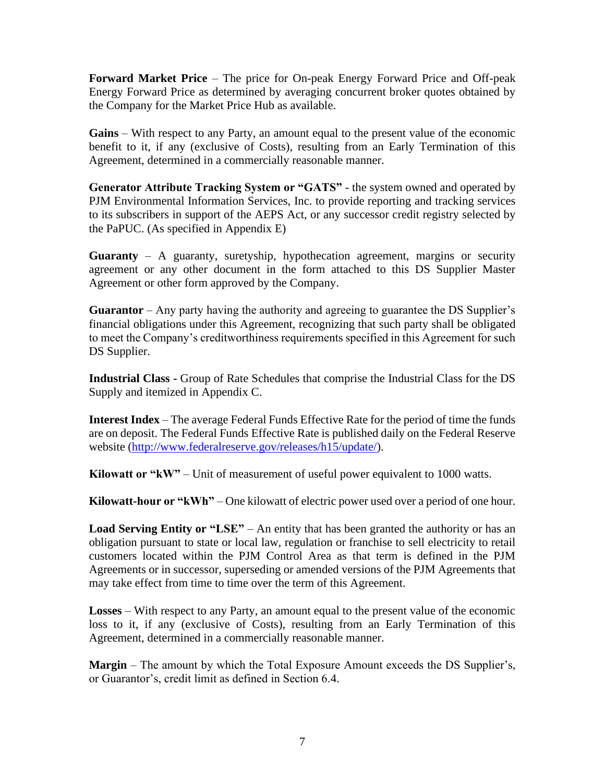**Forward Market Price** – The price for On-peak Energy Forward Price and Off-peak Energy Forward Price as determined by averaging concurrent broker quotes obtained by the Company for the Market Price Hub as available.

**Gains** – With respect to any Party, an amount equal to the present value of the economic benefit to it, if any (exclusive of Costs), resulting from an Early Termination of this Agreement, determined in a commercially reasonable manner.

**Generator Attribute Tracking System or "GATS"** - the system owned and operated by PJM Environmental Information Services, Inc. to provide reporting and tracking services to its subscribers in support of the AEPS Act, or any successor credit registry selected by the PaPUC. (As specified in Appendix E)

**Guaranty** – A guaranty, suretyship, hypothecation agreement, margins or security agreement or any other document in the form attached to this DS Supplier Master Agreement or other form approved by the Company.

**Guarantor** – Any party having the authority and agreeing to guarantee the DS Supplier's financial obligations under this Agreement, recognizing that such party shall be obligated to meet the Company's creditworthiness requirements specified in this Agreement for such DS Supplier.

**Industrial Class -** Group of Rate Schedules that comprise the Industrial Class for the DS Supply and itemized in Appendix C.

**Interest Index** – The average Federal Funds Effective Rate for the period of time the funds are on deposit. The Federal Funds Effective Rate is published daily on the Federal Reserve website [\(http://www.federalreserve.gov/releases/h15/update/\)](http://www.federalreserve.gov/releases/h15/update/).

**Kilowatt or "kW"** – Unit of measurement of useful power equivalent to 1000 watts.

**Kilowatt-hour or "kWh"** – One kilowatt of electric power used over a period of one hour.

**Load Serving Entity or "LSE"** – An entity that has been granted the authority or has an obligation pursuant to state or local law, regulation or franchise to sell electricity to retail customers located within the PJM Control Area as that term is defined in the PJM Agreements or in successor, superseding or amended versions of the PJM Agreements that may take effect from time to time over the term of this Agreement.

**Losses** – With respect to any Party, an amount equal to the present value of the economic loss to it, if any (exclusive of Costs), resulting from an Early Termination of this Agreement, determined in a commercially reasonable manner.

**Margin** – The amount by which the Total Exposure Amount exceeds the DS Supplier's, or Guarantor's, credit limit as defined in Section 6.4.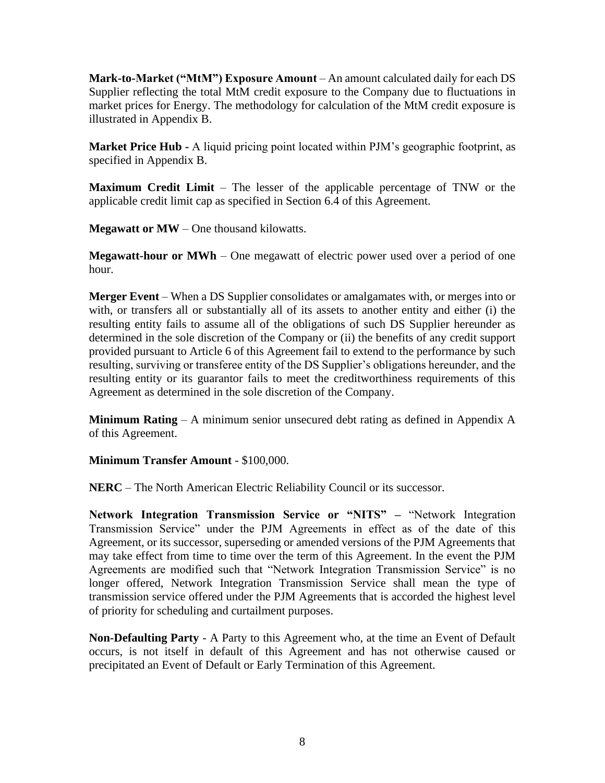**Mark-to-Market ("MtM") Exposure Amount** – An amount calculated daily for each DS Supplier reflecting the total MtM credit exposure to the Company due to fluctuations in market prices for Energy. The methodology for calculation of the MtM credit exposure is illustrated in Appendix B.

**Market Price Hub -** A liquid pricing point located within PJM's geographic footprint, as specified in Appendix B.

**Maximum Credit Limit** – The lesser of the applicable percentage of TNW or the applicable credit limit cap as specified in Section 6.4 of this Agreement.

**Megawatt or MW** – One thousand kilowatts.

**Megawatt-hour or MWh** – One megawatt of electric power used over a period of one hour.

**Merger Event** – When a DS Supplier consolidates or amalgamates with, or merges into or with, or transfers all or substantially all of its assets to another entity and either (i) the resulting entity fails to assume all of the obligations of such DS Supplier hereunder as determined in the sole discretion of the Company or (ii) the benefits of any credit support provided pursuant to Article 6 of this Agreement fail to extend to the performance by such resulting, surviving or transferee entity of the DS Supplier's obligations hereunder, and the resulting entity or its guarantor fails to meet the creditworthiness requirements of this Agreement as determined in the sole discretion of the Company.

**Minimum Rating** – A minimum senior unsecured debt rating as defined in Appendix A of this Agreement.

**Minimum Transfer Amount** - \$100,000.

**NERC** – The North American Electric Reliability Council or its successor.

**Network Integration Transmission Service or "NITS" –** "Network Integration Transmission Service" under the PJM Agreements in effect as of the date of this Agreement, or its successor, superseding or amended versions of the PJM Agreements that may take effect from time to time over the term of this Agreement. In the event the PJM Agreements are modified such that "Network Integration Transmission Service" is no longer offered, Network Integration Transmission Service shall mean the type of transmission service offered under the PJM Agreements that is accorded the highest level of priority for scheduling and curtailment purposes.

**Non-Defaulting Party** - A Party to this Agreement who, at the time an Event of Default occurs, is not itself in default of this Agreement and has not otherwise caused or precipitated an Event of Default or Early Termination of this Agreement.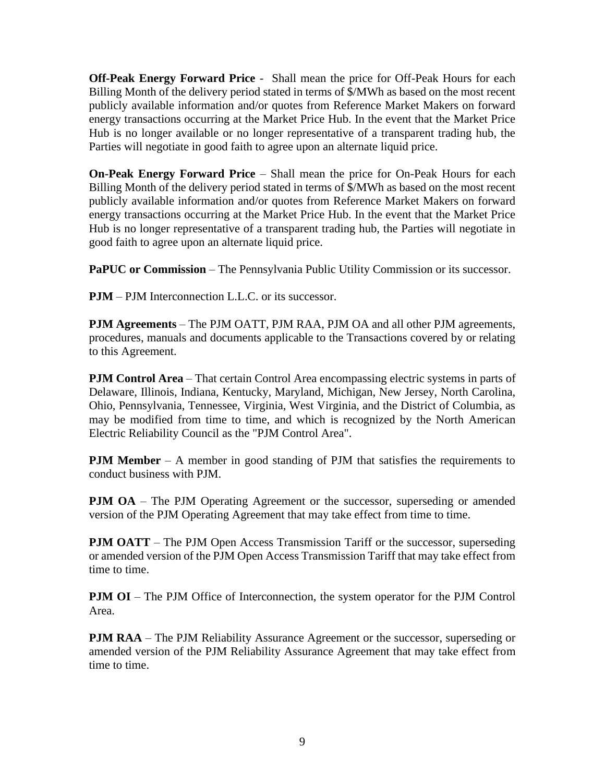**Off-Peak Energy Forward Price** - Shall mean the price for Off-Peak Hours for each Billing Month of the delivery period stated in terms of \$/MWh as based on the most recent publicly available information and/or quotes from Reference Market Makers on forward energy transactions occurring at the Market Price Hub. In the event that the Market Price Hub is no longer available or no longer representative of a transparent trading hub, the Parties will negotiate in good faith to agree upon an alternate liquid price.

**On-Peak Energy Forward Price** – Shall mean the price for On-Peak Hours for each Billing Month of the delivery period stated in terms of \$/MWh as based on the most recent publicly available information and/or quotes from Reference Market Makers on forward energy transactions occurring at the Market Price Hub. In the event that the Market Price Hub is no longer representative of a transparent trading hub, the Parties will negotiate in good faith to agree upon an alternate liquid price.

**PaPUC or Commission** – The Pennsylvania Public Utility Commission or its successor.

**PJM** – PJM Interconnection L.L.C. or its successor.

**PJM Agreements** – The PJM OATT, PJM RAA, PJM OA and all other PJM agreements, procedures, manuals and documents applicable to the Transactions covered by or relating to this Agreement.

**PJM Control Area** – That certain Control Area encompassing electric systems in parts of Delaware, Illinois, Indiana, Kentucky, Maryland, Michigan, New Jersey, North Carolina, Ohio, Pennsylvania, Tennessee, Virginia, West Virginia, and the District of Columbia, as may be modified from time to time, and which is recognized by the North American Electric Reliability Council as the "PJM Control Area".

**PJM Member** – A member in good standing of PJM that satisfies the requirements to conduct business with PJM.

**PJM OA** – The PJM Operating Agreement or the successor, superseding or amended version of the PJM Operating Agreement that may take effect from time to time.

**PJM OATT** – The PJM Open Access Transmission Tariff or the successor, superseding or amended version of the PJM Open Access Transmission Tariff that may take effect from time to time.

**PJM OI** – The PJM Office of Interconnection, the system operator for the PJM Control Area.

**PJM RAA** – The PJM Reliability Assurance Agreement or the successor, superseding or amended version of the PJM Reliability Assurance Agreement that may take effect from time to time.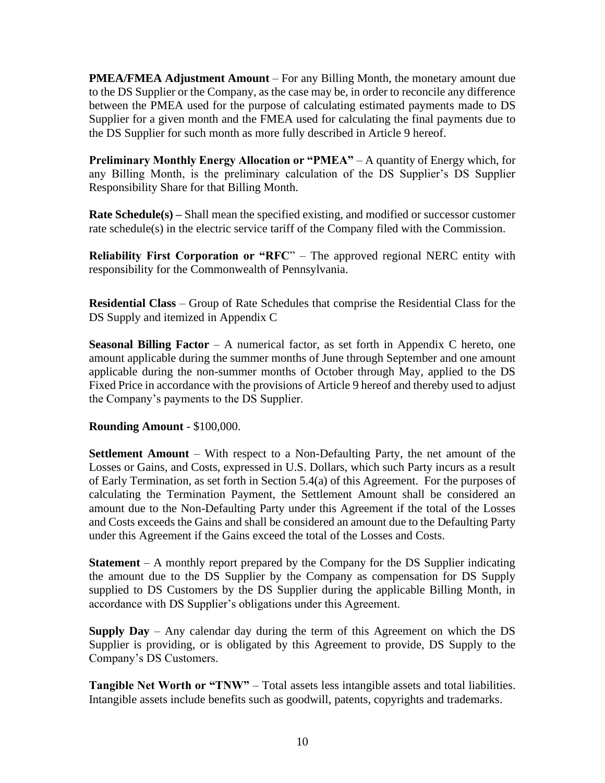**PMEA/FMEA Adjustment Amount** – For any Billing Month, the monetary amount due to the DS Supplier or the Company, as the case may be, in order to reconcile any difference between the PMEA used for the purpose of calculating estimated payments made to DS Supplier for a given month and the FMEA used for calculating the final payments due to the DS Supplier for such month as more fully described in Article 9 hereof.

**Preliminary Monthly Energy Allocation or "PMEA"** – A quantity of Energy which, for any Billing Month, is the preliminary calculation of the DS Supplier's DS Supplier Responsibility Share for that Billing Month.

**Rate Schedule(s) –** Shall mean the specified existing, and modified or successor customer rate schedule(s) in the electric service tariff of the Company filed with the Commission.

**Reliability First Corporation or "RFC"** – The approved regional NERC entity with responsibility for the Commonwealth of Pennsylvania.

**Residential Class** – Group of Rate Schedules that comprise the Residential Class for the DS Supply and itemized in Appendix C

**Seasonal Billing Factor** – A numerical factor, as set forth in Appendix C hereto, one amount applicable during the summer months of June through September and one amount applicable during the non-summer months of October through May, applied to the DS Fixed Price in accordance with the provisions of Article 9 hereof and thereby used to adjust the Company's payments to the DS Supplier.

# **Rounding Amount** - \$100,000.

**Settlement Amount** – With respect to a Non-Defaulting Party, the net amount of the Losses or Gains, and Costs, expressed in U.S. Dollars, which such Party incurs as a result of Early Termination, as set forth in Section 5.4(a) of this Agreement. For the purposes of calculating the Termination Payment, the Settlement Amount shall be considered an amount due to the Non-Defaulting Party under this Agreement if the total of the Losses and Costs exceeds the Gains and shall be considered an amount due to the Defaulting Party under this Agreement if the Gains exceed the total of the Losses and Costs.

**Statement** – A monthly report prepared by the Company for the DS Supplier indicating the amount due to the DS Supplier by the Company as compensation for DS Supply supplied to DS Customers by the DS Supplier during the applicable Billing Month, in accordance with DS Supplier's obligations under this Agreement.

**Supply Day** – Any calendar day during the term of this Agreement on which the DS Supplier is providing, or is obligated by this Agreement to provide, DS Supply to the Company's DS Customers.

**Tangible Net Worth or "TNW"** – Total assets less intangible assets and total liabilities. Intangible assets include benefits such as goodwill, patents, copyrights and trademarks.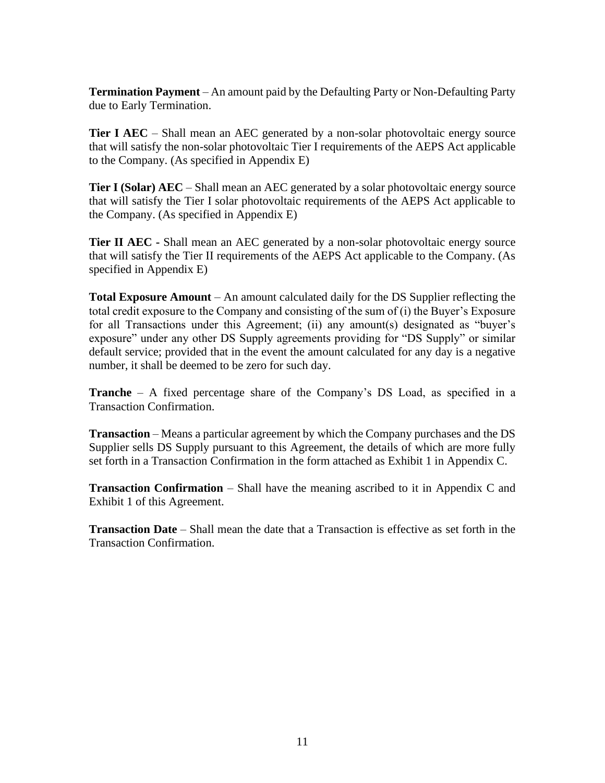**Termination Payment** – An amount paid by the Defaulting Party or Non-Defaulting Party due to Early Termination.

**Tier I AEC** – Shall mean an AEC generated by a non-solar photovoltaic energy source that will satisfy the non-solar photovoltaic Tier I requirements of the AEPS Act applicable to the Company. (As specified in Appendix E)

**Tier I (Solar) AEC** – Shall mean an AEC generated by a solar photovoltaic energy source that will satisfy the Tier I solar photovoltaic requirements of the AEPS Act applicable to the Company. (As specified in Appendix E)

**Tier II AEC -** Shall mean an AEC generated by a non-solar photovoltaic energy source that will satisfy the Tier II requirements of the AEPS Act applicable to the Company. (As specified in Appendix E)

**Total Exposure Amount** – An amount calculated daily for the DS Supplier reflecting the total credit exposure to the Company and consisting of the sum of (i) the Buyer's Exposure for all Transactions under this Agreement; (ii) any amount(s) designated as "buyer's exposure" under any other DS Supply agreements providing for "DS Supply" or similar default service; provided that in the event the amount calculated for any day is a negative number, it shall be deemed to be zero for such day.

**Tranche** – A fixed percentage share of the Company's DS Load, as specified in a Transaction Confirmation.

**Transaction** – Means a particular agreement by which the Company purchases and the DS Supplier sells DS Supply pursuant to this Agreement, the details of which are more fully set forth in a Transaction Confirmation in the form attached as Exhibit 1 in Appendix C.

**Transaction Confirmation** – Shall have the meaning ascribed to it in Appendix C and Exhibit 1 of this Agreement.

**Transaction Date** – Shall mean the date that a Transaction is effective as set forth in the Transaction Confirmation.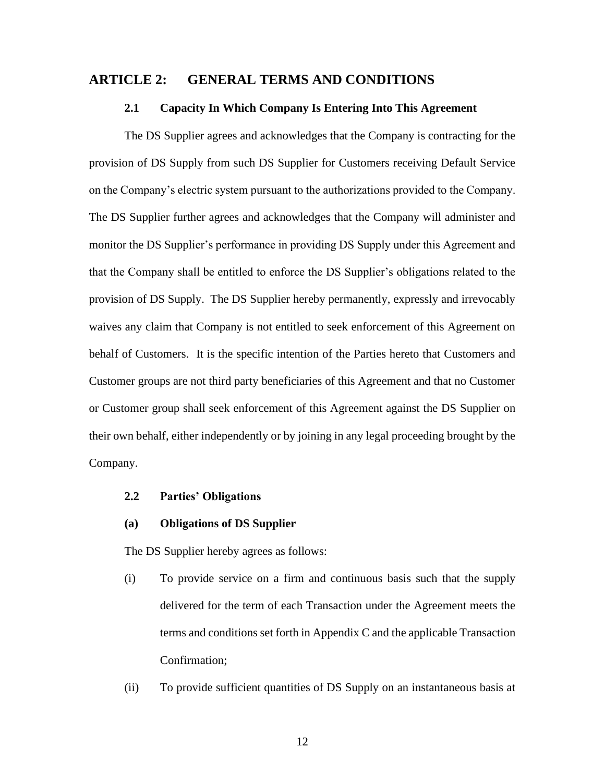# **ARTICLE 2: GENERAL TERMS AND CONDITIONS**

#### **2.1 Capacity In Which Company Is Entering Into This Agreement**

The DS Supplier agrees and acknowledges that the Company is contracting for the provision of DS Supply from such DS Supplier for Customers receiving Default Service on the Company's electric system pursuant to the authorizations provided to the Company. The DS Supplier further agrees and acknowledges that the Company will administer and monitor the DS Supplier's performance in providing DS Supply under this Agreement and that the Company shall be entitled to enforce the DS Supplier's obligations related to the provision of DS Supply. The DS Supplier hereby permanently, expressly and irrevocably waives any claim that Company is not entitled to seek enforcement of this Agreement on behalf of Customers. It is the specific intention of the Parties hereto that Customers and Customer groups are not third party beneficiaries of this Agreement and that no Customer or Customer group shall seek enforcement of this Agreement against the DS Supplier on their own behalf, either independently or by joining in any legal proceeding brought by the Company.

## **2.2 Parties' Obligations**

# **(a) Obligations of DS Supplier**

The DS Supplier hereby agrees as follows:

- (i) To provide service on a firm and continuous basis such that the supply delivered for the term of each Transaction under the Agreement meets the terms and conditions set forth in Appendix C and the applicable Transaction Confirmation;
- (ii) To provide sufficient quantities of DS Supply on an instantaneous basis at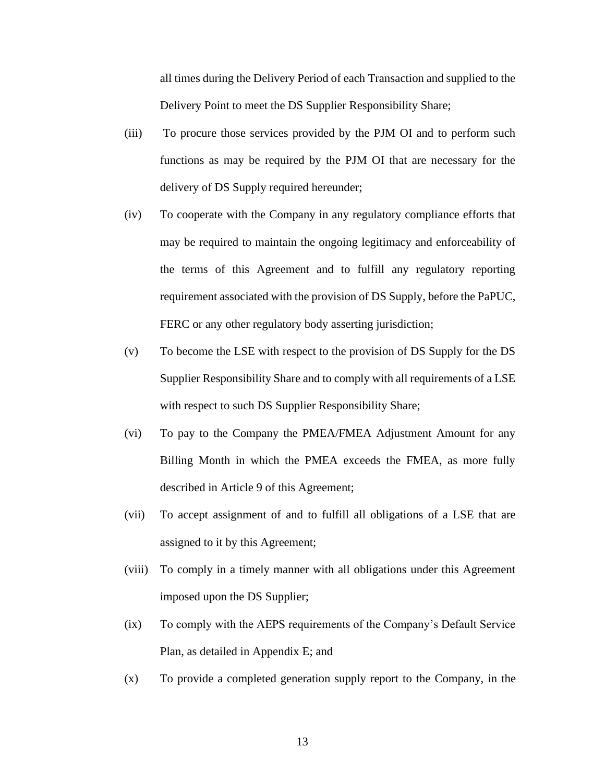all times during the Delivery Period of each Transaction and supplied to the Delivery Point to meet the DS Supplier Responsibility Share;

- (iii) To procure those services provided by the PJM OI and to perform such functions as may be required by the PJM OI that are necessary for the delivery of DS Supply required hereunder;
- (iv) To cooperate with the Company in any regulatory compliance efforts that may be required to maintain the ongoing legitimacy and enforceability of the terms of this Agreement and to fulfill any regulatory reporting requirement associated with the provision of DS Supply, before the PaPUC, FERC or any other regulatory body asserting jurisdiction;
- (v) To become the LSE with respect to the provision of DS Supply for the DS Supplier Responsibility Share and to comply with all requirements of a LSE with respect to such DS Supplier Responsibility Share;
- (vi) To pay to the Company the PMEA/FMEA Adjustment Amount for any Billing Month in which the PMEA exceeds the FMEA, as more fully described in Article 9 of this Agreement;
- (vii) To accept assignment of and to fulfill all obligations of a LSE that are assigned to it by this Agreement;
- (viii) To comply in a timely manner with all obligations under this Agreement imposed upon the DS Supplier;
- (ix) To comply with the AEPS requirements of the Company's Default Service Plan, as detailed in Appendix E; and
- (x) To provide a completed generation supply report to the Company, in the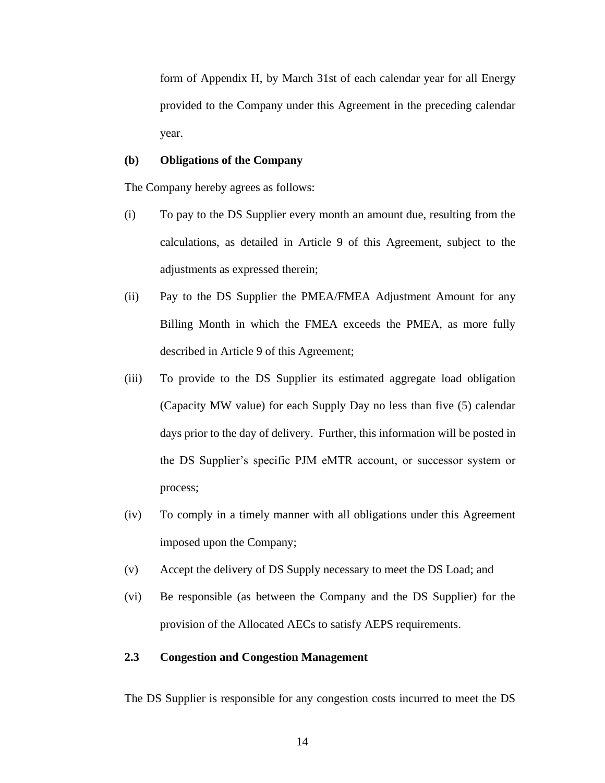form of Appendix H, by March 31st of each calendar year for all Energy provided to the Company under this Agreement in the preceding calendar year.

#### **(b) Obligations of the Company**

The Company hereby agrees as follows:

- (i) To pay to the DS Supplier every month an amount due, resulting from the calculations, as detailed in Article 9 of this Agreement, subject to the adjustments as expressed therein;
- (ii) Pay to the DS Supplier the PMEA/FMEA Adjustment Amount for any Billing Month in which the FMEA exceeds the PMEA, as more fully described in Article 9 of this Agreement;
- (iii) To provide to the DS Supplier its estimated aggregate load obligation (Capacity MW value) for each Supply Day no less than five (5) calendar days prior to the day of delivery. Further, this information will be posted in the DS Supplier's specific PJM eMTR account, or successor system or process;
- (iv) To comply in a timely manner with all obligations under this Agreement imposed upon the Company;
- (v) Accept the delivery of DS Supply necessary to meet the DS Load; and
- (vi) Be responsible (as between the Company and the DS Supplier) for the provision of the Allocated AECs to satisfy AEPS requirements.

# **2.3 Congestion and Congestion Management**

The DS Supplier is responsible for any congestion costs incurred to meet the DS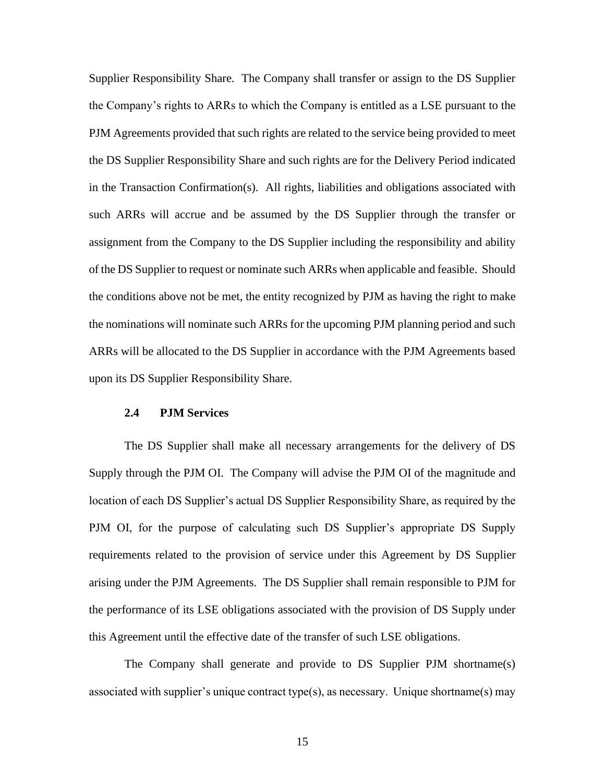Supplier Responsibility Share. The Company shall transfer or assign to the DS Supplier the Company's rights to ARRs to which the Company is entitled as a LSE pursuant to the PJM Agreements provided that such rights are related to the service being provided to meet the DS Supplier Responsibility Share and such rights are for the Delivery Period indicated in the Transaction Confirmation(s). All rights, liabilities and obligations associated with such ARRs will accrue and be assumed by the DS Supplier through the transfer or assignment from the Company to the DS Supplier including the responsibility and ability of the DS Supplier to request or nominate such ARRs when applicable and feasible. Should the conditions above not be met, the entity recognized by PJM as having the right to make the nominations will nominate such ARRs for the upcoming PJM planning period and such ARRs will be allocated to the DS Supplier in accordance with the PJM Agreements based upon its DS Supplier Responsibility Share.

### **2.4 PJM Services**

The DS Supplier shall make all necessary arrangements for the delivery of DS Supply through the PJM OI. The Company will advise the PJM OI of the magnitude and location of each DS Supplier's actual DS Supplier Responsibility Share, as required by the PJM OI, for the purpose of calculating such DS Supplier's appropriate DS Supply requirements related to the provision of service under this Agreement by DS Supplier arising under the PJM Agreements. The DS Supplier shall remain responsible to PJM for the performance of its LSE obligations associated with the provision of DS Supply under this Agreement until the effective date of the transfer of such LSE obligations.

The Company shall generate and provide to DS Supplier PJM shortname(s) associated with supplier's unique contract type(s), as necessary. Unique shortname(s) may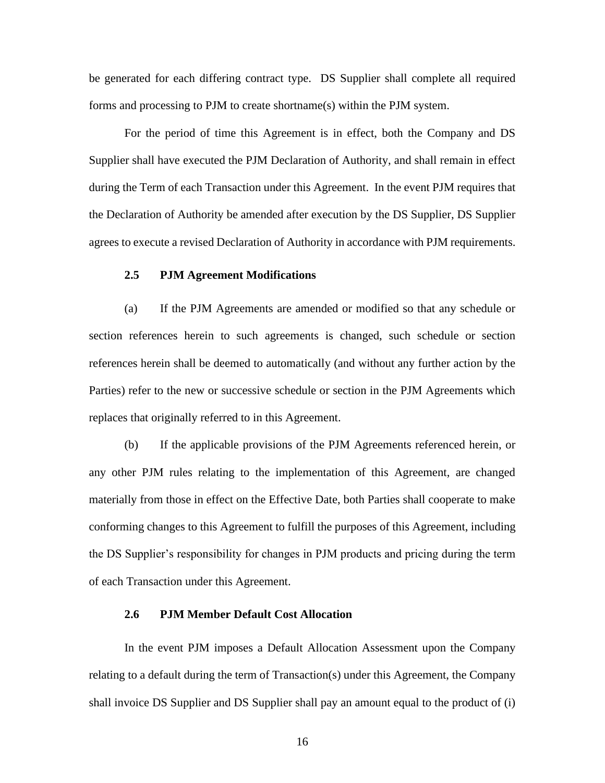be generated for each differing contract type. DS Supplier shall complete all required forms and processing to PJM to create shortname(s) within the PJM system.

For the period of time this Agreement is in effect, both the Company and DS Supplier shall have executed the PJM Declaration of Authority, and shall remain in effect during the Term of each Transaction under this Agreement. In the event PJM requires that the Declaration of Authority be amended after execution by the DS Supplier, DS Supplier agrees to execute a revised Declaration of Authority in accordance with PJM requirements.

#### **2.5 PJM Agreement Modifications**

(a) If the PJM Agreements are amended or modified so that any schedule or section references herein to such agreements is changed, such schedule or section references herein shall be deemed to automatically (and without any further action by the Parties) refer to the new or successive schedule or section in the PJM Agreements which replaces that originally referred to in this Agreement.

(b) If the applicable provisions of the PJM Agreements referenced herein, or any other PJM rules relating to the implementation of this Agreement, are changed materially from those in effect on the Effective Date, both Parties shall cooperate to make conforming changes to this Agreement to fulfill the purposes of this Agreement, including the DS Supplier's responsibility for changes in PJM products and pricing during the term of each Transaction under this Agreement.

# **2.6 PJM Member Default Cost Allocation**

In the event PJM imposes a Default Allocation Assessment upon the Company relating to a default during the term of Transaction(s) under this Agreement, the Company shall invoice DS Supplier and DS Supplier shall pay an amount equal to the product of (i)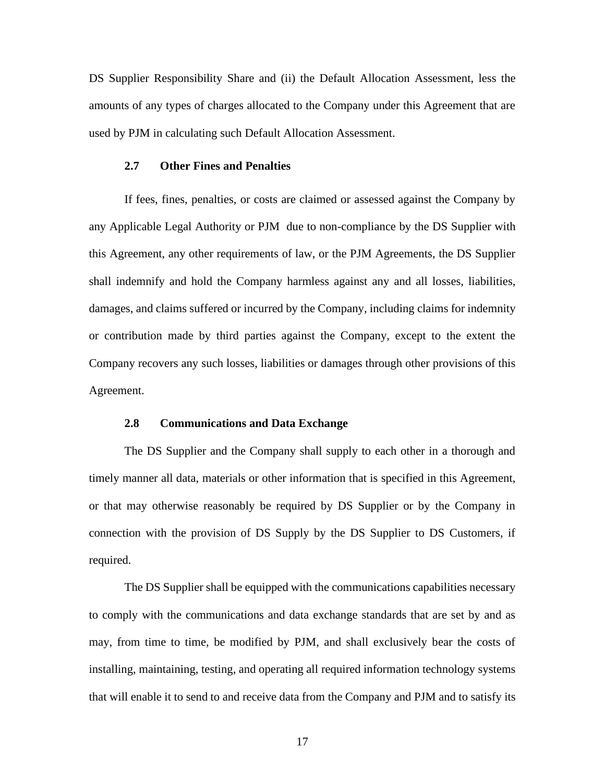DS Supplier Responsibility Share and (ii) the Default Allocation Assessment, less the amounts of any types of charges allocated to the Company under this Agreement that are used by PJM in calculating such Default Allocation Assessment.

#### **2.7 Other Fines and Penalties**

If fees, fines, penalties, or costs are claimed or assessed against the Company by any Applicable Legal Authority or PJM due to non-compliance by the DS Supplier with this Agreement, any other requirements of law, or the PJM Agreements, the DS Supplier shall indemnify and hold the Company harmless against any and all losses, liabilities, damages, and claims suffered or incurred by the Company, including claims for indemnity or contribution made by third parties against the Company, except to the extent the Company recovers any such losses, liabilities or damages through other provisions of this Agreement.

# **2.8 Communications and Data Exchange**

The DS Supplier and the Company shall supply to each other in a thorough and timely manner all data, materials or other information that is specified in this Agreement, or that may otherwise reasonably be required by DS Supplier or by the Company in connection with the provision of DS Supply by the DS Supplier to DS Customers, if required.

The DS Supplier shall be equipped with the communications capabilities necessary to comply with the communications and data exchange standards that are set by and as may, from time to time, be modified by PJM, and shall exclusively bear the costs of installing, maintaining, testing, and operating all required information technology systems that will enable it to send to and receive data from the Company and PJM and to satisfy its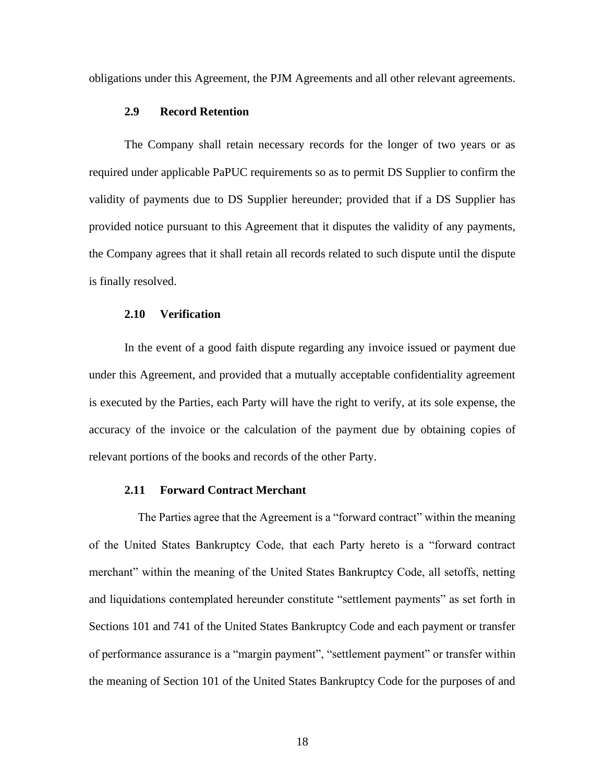obligations under this Agreement, the PJM Agreements and all other relevant agreements.

## **2.9 Record Retention**

The Company shall retain necessary records for the longer of two years or as required under applicable PaPUC requirements so as to permit DS Supplier to confirm the validity of payments due to DS Supplier hereunder; provided that if a DS Supplier has provided notice pursuant to this Agreement that it disputes the validity of any payments, the Company agrees that it shall retain all records related to such dispute until the dispute is finally resolved.

#### **2.10 Verification**

In the event of a good faith dispute regarding any invoice issued or payment due under this Agreement, and provided that a mutually acceptable confidentiality agreement is executed by the Parties, each Party will have the right to verify, at its sole expense, the accuracy of the invoice or the calculation of the payment due by obtaining copies of relevant portions of the books and records of the other Party.

# **2.11 Forward Contract Merchant**

The Parties agree that the Agreement is a "forward contract" within the meaning of the United States Bankruptcy Code, that each Party hereto is a "forward contract merchant" within the meaning of the United States Bankruptcy Code, all setoffs, netting and liquidations contemplated hereunder constitute "settlement payments" as set forth in Sections 101 and 741 of the United States Bankruptcy Code and each payment or transfer of performance assurance is a "margin payment", "settlement payment" or transfer within the meaning of Section 101 of the United States Bankruptcy Code for the purposes of and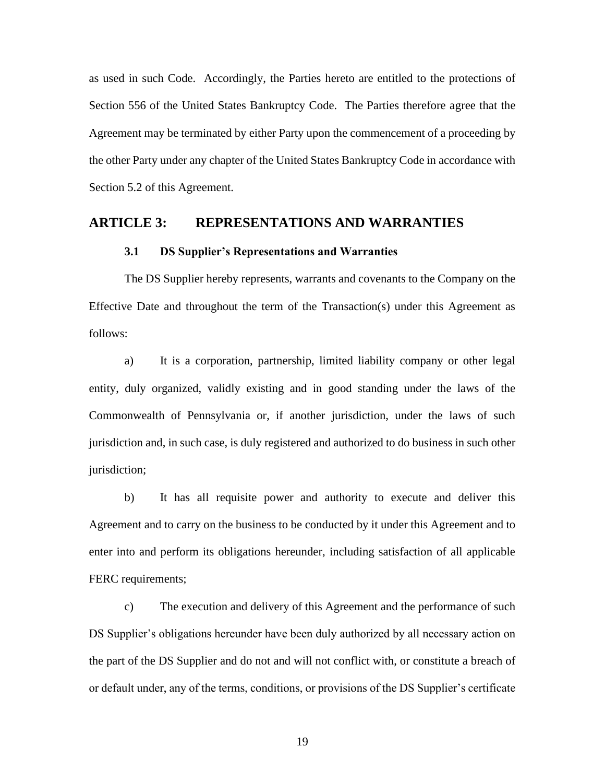as used in such Code. Accordingly, the Parties hereto are entitled to the protections of Section 556 of the United States Bankruptcy Code. The Parties therefore agree that the Agreement may be terminated by either Party upon the commencement of a proceeding by the other Party under any chapter of the United States Bankruptcy Code in accordance with Section 5.2 of this Agreement.

# **ARTICLE 3: REPRESENTATIONS AND WARRANTIES**

## **3.1 DS Supplier's Representations and Warranties**

The DS Supplier hereby represents, warrants and covenants to the Company on the Effective Date and throughout the term of the Transaction(s) under this Agreement as follows:

a) It is a corporation, partnership, limited liability company or other legal entity, duly organized, validly existing and in good standing under the laws of the Commonwealth of Pennsylvania or, if another jurisdiction, under the laws of such jurisdiction and, in such case, is duly registered and authorized to do business in such other jurisdiction;

b) It has all requisite power and authority to execute and deliver this Agreement and to carry on the business to be conducted by it under this Agreement and to enter into and perform its obligations hereunder, including satisfaction of all applicable FERC requirements;

c) The execution and delivery of this Agreement and the performance of such DS Supplier's obligations hereunder have been duly authorized by all necessary action on the part of the DS Supplier and do not and will not conflict with, or constitute a breach of or default under, any of the terms, conditions, or provisions of the DS Supplier's certificate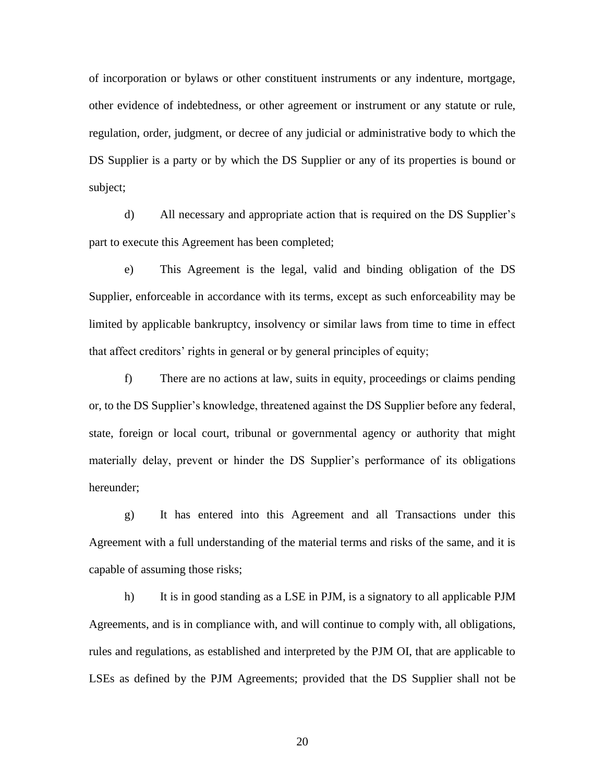of incorporation or bylaws or other constituent instruments or any indenture, mortgage, other evidence of indebtedness, or other agreement or instrument or any statute or rule, regulation, order, judgment, or decree of any judicial or administrative body to which the DS Supplier is a party or by which the DS Supplier or any of its properties is bound or subject;

d) All necessary and appropriate action that is required on the DS Supplier's part to execute this Agreement has been completed;

e) This Agreement is the legal, valid and binding obligation of the DS Supplier, enforceable in accordance with its terms, except as such enforceability may be limited by applicable bankruptcy, insolvency or similar laws from time to time in effect that affect creditors' rights in general or by general principles of equity;

f) There are no actions at law, suits in equity, proceedings or claims pending or, to the DS Supplier's knowledge, threatened against the DS Supplier before any federal, state, foreign or local court, tribunal or governmental agency or authority that might materially delay, prevent or hinder the DS Supplier's performance of its obligations hereunder;

g) It has entered into this Agreement and all Transactions under this Agreement with a full understanding of the material terms and risks of the same, and it is capable of assuming those risks;

h) It is in good standing as a LSE in PJM, is a signatory to all applicable PJM Agreements, and is in compliance with, and will continue to comply with, all obligations, rules and regulations, as established and interpreted by the PJM OI, that are applicable to LSEs as defined by the PJM Agreements; provided that the DS Supplier shall not be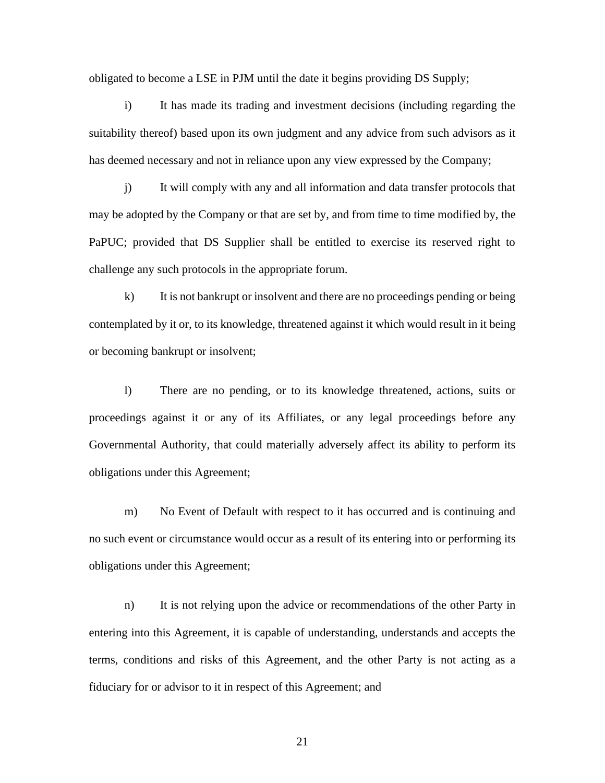obligated to become a LSE in PJM until the date it begins providing DS Supply;

i) It has made its trading and investment decisions (including regarding the suitability thereof) based upon its own judgment and any advice from such advisors as it has deemed necessary and not in reliance upon any view expressed by the Company;

j) It will comply with any and all information and data transfer protocols that may be adopted by the Company or that are set by, and from time to time modified by, the PaPUC; provided that DS Supplier shall be entitled to exercise its reserved right to challenge any such protocols in the appropriate forum.

k) It is not bankrupt or insolvent and there are no proceedings pending or being contemplated by it or, to its knowledge, threatened against it which would result in it being or becoming bankrupt or insolvent;

l) There are no pending, or to its knowledge threatened, actions, suits or proceedings against it or any of its Affiliates, or any legal proceedings before any Governmental Authority, that could materially adversely affect its ability to perform its obligations under this Agreement;

m) No Event of Default with respect to it has occurred and is continuing and no such event or circumstance would occur as a result of its entering into or performing its obligations under this Agreement;

n) It is not relying upon the advice or recommendations of the other Party in entering into this Agreement, it is capable of understanding, understands and accepts the terms, conditions and risks of this Agreement, and the other Party is not acting as a fiduciary for or advisor to it in respect of this Agreement; and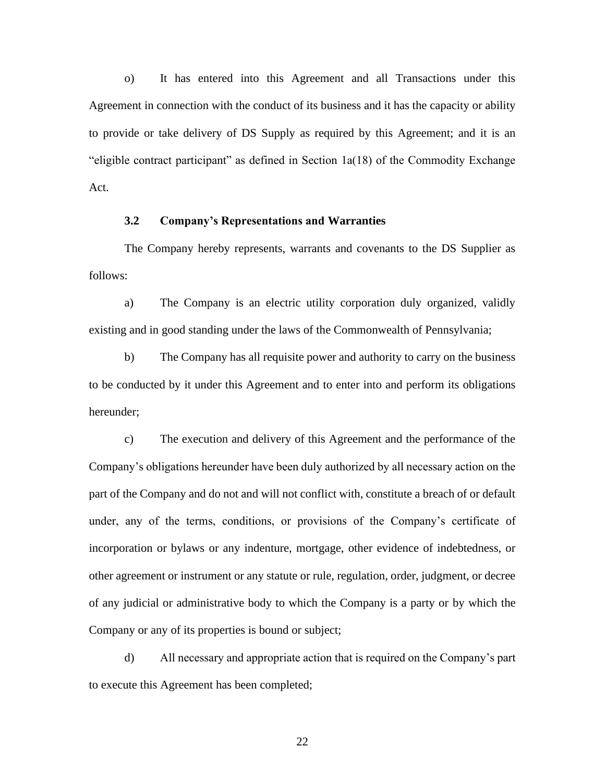o) It has entered into this Agreement and all Transactions under this Agreement in connection with the conduct of its business and it has the capacity or ability to provide or take delivery of DS Supply as required by this Agreement; and it is an "eligible contract participant" as defined in Section 1a(18) of the Commodity Exchange Act.

# **3.2 Company's Representations and Warranties**

The Company hereby represents, warrants and covenants to the DS Supplier as follows:

a) The Company is an electric utility corporation duly organized, validly existing and in good standing under the laws of the Commonwealth of Pennsylvania;

b) The Company has all requisite power and authority to carry on the business to be conducted by it under this Agreement and to enter into and perform its obligations hereunder;

c) The execution and delivery of this Agreement and the performance of the Company's obligations hereunder have been duly authorized by all necessary action on the part of the Company and do not and will not conflict with, constitute a breach of or default under, any of the terms, conditions, or provisions of the Company's certificate of incorporation or bylaws or any indenture, mortgage, other evidence of indebtedness, or other agreement or instrument or any statute or rule, regulation, order, judgment, or decree of any judicial or administrative body to which the Company is a party or by which the Company or any of its properties is bound or subject;

d) All necessary and appropriate action that is required on the Company's part to execute this Agreement has been completed;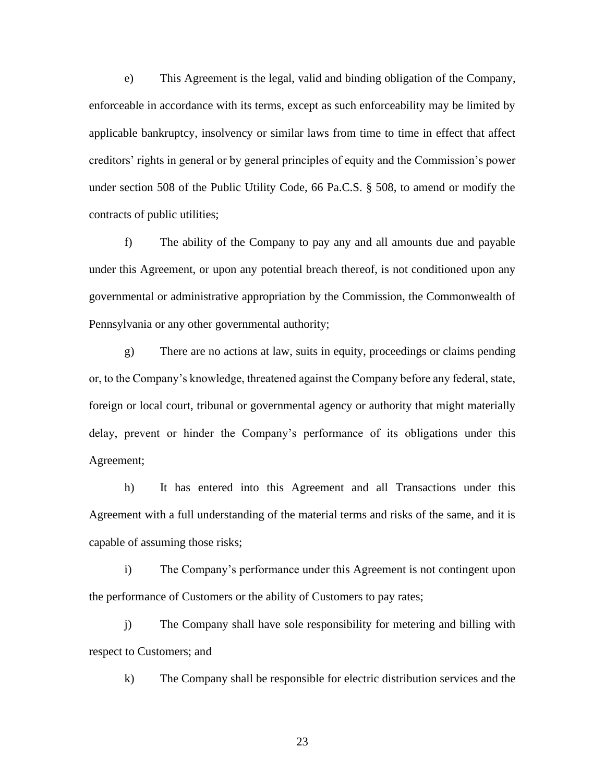e) This Agreement is the legal, valid and binding obligation of the Company, enforceable in accordance with its terms, except as such enforceability may be limited by applicable bankruptcy, insolvency or similar laws from time to time in effect that affect creditors' rights in general or by general principles of equity and the Commission's power under section 508 of the Public Utility Code, 66 Pa.C.S. § 508, to amend or modify the contracts of public utilities;

f) The ability of the Company to pay any and all amounts due and payable under this Agreement, or upon any potential breach thereof, is not conditioned upon any governmental or administrative appropriation by the Commission, the Commonwealth of Pennsylvania or any other governmental authority;

g) There are no actions at law, suits in equity, proceedings or claims pending or, to the Company's knowledge, threatened against the Company before any federal, state, foreign or local court, tribunal or governmental agency or authority that might materially delay, prevent or hinder the Company's performance of its obligations under this Agreement;

h) It has entered into this Agreement and all Transactions under this Agreement with a full understanding of the material terms and risks of the same, and it is capable of assuming those risks;

i) The Company's performance under this Agreement is not contingent upon the performance of Customers or the ability of Customers to pay rates;

j) The Company shall have sole responsibility for metering and billing with respect to Customers; and

k) The Company shall be responsible for electric distribution services and the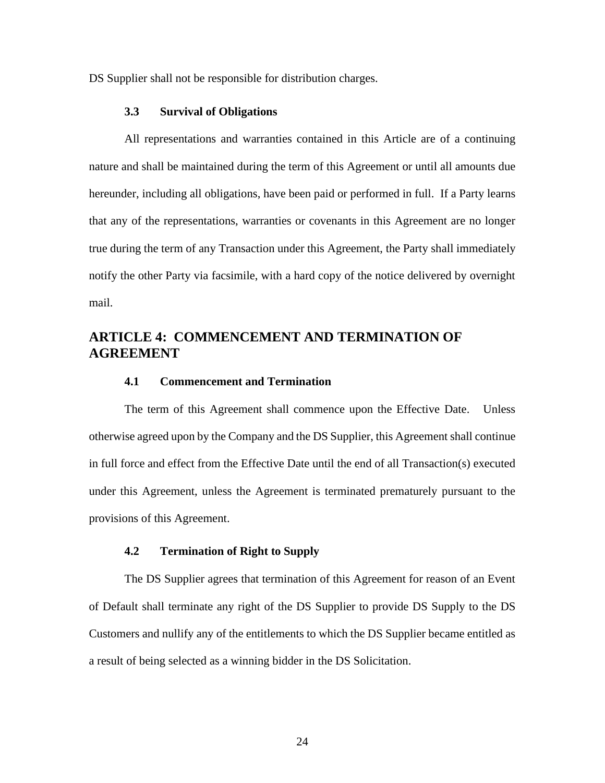DS Supplier shall not be responsible for distribution charges.

## **3.3 Survival of Obligations**

All representations and warranties contained in this Article are of a continuing nature and shall be maintained during the term of this Agreement or until all amounts due hereunder, including all obligations, have been paid or performed in full. If a Party learns that any of the representations, warranties or covenants in this Agreement are no longer true during the term of any Transaction under this Agreement, the Party shall immediately notify the other Party via facsimile, with a hard copy of the notice delivered by overnight mail.

# **ARTICLE 4: COMMENCEMENT AND TERMINATION OF AGREEMENT**

# **4.1 Commencement and Termination**

The term of this Agreement shall commence upon the Effective Date. Unless otherwise agreed upon by the Company and the DS Supplier, this Agreement shall continue in full force and effect from the Effective Date until the end of all Transaction(s) executed under this Agreement, unless the Agreement is terminated prematurely pursuant to the provisions of this Agreement.

# **4.2 Termination of Right to Supply**

The DS Supplier agrees that termination of this Agreement for reason of an Event of Default shall terminate any right of the DS Supplier to provide DS Supply to the DS Customers and nullify any of the entitlements to which the DS Supplier became entitled as a result of being selected as a winning bidder in the DS Solicitation.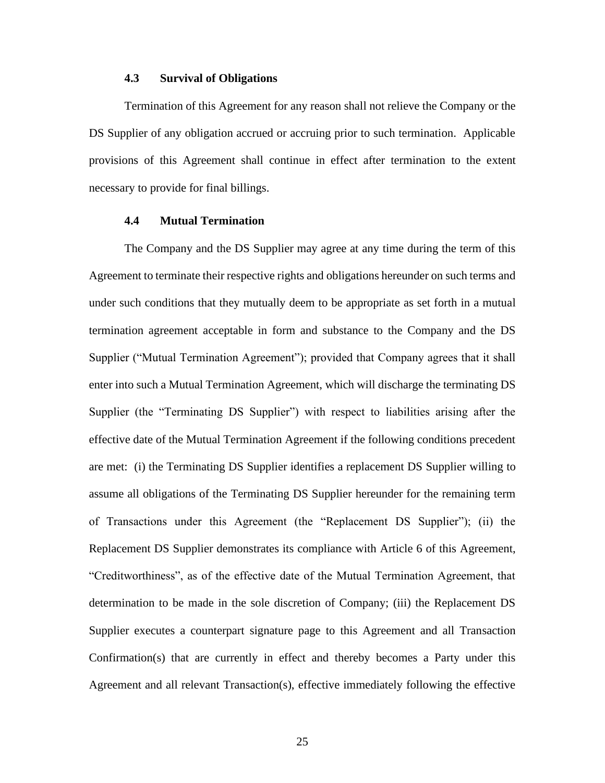# **4.3 Survival of Obligations**

Termination of this Agreement for any reason shall not relieve the Company or the DS Supplier of any obligation accrued or accruing prior to such termination. Applicable provisions of this Agreement shall continue in effect after termination to the extent necessary to provide for final billings.

# **4.4 Mutual Termination**

The Company and the DS Supplier may agree at any time during the term of this Agreement to terminate their respective rights and obligations hereunder on such terms and under such conditions that they mutually deem to be appropriate as set forth in a mutual termination agreement acceptable in form and substance to the Company and the DS Supplier ("Mutual Termination Agreement"); provided that Company agrees that it shall enter into such a Mutual Termination Agreement, which will discharge the terminating DS Supplier (the "Terminating DS Supplier") with respect to liabilities arising after the effective date of the Mutual Termination Agreement if the following conditions precedent are met: (i) the Terminating DS Supplier identifies a replacement DS Supplier willing to assume all obligations of the Terminating DS Supplier hereunder for the remaining term of Transactions under this Agreement (the "Replacement DS Supplier"); (ii) the Replacement DS Supplier demonstrates its compliance with Article 6 of this Agreement, "Creditworthiness", as of the effective date of the Mutual Termination Agreement, that determination to be made in the sole discretion of Company; (iii) the Replacement DS Supplier executes a counterpart signature page to this Agreement and all Transaction Confirmation(s) that are currently in effect and thereby becomes a Party under this Agreement and all relevant Transaction(s), effective immediately following the effective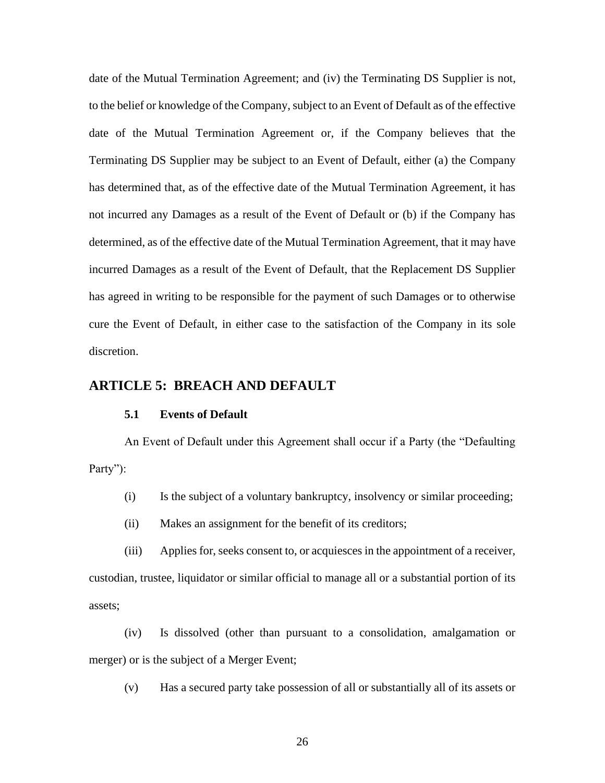date of the Mutual Termination Agreement; and (iv) the Terminating DS Supplier is not, to the belief or knowledge of the Company, subject to an Event of Default as of the effective date of the Mutual Termination Agreement or, if the Company believes that the Terminating DS Supplier may be subject to an Event of Default, either (a) the Company has determined that, as of the effective date of the Mutual Termination Agreement, it has not incurred any Damages as a result of the Event of Default or (b) if the Company has determined, as of the effective date of the Mutual Termination Agreement, that it may have incurred Damages as a result of the Event of Default, that the Replacement DS Supplier has agreed in writing to be responsible for the payment of such Damages or to otherwise cure the Event of Default, in either case to the satisfaction of the Company in its sole discretion.

# **ARTICLE 5: BREACH AND DEFAULT**

# **5.1 Events of Default**

An Event of Default under this Agreement shall occur if a Party (the "Defaulting Party":

(i) Is the subject of a voluntary bankruptcy, insolvency or similar proceeding;

(ii) Makes an assignment for the benefit of its creditors;

(iii) Applies for, seeks consent to, or acquiesces in the appointment of a receiver, custodian, trustee, liquidator or similar official to manage all or a substantial portion of its assets;

(iv) Is dissolved (other than pursuant to a consolidation, amalgamation or merger) or is the subject of a Merger Event;

(v) Has a secured party take possession of all or substantially all of its assets or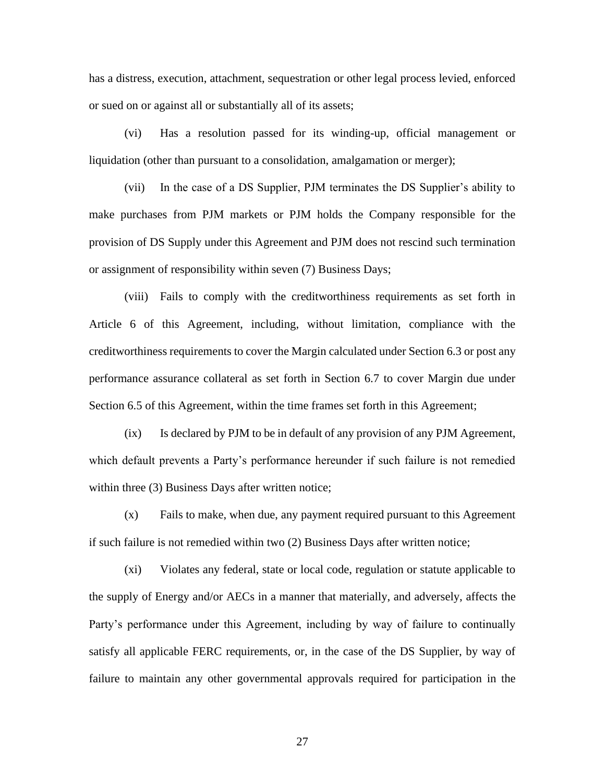has a distress, execution, attachment, sequestration or other legal process levied, enforced or sued on or against all or substantially all of its assets;

(vi) Has a resolution passed for its winding-up, official management or liquidation (other than pursuant to a consolidation, amalgamation or merger);

(vii) In the case of a DS Supplier, PJM terminates the DS Supplier's ability to make purchases from PJM markets or PJM holds the Company responsible for the provision of DS Supply under this Agreement and PJM does not rescind such termination or assignment of responsibility within seven (7) Business Days;

(viii) Fails to comply with the creditworthiness requirements as set forth in Article 6 of this Agreement, including, without limitation, compliance with the creditworthiness requirements to cover the Margin calculated under Section 6.3 or post any performance assurance collateral as set forth in Section 6.7 to cover Margin due under Section 6.5 of this Agreement, within the time frames set forth in this Agreement;

(ix) Is declared by PJM to be in default of any provision of any PJM Agreement, which default prevents a Party's performance hereunder if such failure is not remedied within three (3) Business Days after written notice;

(x) Fails to make, when due, any payment required pursuant to this Agreement if such failure is not remedied within two (2) Business Days after written notice;

(xi) Violates any federal, state or local code, regulation or statute applicable to the supply of Energy and/or AECs in a manner that materially, and adversely, affects the Party's performance under this Agreement, including by way of failure to continually satisfy all applicable FERC requirements, or, in the case of the DS Supplier, by way of failure to maintain any other governmental approvals required for participation in the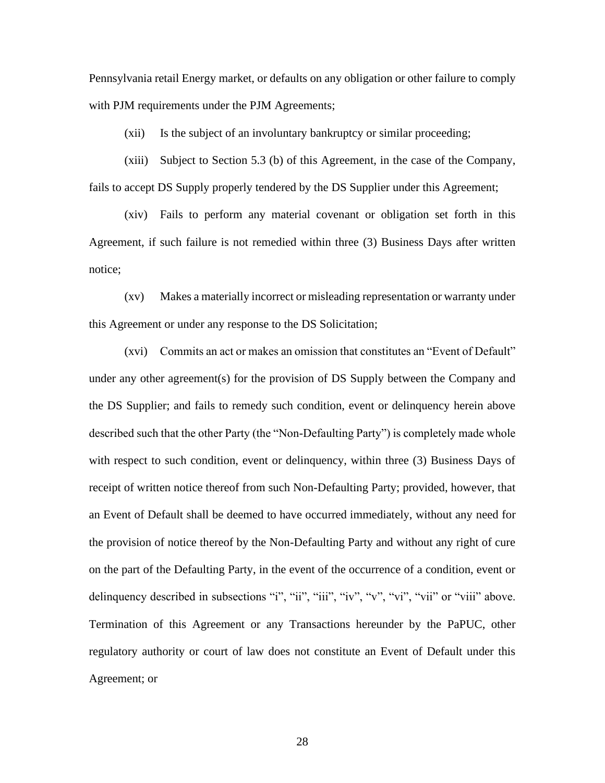Pennsylvania retail Energy market, or defaults on any obligation or other failure to comply with PJM requirements under the PJM Agreements;

(xii) Is the subject of an involuntary bankruptcy or similar proceeding;

(xiii) Subject to Section 5.3 (b) of this Agreement, in the case of the Company, fails to accept DS Supply properly tendered by the DS Supplier under this Agreement;

(xiv) Fails to perform any material covenant or obligation set forth in this Agreement, if such failure is not remedied within three (3) Business Days after written notice;

(xv) Makes a materially incorrect or misleading representation or warranty under this Agreement or under any response to the DS Solicitation;

(xvi) Commits an act or makes an omission that constitutes an "Event of Default" under any other agreement(s) for the provision of DS Supply between the Company and the DS Supplier; and fails to remedy such condition, event or delinquency herein above described such that the other Party (the "Non-Defaulting Party") is completely made whole with respect to such condition, event or delinquency, within three (3) Business Days of receipt of written notice thereof from such Non-Defaulting Party; provided, however, that an Event of Default shall be deemed to have occurred immediately, without any need for the provision of notice thereof by the Non-Defaulting Party and without any right of cure on the part of the Defaulting Party, in the event of the occurrence of a condition, event or delinquency described in subsections "i", "ii", "iii", "iv", "v", "vi", "vii" or "viii" above. Termination of this Agreement or any Transactions hereunder by the PaPUC, other regulatory authority or court of law does not constitute an Event of Default under this Agreement; or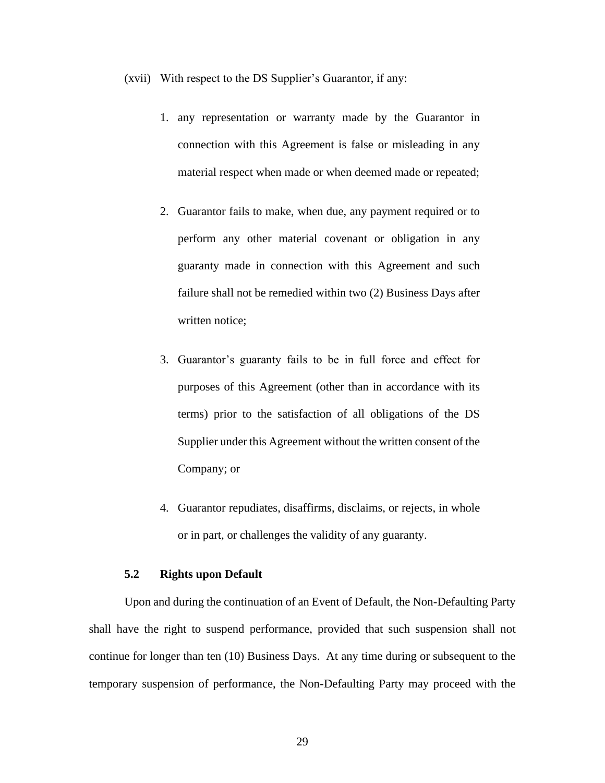(xvii) With respect to the DS Supplier's Guarantor, if any:

- 1. any representation or warranty made by the Guarantor in connection with this Agreement is false or misleading in any material respect when made or when deemed made or repeated;
- 2. Guarantor fails to make, when due, any payment required or to perform any other material covenant or obligation in any guaranty made in connection with this Agreement and such failure shall not be remedied within two (2) Business Days after written notice;
- 3. Guarantor's guaranty fails to be in full force and effect for purposes of this Agreement (other than in accordance with its terms) prior to the satisfaction of all obligations of the DS Supplier under this Agreement without the written consent of the Company; or
- 4. Guarantor repudiates, disaffirms, disclaims, or rejects, in whole or in part, or challenges the validity of any guaranty.

# **5.2 Rights upon Default**

Upon and during the continuation of an Event of Default, the Non-Defaulting Party shall have the right to suspend performance, provided that such suspension shall not continue for longer than ten (10) Business Days. At any time during or subsequent to the temporary suspension of performance, the Non-Defaulting Party may proceed with the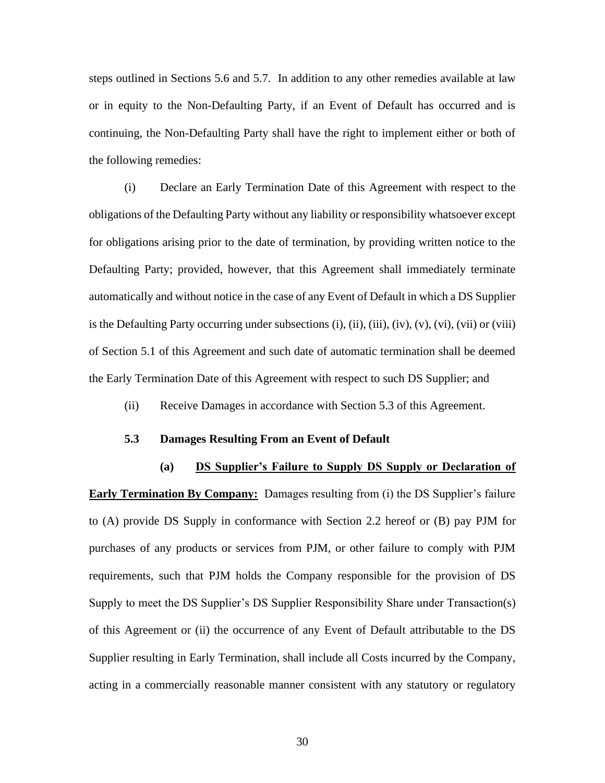steps outlined in Sections 5.6 and 5.7. In addition to any other remedies available at law or in equity to the Non-Defaulting Party, if an Event of Default has occurred and is continuing, the Non-Defaulting Party shall have the right to implement either or both of the following remedies:

(i) Declare an Early Termination Date of this Agreement with respect to the obligations of the Defaulting Party without any liability or responsibility whatsoever except for obligations arising prior to the date of termination, by providing written notice to the Defaulting Party; provided, however, that this Agreement shall immediately terminate automatically and without notice in the case of any Event of Default in which a DS Supplier is the Defaulting Party occurring under subsections  $(i)$ ,  $(ii)$ ,  $(iii)$ ,  $(iv)$ ,  $(v)$ ,  $(vi)$ ,  $(vii)$  or  $(viii)$ of Section 5.1 of this Agreement and such date of automatic termination shall be deemed the Early Termination Date of this Agreement with respect to such DS Supplier; and

(ii) Receive Damages in accordance with Section 5.3 of this Agreement.

# **5.3 Damages Resulting From an Event of Default**

# **(a) DS Supplier's Failure to Supply DS Supply or Declaration of**

**Early Termination By Company:** Damages resulting from (i) the DS Supplier's failure to (A) provide DS Supply in conformance with Section 2.2 hereof or (B) pay PJM for purchases of any products or services from PJM, or other failure to comply with PJM requirements, such that PJM holds the Company responsible for the provision of DS Supply to meet the DS Supplier's DS Supplier Responsibility Share under Transaction(s) of this Agreement or (ii) the occurrence of any Event of Default attributable to the DS Supplier resulting in Early Termination, shall include all Costs incurred by the Company, acting in a commercially reasonable manner consistent with any statutory or regulatory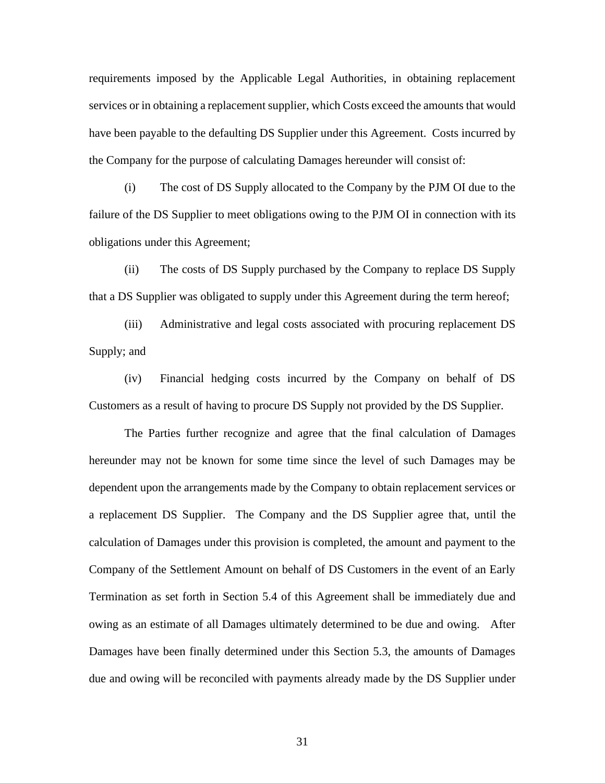requirements imposed by the Applicable Legal Authorities, in obtaining replacement services or in obtaining a replacement supplier, which Costs exceed the amounts that would have been payable to the defaulting DS Supplier under this Agreement. Costs incurred by the Company for the purpose of calculating Damages hereunder will consist of:

(i) The cost of DS Supply allocated to the Company by the PJM OI due to the failure of the DS Supplier to meet obligations owing to the PJM OI in connection with its obligations under this Agreement;

(ii) The costs of DS Supply purchased by the Company to replace DS Supply that a DS Supplier was obligated to supply under this Agreement during the term hereof;

(iii) Administrative and legal costs associated with procuring replacement DS Supply; and

(iv) Financial hedging costs incurred by the Company on behalf of DS Customers as a result of having to procure DS Supply not provided by the DS Supplier.

The Parties further recognize and agree that the final calculation of Damages hereunder may not be known for some time since the level of such Damages may be dependent upon the arrangements made by the Company to obtain replacement services or a replacement DS Supplier. The Company and the DS Supplier agree that, until the calculation of Damages under this provision is completed, the amount and payment to the Company of the Settlement Amount on behalf of DS Customers in the event of an Early Termination as set forth in Section 5.4 of this Agreement shall be immediately due and owing as an estimate of all Damages ultimately determined to be due and owing. After Damages have been finally determined under this Section 5.3, the amounts of Damages due and owing will be reconciled with payments already made by the DS Supplier under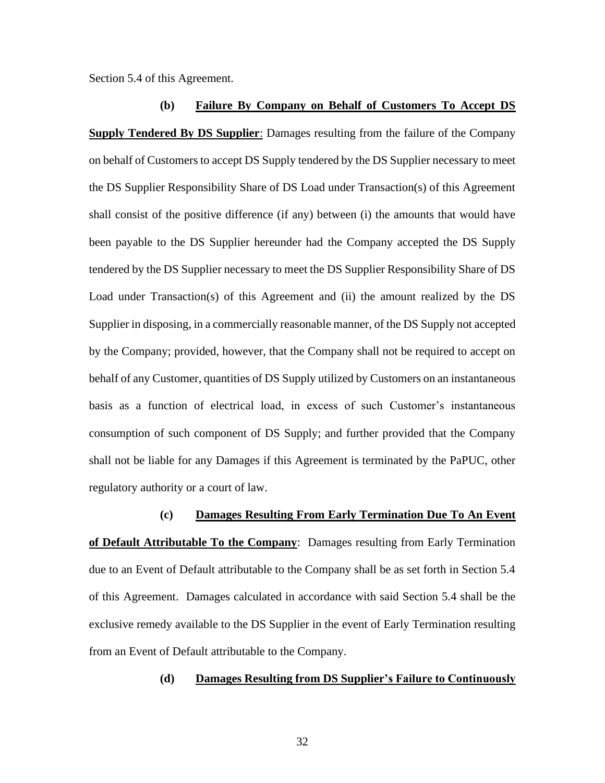Section 5.4 of this Agreement.

**(b) Failure By Company on Behalf of Customers To Accept DS Supply Tendered By DS Supplier**: Damages resulting from the failure of the Company on behalf of Customers to accept DS Supply tendered by the DS Supplier necessary to meet the DS Supplier Responsibility Share of DS Load under Transaction(s) of this Agreement shall consist of the positive difference (if any) between (i) the amounts that would have been payable to the DS Supplier hereunder had the Company accepted the DS Supply tendered by the DS Supplier necessary to meet the DS Supplier Responsibility Share of DS Load under Transaction(s) of this Agreement and (ii) the amount realized by the DS Supplier in disposing, in a commercially reasonable manner, of the DS Supply not accepted by the Company; provided, however, that the Company shall not be required to accept on behalf of any Customer, quantities of DS Supply utilized by Customers on an instantaneous basis as a function of electrical load, in excess of such Customer's instantaneous consumption of such component of DS Supply; and further provided that the Company shall not be liable for any Damages if this Agreement is terminated by the PaPUC, other regulatory authority or a court of law.

**(c) Damages Resulting From Early Termination Due To An Event of Default Attributable To the Company**: Damages resulting from Early Termination due to an Event of Default attributable to the Company shall be as set forth in Section 5.4 of this Agreement. Damages calculated in accordance with said Section 5.4 shall be the exclusive remedy available to the DS Supplier in the event of Early Termination resulting from an Event of Default attributable to the Company.

**(d) Damages Resulting from DS Supplier's Failure to Continuously**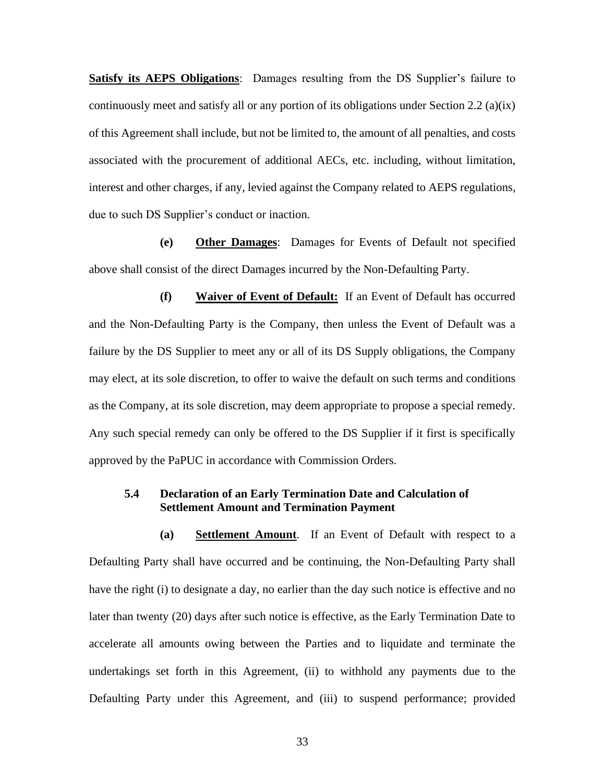**Satisfy its AEPS Obligations**: Damages resulting from the DS Supplier's failure to continuously meet and satisfy all or any portion of its obligations under Section 2.2 (a)(ix) of this Agreement shall include, but not be limited to, the amount of all penalties, and costs associated with the procurement of additional AECs, etc. including, without limitation, interest and other charges, if any, levied against the Company related to AEPS regulations, due to such DS Supplier's conduct or inaction.

**(e) Other Damages**: Damages for Events of Default not specified above shall consist of the direct Damages incurred by the Non-Defaulting Party.

**(f) Waiver of Event of Default:** If an Event of Default has occurred and the Non-Defaulting Party is the Company, then unless the Event of Default was a failure by the DS Supplier to meet any or all of its DS Supply obligations, the Company may elect, at its sole discretion, to offer to waive the default on such terms and conditions as the Company, at its sole discretion, may deem appropriate to propose a special remedy. Any such special remedy can only be offered to the DS Supplier if it first is specifically approved by the PaPUC in accordance with Commission Orders.

### **5.4 Declaration of an Early Termination Date and Calculation of Settlement Amount and Termination Payment**

**(a) Settlement Amount**. If an Event of Default with respect to a Defaulting Party shall have occurred and be continuing, the Non-Defaulting Party shall have the right (i) to designate a day, no earlier than the day such notice is effective and no later than twenty (20) days after such notice is effective, as the Early Termination Date to accelerate all amounts owing between the Parties and to liquidate and terminate the undertakings set forth in this Agreement, (ii) to withhold any payments due to the Defaulting Party under this Agreement, and (iii) to suspend performance; provided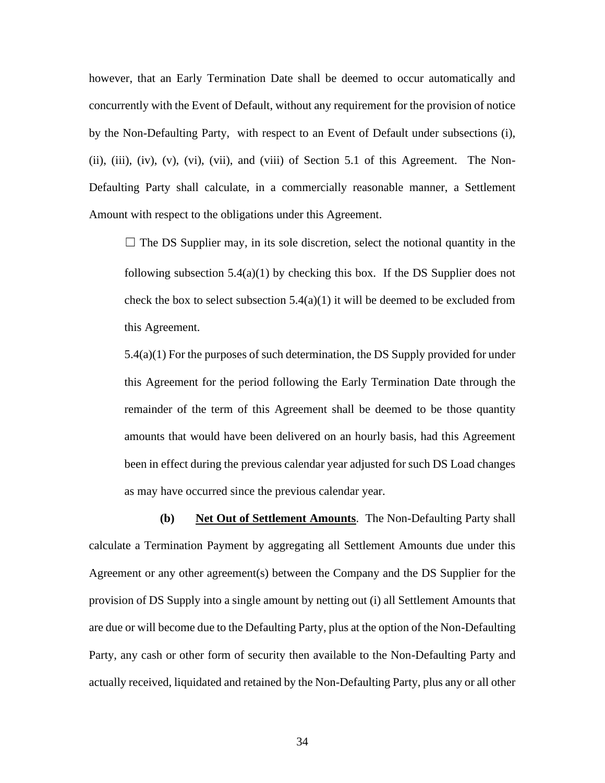however, that an Early Termination Date shall be deemed to occur automatically and concurrently with the Event of Default, without any requirement for the provision of notice by the Non-Defaulting Party, with respect to an Event of Default under subsections (i), (ii), (iii), (iv), (v), (vi), (vii), and (viii) of Section 5.1 of this Agreement. The Non-Defaulting Party shall calculate, in a commercially reasonable manner, a Settlement Amount with respect to the obligations under this Agreement.

 $\Box$  The DS Supplier may, in its sole discretion, select the notional quantity in the following subsection  $5.4(a)(1)$  by checking this box. If the DS Supplier does not check the box to select subsection  $5.4(a)(1)$  it will be deemed to be excluded from this Agreement.

5.4(a)(1) For the purposes of such determination, the DS Supply provided for under this Agreement for the period following the Early Termination Date through the remainder of the term of this Agreement shall be deemed to be those quantity amounts that would have been delivered on an hourly basis, had this Agreement been in effect during the previous calendar year adjusted for such DS Load changes as may have occurred since the previous calendar year.

**(b) Net Out of Settlement Amounts**. The Non-Defaulting Party shall calculate a Termination Payment by aggregating all Settlement Amounts due under this Agreement or any other agreement(s) between the Company and the DS Supplier for the provision of DS Supply into a single amount by netting out (i) all Settlement Amounts that are due or will become due to the Defaulting Party, plus at the option of the Non-Defaulting Party, any cash or other form of security then available to the Non-Defaulting Party and actually received, liquidated and retained by the Non-Defaulting Party, plus any or all other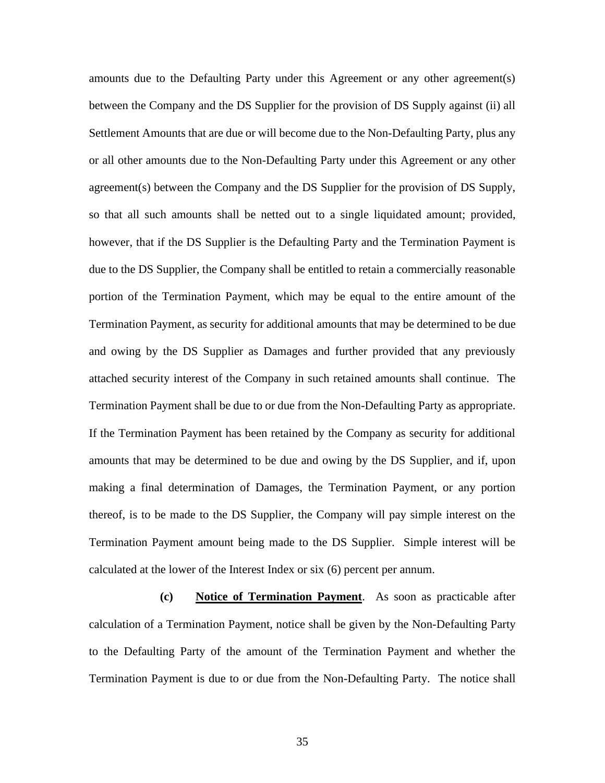amounts due to the Defaulting Party under this Agreement or any other agreement(s) between the Company and the DS Supplier for the provision of DS Supply against (ii) all Settlement Amounts that are due or will become due to the Non-Defaulting Party, plus any or all other amounts due to the Non-Defaulting Party under this Agreement or any other agreement(s) between the Company and the DS Supplier for the provision of DS Supply, so that all such amounts shall be netted out to a single liquidated amount; provided, however, that if the DS Supplier is the Defaulting Party and the Termination Payment is due to the DS Supplier, the Company shall be entitled to retain a commercially reasonable portion of the Termination Payment, which may be equal to the entire amount of the Termination Payment, as security for additional amounts that may be determined to be due and owing by the DS Supplier as Damages and further provided that any previously attached security interest of the Company in such retained amounts shall continue. The Termination Payment shall be due to or due from the Non-Defaulting Party as appropriate. If the Termination Payment has been retained by the Company as security for additional amounts that may be determined to be due and owing by the DS Supplier, and if, upon making a final determination of Damages, the Termination Payment, or any portion thereof, is to be made to the DS Supplier, the Company will pay simple interest on the Termination Payment amount being made to the DS Supplier. Simple interest will be calculated at the lower of the Interest Index or six (6) percent per annum.

**(c) Notice of Termination Payment**. As soon as practicable after calculation of a Termination Payment, notice shall be given by the Non-Defaulting Party to the Defaulting Party of the amount of the Termination Payment and whether the Termination Payment is due to or due from the Non-Defaulting Party. The notice shall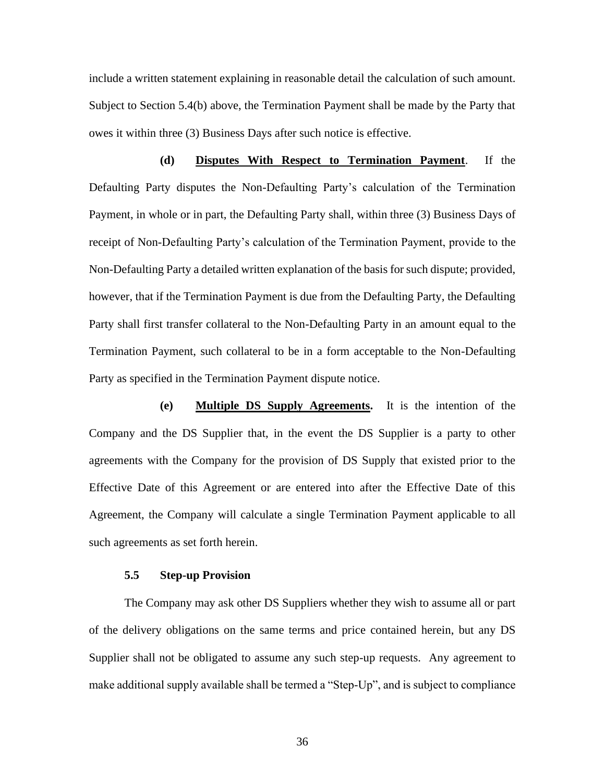include a written statement explaining in reasonable detail the calculation of such amount. Subject to Section 5.4(b) above, the Termination Payment shall be made by the Party that owes it within three (3) Business Days after such notice is effective.

**(d) Disputes With Respect to Termination Payment**. If the Defaulting Party disputes the Non-Defaulting Party's calculation of the Termination Payment, in whole or in part, the Defaulting Party shall, within three (3) Business Days of receipt of Non-Defaulting Party's calculation of the Termination Payment, provide to the Non-Defaulting Party a detailed written explanation of the basis for such dispute; provided, however, that if the Termination Payment is due from the Defaulting Party, the Defaulting Party shall first transfer collateral to the Non-Defaulting Party in an amount equal to the Termination Payment, such collateral to be in a form acceptable to the Non-Defaulting Party as specified in the Termination Payment dispute notice.

**(e) Multiple DS Supply Agreements.** It is the intention of the Company and the DS Supplier that, in the event the DS Supplier is a party to other agreements with the Company for the provision of DS Supply that existed prior to the Effective Date of this Agreement or are entered into after the Effective Date of this Agreement, the Company will calculate a single Termination Payment applicable to all such agreements as set forth herein.

### **5.5 Step-up Provision**

The Company may ask other DS Suppliers whether they wish to assume all or part of the delivery obligations on the same terms and price contained herein, but any DS Supplier shall not be obligated to assume any such step-up requests. Any agreement to make additional supply available shall be termed a "Step-Up", and is subject to compliance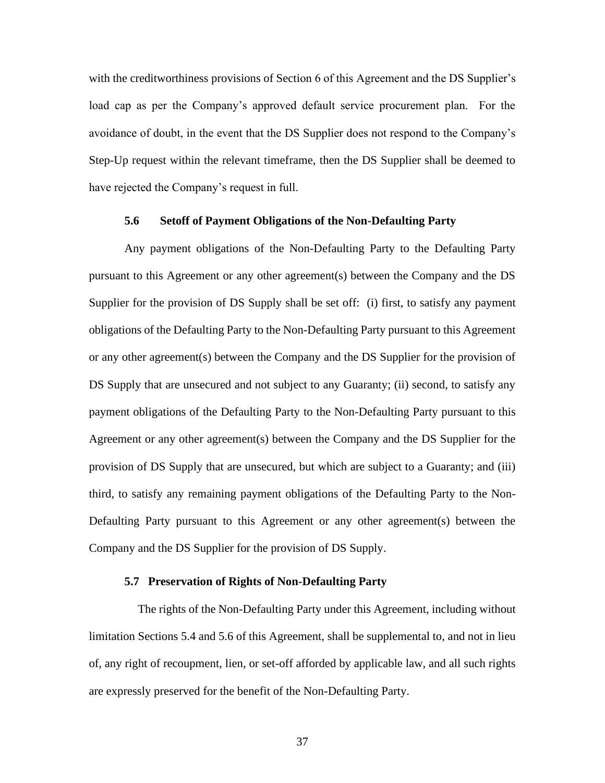with the creditworthiness provisions of Section 6 of this Agreement and the DS Supplier's load cap as per the Company's approved default service procurement plan. For the avoidance of doubt, in the event that the DS Supplier does not respond to the Company's Step-Up request within the relevant timeframe, then the DS Supplier shall be deemed to have rejected the Company's request in full.

#### **5.6 Setoff of Payment Obligations of the Non-Defaulting Party**

Any payment obligations of the Non-Defaulting Party to the Defaulting Party pursuant to this Agreement or any other agreement(s) between the Company and the DS Supplier for the provision of DS Supply shall be set off: (i) first, to satisfy any payment obligations of the Defaulting Party to the Non-Defaulting Party pursuant to this Agreement or any other agreement(s) between the Company and the DS Supplier for the provision of DS Supply that are unsecured and not subject to any Guaranty; (ii) second, to satisfy any payment obligations of the Defaulting Party to the Non-Defaulting Party pursuant to this Agreement or any other agreement(s) between the Company and the DS Supplier for the provision of DS Supply that are unsecured, but which are subject to a Guaranty; and (iii) third, to satisfy any remaining payment obligations of the Defaulting Party to the Non-Defaulting Party pursuant to this Agreement or any other agreement(s) between the Company and the DS Supplier for the provision of DS Supply.

### **5.7 Preservation of Rights of Non-Defaulting Party**

The rights of the Non-Defaulting Party under this Agreement, including without limitation Sections 5.4 and 5.6 of this Agreement, shall be supplemental to, and not in lieu of, any right of recoupment, lien, or set-off afforded by applicable law, and all such rights are expressly preserved for the benefit of the Non-Defaulting Party.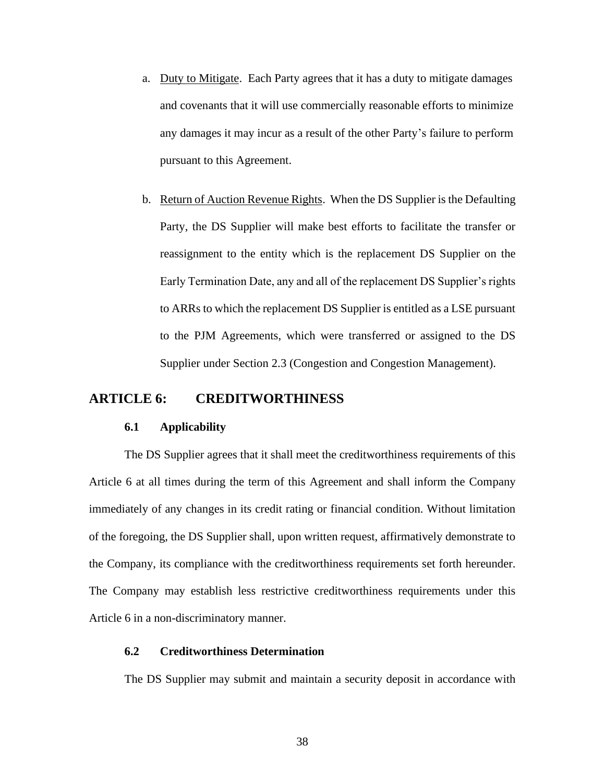- a. Duty to Mitigate. Each Party agrees that it has a duty to mitigate damages and covenants that it will use commercially reasonable efforts to minimize any damages it may incur as a result of the other Party's failure to perform pursuant to this Agreement.
- b. Return of Auction Revenue Rights. When the DS Supplier is the Defaulting Party, the DS Supplier will make best efforts to facilitate the transfer or reassignment to the entity which is the replacement DS Supplier on the Early Termination Date, any and all of the replacement DS Supplier's rights to ARRs to which the replacement DS Supplier is entitled as a LSE pursuant to the PJM Agreements, which were transferred or assigned to the DS Supplier under Section 2.3 (Congestion and Congestion Management).

## **ARTICLE 6: CREDITWORTHINESS**

#### **6.1 Applicability**

The DS Supplier agrees that it shall meet the creditworthiness requirements of this Article 6 at all times during the term of this Agreement and shall inform the Company immediately of any changes in its credit rating or financial condition. Without limitation of the foregoing, the DS Supplier shall, upon written request, affirmatively demonstrate to the Company, its compliance with the creditworthiness requirements set forth hereunder. The Company may establish less restrictive creditworthiness requirements under this Article 6 in a non-discriminatory manner.

### **6.2 Creditworthiness Determination**

The DS Supplier may submit and maintain a security deposit in accordance with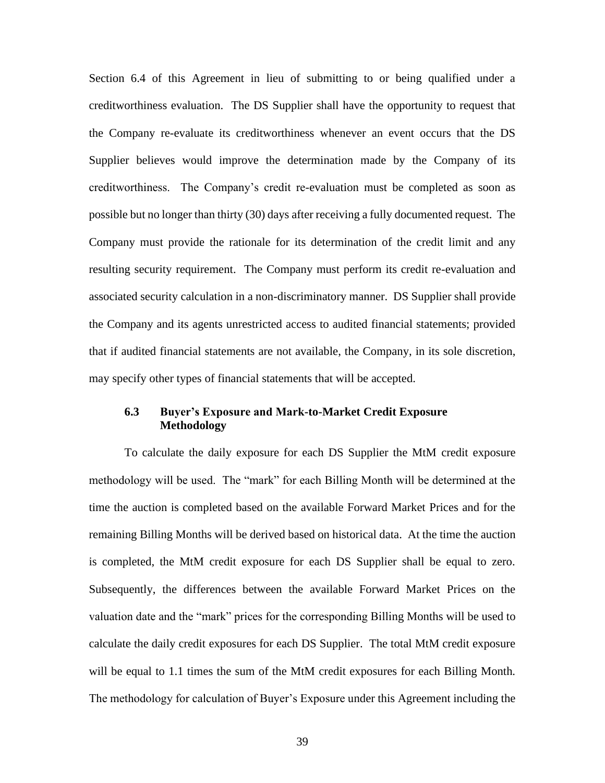Section 6.4 of this Agreement in lieu of submitting to or being qualified under a creditworthiness evaluation. The DS Supplier shall have the opportunity to request that the Company re-evaluate its creditworthiness whenever an event occurs that the DS Supplier believes would improve the determination made by the Company of its creditworthiness. The Company's credit re-evaluation must be completed as soon as possible but no longer than thirty (30) days after receiving a fully documented request. The Company must provide the rationale for its determination of the credit limit and any resulting security requirement. The Company must perform its credit re-evaluation and associated security calculation in a non-discriminatory manner. DS Supplier shall provide the Company and its agents unrestricted access to audited financial statements; provided that if audited financial statements are not available, the Company, in its sole discretion, may specify other types of financial statements that will be accepted.

### **6.3 Buyer's Exposure and Mark-to-Market Credit Exposure Methodology**

To calculate the daily exposure for each DS Supplier the MtM credit exposure methodology will be used. The "mark" for each Billing Month will be determined at the time the auction is completed based on the available Forward Market Prices and for the remaining Billing Months will be derived based on historical data. At the time the auction is completed, the MtM credit exposure for each DS Supplier shall be equal to zero. Subsequently, the differences between the available Forward Market Prices on the valuation date and the "mark" prices for the corresponding Billing Months will be used to calculate the daily credit exposures for each DS Supplier. The total MtM credit exposure will be equal to 1.1 times the sum of the MtM credit exposures for each Billing Month. The methodology for calculation of Buyer's Exposure under this Agreement including the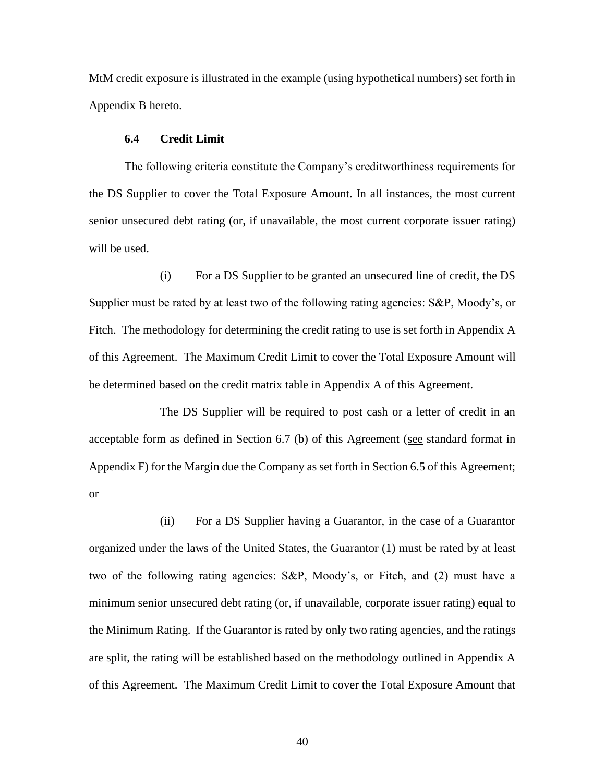MtM credit exposure is illustrated in the example (using hypothetical numbers) set forth in Appendix B hereto.

### **6.4 Credit Limit**

The following criteria constitute the Company's creditworthiness requirements for the DS Supplier to cover the Total Exposure Amount. In all instances, the most current senior unsecured debt rating (or, if unavailable, the most current corporate issuer rating) will be used.

(i) For a DS Supplier to be granted an unsecured line of credit, the DS Supplier must be rated by at least two of the following rating agencies: S&P, Moody's, or Fitch. The methodology for determining the credit rating to use is set forth in Appendix A of this Agreement. The Maximum Credit Limit to cover the Total Exposure Amount will be determined based on the credit matrix table in Appendix A of this Agreement.

The DS Supplier will be required to post cash or a letter of credit in an acceptable form as defined in Section 6.7 (b) of this Agreement (see standard format in Appendix F) for the Margin due the Company as set forth in Section 6.5 of this Agreement; or

(ii) For a DS Supplier having a Guarantor, in the case of a Guarantor organized under the laws of the United States, the Guarantor (1) must be rated by at least two of the following rating agencies: S&P, Moody's, or Fitch, and (2) must have a minimum senior unsecured debt rating (or, if unavailable, corporate issuer rating) equal to the Minimum Rating. If the Guarantor is rated by only two rating agencies, and the ratings are split, the rating will be established based on the methodology outlined in Appendix A of this Agreement. The Maximum Credit Limit to cover the Total Exposure Amount that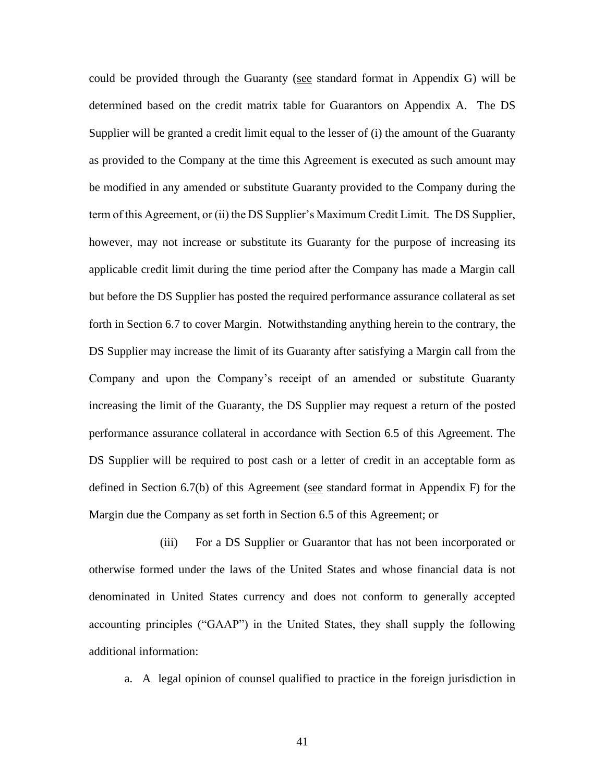could be provided through the Guaranty (see standard format in Appendix G) will be determined based on the credit matrix table for Guarantors on Appendix A. The DS Supplier will be granted a credit limit equal to the lesser of (i) the amount of the Guaranty as provided to the Company at the time this Agreement is executed as such amount may be modified in any amended or substitute Guaranty provided to the Company during the term of this Agreement, or (ii) the DS Supplier's Maximum Credit Limit. The DS Supplier, however, may not increase or substitute its Guaranty for the purpose of increasing its applicable credit limit during the time period after the Company has made a Margin call but before the DS Supplier has posted the required performance assurance collateral as set forth in Section 6.7 to cover Margin. Notwithstanding anything herein to the contrary, the DS Supplier may increase the limit of its Guaranty after satisfying a Margin call from the Company and upon the Company's receipt of an amended or substitute Guaranty increasing the limit of the Guaranty, the DS Supplier may request a return of the posted performance assurance collateral in accordance with Section 6.5 of this Agreement. The DS Supplier will be required to post cash or a letter of credit in an acceptable form as defined in Section 6.7(b) of this Agreement (see standard format in Appendix F) for the Margin due the Company as set forth in Section 6.5 of this Agreement; or

(iii) For a DS Supplier or Guarantor that has not been incorporated or otherwise formed under the laws of the United States and whose financial data is not denominated in United States currency and does not conform to generally accepted accounting principles ("GAAP") in the United States, they shall supply the following additional information:

a. A legal opinion of counsel qualified to practice in the foreign jurisdiction in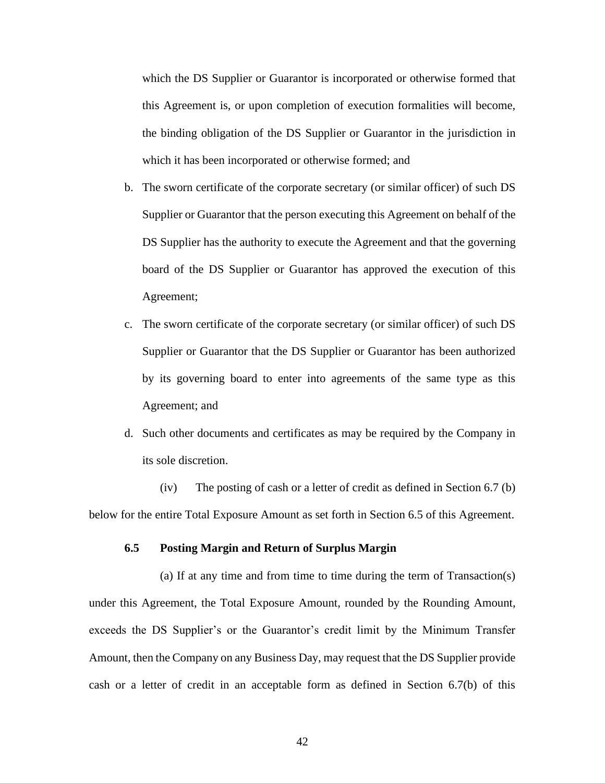which the DS Supplier or Guarantor is incorporated or otherwise formed that this Agreement is, or upon completion of execution formalities will become, the binding obligation of the DS Supplier or Guarantor in the jurisdiction in which it has been incorporated or otherwise formed; and

- b. The sworn certificate of the corporate secretary (or similar officer) of such DS Supplier or Guarantor that the person executing this Agreement on behalf of the DS Supplier has the authority to execute the Agreement and that the governing board of the DS Supplier or Guarantor has approved the execution of this Agreement;
- c. The sworn certificate of the corporate secretary (or similar officer) of such DS Supplier or Guarantor that the DS Supplier or Guarantor has been authorized by its governing board to enter into agreements of the same type as this Agreement; and
- d. Such other documents and certificates as may be required by the Company in its sole discretion.

(iv) The posting of cash or a letter of credit as defined in Section 6.7 (b) below for the entire Total Exposure Amount as set forth in Section 6.5 of this Agreement.

### **6.5 Posting Margin and Return of Surplus Margin**

(a) If at any time and from time to time during the term of Transaction(s) under this Agreement, the Total Exposure Amount, rounded by the Rounding Amount, exceeds the DS Supplier's or the Guarantor's credit limit by the Minimum Transfer Amount, then the Company on any Business Day, may request that the DS Supplier provide cash or a letter of credit in an acceptable form as defined in Section 6.7(b) of this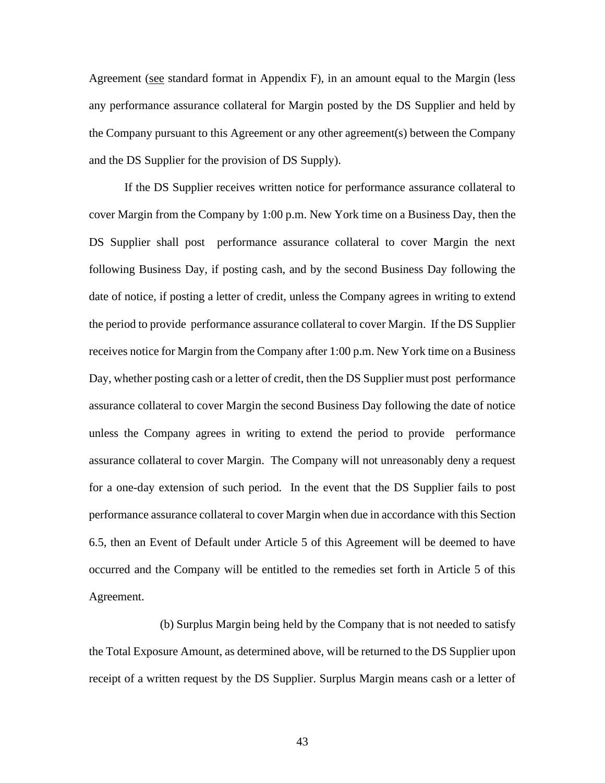Agreement (see standard format in Appendix F), in an amount equal to the Margin (less any performance assurance collateral for Margin posted by the DS Supplier and held by the Company pursuant to this Agreement or any other agreement(s) between the Company and the DS Supplier for the provision of DS Supply).

If the DS Supplier receives written notice for performance assurance collateral to cover Margin from the Company by 1:00 p.m. New York time on a Business Day, then the DS Supplier shall post performance assurance collateral to cover Margin the next following Business Day, if posting cash, and by the second Business Day following the date of notice, if posting a letter of credit, unless the Company agrees in writing to extend the period to provide performance assurance collateral to cover Margin. If the DS Supplier receives notice for Margin from the Company after 1:00 p.m. New York time on a Business Day, whether posting cash or a letter of credit, then the DS Supplier must post performance assurance collateral to cover Margin the second Business Day following the date of notice unless the Company agrees in writing to extend the period to provide performance assurance collateral to cover Margin. The Company will not unreasonably deny a request for a one-day extension of such period. In the event that the DS Supplier fails to post performance assurance collateral to cover Margin when due in accordance with this Section 6.5, then an Event of Default under Article 5 of this Agreement will be deemed to have occurred and the Company will be entitled to the remedies set forth in Article 5 of this Agreement.

(b) Surplus Margin being held by the Company that is not needed to satisfy the Total Exposure Amount, as determined above, will be returned to the DS Supplier upon receipt of a written request by the DS Supplier. Surplus Margin means cash or a letter of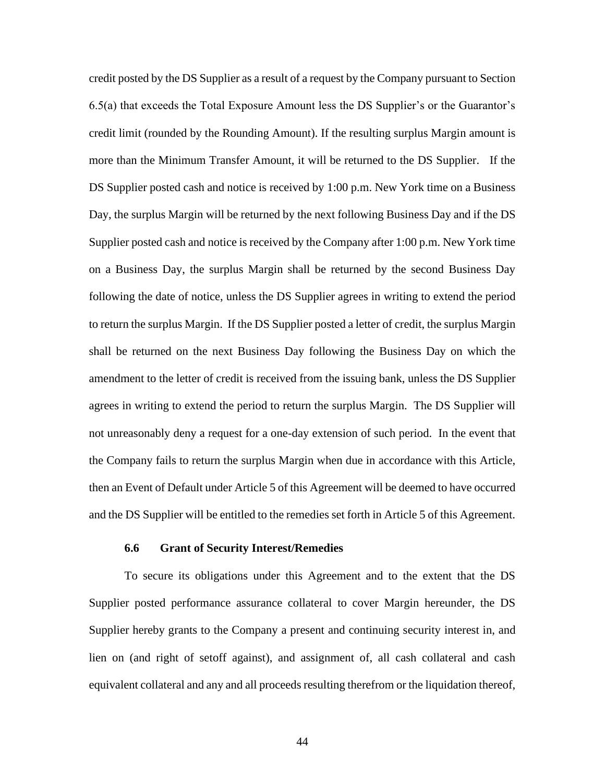credit posted by the DS Supplier as a result of a request by the Company pursuant to Section 6.5(a) that exceeds the Total Exposure Amount less the DS Supplier's or the Guarantor's credit limit (rounded by the Rounding Amount). If the resulting surplus Margin amount is more than the Minimum Transfer Amount, it will be returned to the DS Supplier. If the DS Supplier posted cash and notice is received by 1:00 p.m. New York time on a Business Day, the surplus Margin will be returned by the next following Business Day and if the DS Supplier posted cash and notice is received by the Company after 1:00 p.m. New York time on a Business Day, the surplus Margin shall be returned by the second Business Day following the date of notice, unless the DS Supplier agrees in writing to extend the period to return the surplus Margin. If the DS Supplier posted a letter of credit, the surplus Margin shall be returned on the next Business Day following the Business Day on which the amendment to the letter of credit is received from the issuing bank, unless the DS Supplier agrees in writing to extend the period to return the surplus Margin. The DS Supplier will not unreasonably deny a request for a one-day extension of such period. In the event that the Company fails to return the surplus Margin when due in accordance with this Article, then an Event of Default under Article 5 of this Agreement will be deemed to have occurred and the DS Supplier will be entitled to the remedies set forth in Article 5 of this Agreement.

#### **6.6 Grant of Security Interest/Remedies**

To secure its obligations under this Agreement and to the extent that the DS Supplier posted performance assurance collateral to cover Margin hereunder, the DS Supplier hereby grants to the Company a present and continuing security interest in, and lien on (and right of setoff against), and assignment of, all cash collateral and cash equivalent collateral and any and all proceeds resulting therefrom or the liquidation thereof,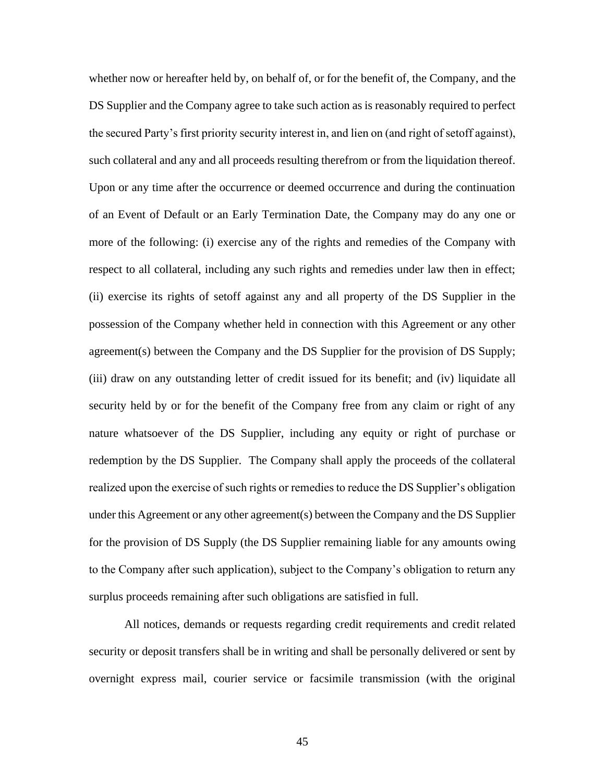whether now or hereafter held by, on behalf of, or for the benefit of, the Company, and the DS Supplier and the Company agree to take such action as is reasonably required to perfect the secured Party's first priority security interest in, and lien on (and right of setoff against), such collateral and any and all proceeds resulting therefrom or from the liquidation thereof. Upon or any time after the occurrence or deemed occurrence and during the continuation of an Event of Default or an Early Termination Date, the Company may do any one or more of the following: (i) exercise any of the rights and remedies of the Company with respect to all collateral, including any such rights and remedies under law then in effect; (ii) exercise its rights of setoff against any and all property of the DS Supplier in the possession of the Company whether held in connection with this Agreement or any other agreement(s) between the Company and the DS Supplier for the provision of DS Supply; (iii) draw on any outstanding letter of credit issued for its benefit; and (iv) liquidate all security held by or for the benefit of the Company free from any claim or right of any nature whatsoever of the DS Supplier, including any equity or right of purchase or redemption by the DS Supplier. The Company shall apply the proceeds of the collateral realized upon the exercise of such rights or remedies to reduce the DS Supplier's obligation under this Agreement or any other agreement(s) between the Company and the DS Supplier for the provision of DS Supply (the DS Supplier remaining liable for any amounts owing to the Company after such application), subject to the Company's obligation to return any surplus proceeds remaining after such obligations are satisfied in full.

All notices, demands or requests regarding credit requirements and credit related security or deposit transfers shall be in writing and shall be personally delivered or sent by overnight express mail, courier service or facsimile transmission (with the original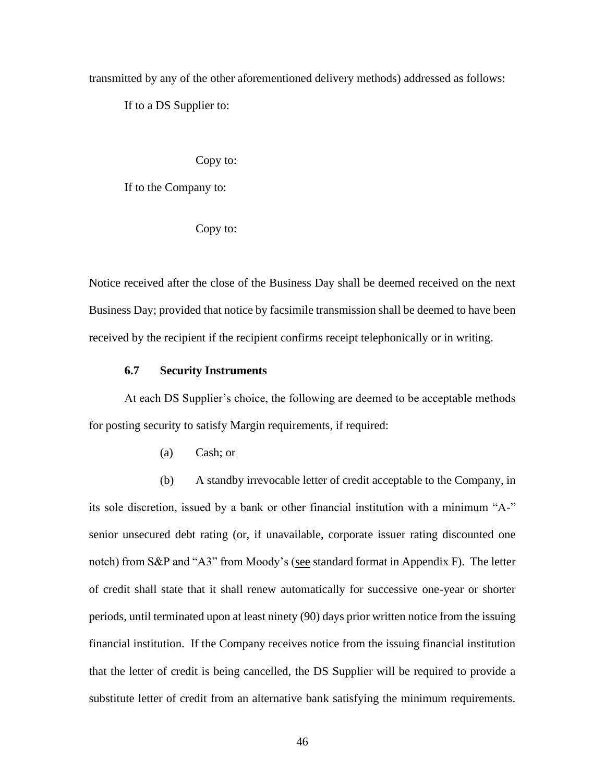transmitted by any of the other aforementioned delivery methods) addressed as follows:

If to a DS Supplier to:

Copy to:

If to the Company to:

Copy to:

Notice received after the close of the Business Day shall be deemed received on the next Business Day; provided that notice by facsimile transmission shall be deemed to have been received by the recipient if the recipient confirms receipt telephonically or in writing.

### **6.7 Security Instruments**

At each DS Supplier's choice, the following are deemed to be acceptable methods for posting security to satisfy Margin requirements, if required:

(a) Cash; or

(b) A standby irrevocable letter of credit acceptable to the Company, in its sole discretion, issued by a bank or other financial institution with a minimum "A-" senior unsecured debt rating (or, if unavailable, corporate issuer rating discounted one notch) from S&P and "A3" from Moody's (see standard format in Appendix F). The letter of credit shall state that it shall renew automatically for successive one-year or shorter periods, until terminated upon at least ninety (90) days prior written notice from the issuing financial institution. If the Company receives notice from the issuing financial institution that the letter of credit is being cancelled, the DS Supplier will be required to provide a substitute letter of credit from an alternative bank satisfying the minimum requirements.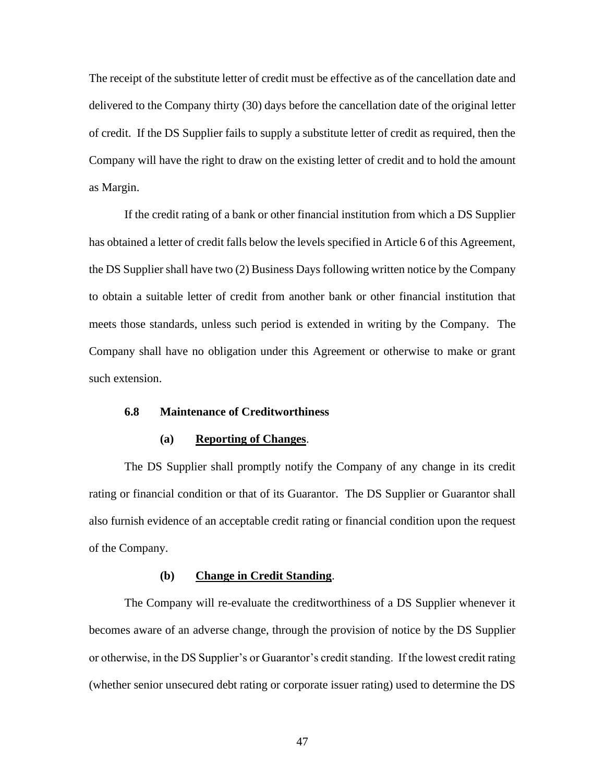The receipt of the substitute letter of credit must be effective as of the cancellation date and delivered to the Company thirty (30) days before the cancellation date of the original letter of credit. If the DS Supplier fails to supply a substitute letter of credit as required, then the Company will have the right to draw on the existing letter of credit and to hold the amount as Margin.

If the credit rating of a bank or other financial institution from which a DS Supplier has obtained a letter of credit falls below the levels specified in Article 6 of this Agreement, the DS Supplier shall have two (2) Business Days following written notice by the Company to obtain a suitable letter of credit from another bank or other financial institution that meets those standards, unless such period is extended in writing by the Company. The Company shall have no obligation under this Agreement or otherwise to make or grant such extension.

### **6.8 Maintenance of Creditworthiness**

### **(a) Reporting of Changes**.

The DS Supplier shall promptly notify the Company of any change in its credit rating or financial condition or that of its Guarantor. The DS Supplier or Guarantor shall also furnish evidence of an acceptable credit rating or financial condition upon the request of the Company.

### **(b) Change in Credit Standing**.

The Company will re-evaluate the creditworthiness of a DS Supplier whenever it becomes aware of an adverse change, through the provision of notice by the DS Supplier or otherwise, in the DS Supplier's or Guarantor's credit standing. If the lowest credit rating (whether senior unsecured debt rating or corporate issuer rating) used to determine the DS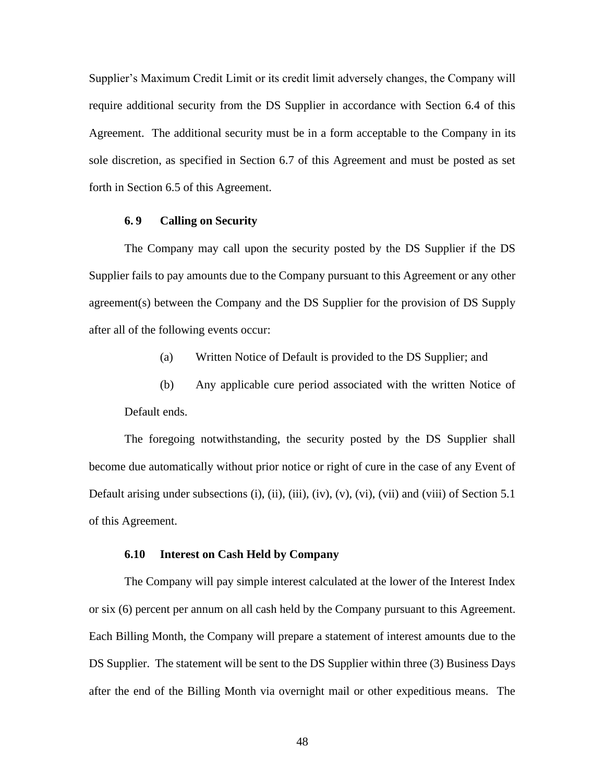Supplier's Maximum Credit Limit or its credit limit adversely changes, the Company will require additional security from the DS Supplier in accordance with Section 6.4 of this Agreement. The additional security must be in a form acceptable to the Company in its sole discretion, as specified in Section 6.7 of this Agreement and must be posted as set forth in Section 6.5 of this Agreement.

### **6. 9 Calling on Security**

The Company may call upon the security posted by the DS Supplier if the DS Supplier fails to pay amounts due to the Company pursuant to this Agreement or any other agreement(s) between the Company and the DS Supplier for the provision of DS Supply after all of the following events occur:

- (a) Written Notice of Default is provided to the DS Supplier; and
- (b) Any applicable cure period associated with the written Notice of Default ends.

The foregoing notwithstanding, the security posted by the DS Supplier shall become due automatically without prior notice or right of cure in the case of any Event of Default arising under subsections (i), (ii), (iii), (iv), (v), (vi), (vii) and (viii) of Section 5.1 of this Agreement.

### **6.10 Interest on Cash Held by Company**

The Company will pay simple interest calculated at the lower of the Interest Index or six (6) percent per annum on all cash held by the Company pursuant to this Agreement. Each Billing Month, the Company will prepare a statement of interest amounts due to the DS Supplier. The statement will be sent to the DS Supplier within three (3) Business Days after the end of the Billing Month via overnight mail or other expeditious means. The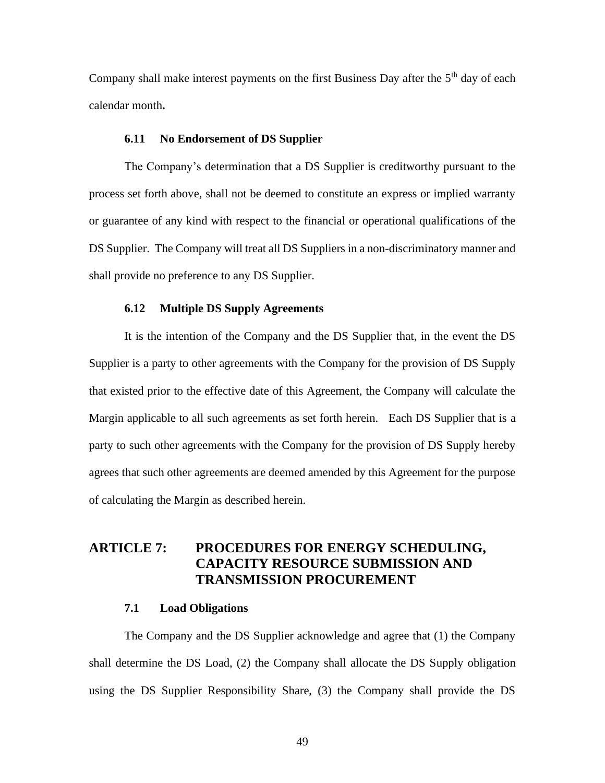Company shall make interest payments on the first Business Day after the  $5<sup>th</sup>$  day of each calendar month**.**

### **6.11 No Endorsement of DS Supplier**

The Company's determination that a DS Supplier is creditworthy pursuant to the process set forth above, shall not be deemed to constitute an express or implied warranty or guarantee of any kind with respect to the financial or operational qualifications of the DS Supplier. The Company will treat all DS Suppliers in a non-discriminatory manner and shall provide no preference to any DS Supplier.

### **6.12 Multiple DS Supply Agreements**

It is the intention of the Company and the DS Supplier that, in the event the DS Supplier is a party to other agreements with the Company for the provision of DS Supply that existed prior to the effective date of this Agreement, the Company will calculate the Margin applicable to all such agreements as set forth herein. Each DS Supplier that is a party to such other agreements with the Company for the provision of DS Supply hereby agrees that such other agreements are deemed amended by this Agreement for the purpose of calculating the Margin as described herein.

# **ARTICLE 7: PROCEDURES FOR ENERGY SCHEDULING, CAPACITY RESOURCE SUBMISSION AND TRANSMISSION PROCUREMENT**

### **7.1 Load Obligations**

The Company and the DS Supplier acknowledge and agree that (1) the Company shall determine the DS Load, (2) the Company shall allocate the DS Supply obligation using the DS Supplier Responsibility Share, (3) the Company shall provide the DS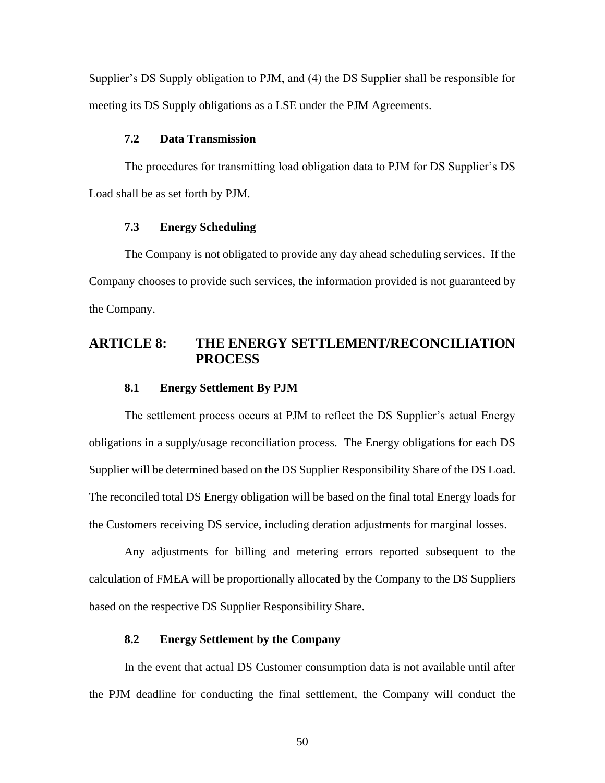Supplier's DS Supply obligation to PJM, and (4) the DS Supplier shall be responsible for meeting its DS Supply obligations as a LSE under the PJM Agreements.

### **7.2 Data Transmission**

The procedures for transmitting load obligation data to PJM for DS Supplier's DS Load shall be as set forth by PJM.

### **7.3 Energy Scheduling**

The Company is not obligated to provide any day ahead scheduling services. If the Company chooses to provide such services, the information provided is not guaranteed by the Company.

# **ARTICLE 8: THE ENERGY SETTLEMENT/RECONCILIATION PROCESS**

### **8.1 Energy Settlement By PJM**

The settlement process occurs at PJM to reflect the DS Supplier's actual Energy obligations in a supply/usage reconciliation process. The Energy obligations for each DS Supplier will be determined based on the DS Supplier Responsibility Share of the DS Load. The reconciled total DS Energy obligation will be based on the final total Energy loads for the Customers receiving DS service, including deration adjustments for marginal losses.

Any adjustments for billing and metering errors reported subsequent to the calculation of FMEA will be proportionally allocated by the Company to the DS Suppliers based on the respective DS Supplier Responsibility Share.

### **8.2 Energy Settlement by the Company**

In the event that actual DS Customer consumption data is not available until after the PJM deadline for conducting the final settlement, the Company will conduct the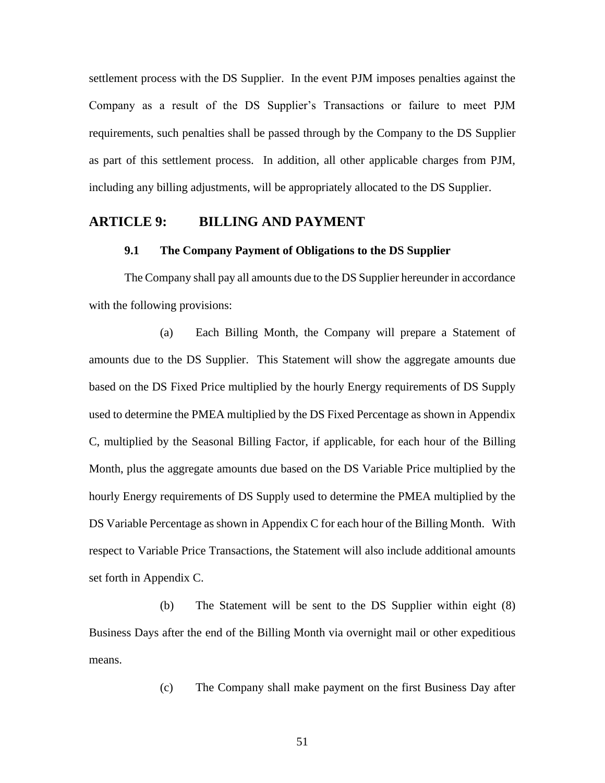settlement process with the DS Supplier. In the event PJM imposes penalties against the Company as a result of the DS Supplier's Transactions or failure to meet PJM requirements, such penalties shall be passed through by the Company to the DS Supplier as part of this settlement process. In addition, all other applicable charges from PJM, including any billing adjustments, will be appropriately allocated to the DS Supplier.

### **ARTICLE 9: BILLING AND PAYMENT**

### **9.1 The Company Payment of Obligations to the DS Supplier**

The Company shall pay all amounts due to the DS Supplier hereunder in accordance with the following provisions:

(a) Each Billing Month, the Company will prepare a Statement of amounts due to the DS Supplier. This Statement will show the aggregate amounts due based on the DS Fixed Price multiplied by the hourly Energy requirements of DS Supply used to determine the PMEA multiplied by the DS Fixed Percentage as shown in Appendix C, multiplied by the Seasonal Billing Factor, if applicable, for each hour of the Billing Month, plus the aggregate amounts due based on the DS Variable Price multiplied by the hourly Energy requirements of DS Supply used to determine the PMEA multiplied by the DS Variable Percentage as shown in Appendix C for each hour of the Billing Month. With respect to Variable Price Transactions, the Statement will also include additional amounts set forth in Appendix C.

(b) The Statement will be sent to the DS Supplier within eight (8) Business Days after the end of the Billing Month via overnight mail or other expeditious means.

(c) The Company shall make payment on the first Business Day after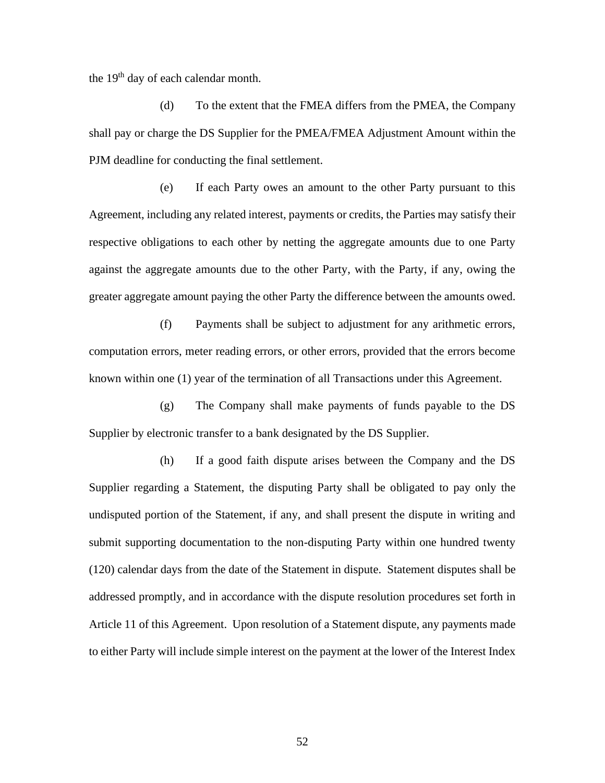the 19<sup>th</sup> day of each calendar month.

(d) To the extent that the FMEA differs from the PMEA, the Company shall pay or charge the DS Supplier for the PMEA/FMEA Adjustment Amount within the PJM deadline for conducting the final settlement.

(e) If each Party owes an amount to the other Party pursuant to this Agreement, including any related interest, payments or credits, the Parties may satisfy their respective obligations to each other by netting the aggregate amounts due to one Party against the aggregate amounts due to the other Party, with the Party, if any, owing the greater aggregate amount paying the other Party the difference between the amounts owed.

(f) Payments shall be subject to adjustment for any arithmetic errors, computation errors, meter reading errors, or other errors, provided that the errors become known within one (1) year of the termination of all Transactions under this Agreement.

(g) The Company shall make payments of funds payable to the DS Supplier by electronic transfer to a bank designated by the DS Supplier.

(h) If a good faith dispute arises between the Company and the DS Supplier regarding a Statement, the disputing Party shall be obligated to pay only the undisputed portion of the Statement, if any, and shall present the dispute in writing and submit supporting documentation to the non-disputing Party within one hundred twenty (120) calendar days from the date of the Statement in dispute. Statement disputes shall be addressed promptly, and in accordance with the dispute resolution procedures set forth in Article 11 of this Agreement. Upon resolution of a Statement dispute, any payments made to either Party will include simple interest on the payment at the lower of the Interest Index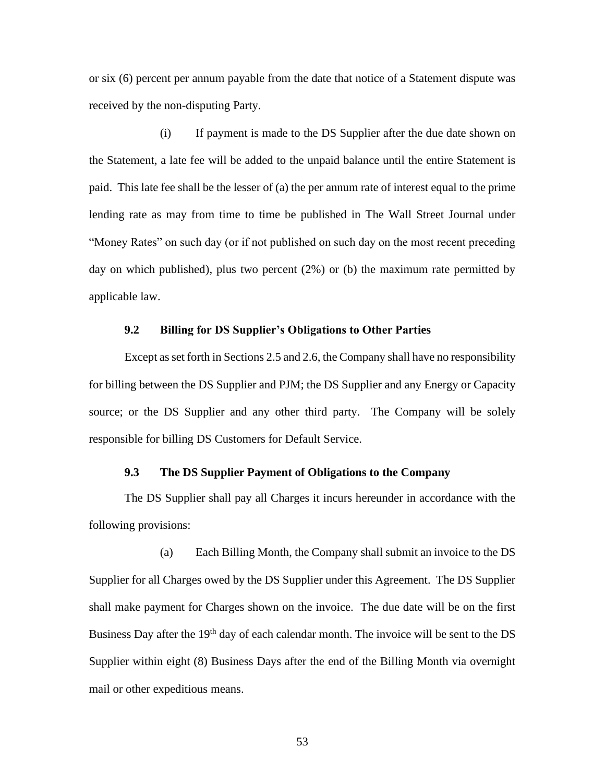or six (6) percent per annum payable from the date that notice of a Statement dispute was received by the non-disputing Party.

(i) If payment is made to the DS Supplier after the due date shown on the Statement, a late fee will be added to the unpaid balance until the entire Statement is paid. This late fee shall be the lesser of (a) the per annum rate of interest equal to the prime lending rate as may from time to time be published in The Wall Street Journal under "Money Rates" on such day (or if not published on such day on the most recent preceding day on which published), plus two percent (2%) or (b) the maximum rate permitted by applicable law.

### **9.2 Billing for DS Supplier's Obligations to Other Parties**

Except as set forth in Sections 2.5 and 2.6, the Company shall have no responsibility for billing between the DS Supplier and PJM; the DS Supplier and any Energy or Capacity source; or the DS Supplier and any other third party. The Company will be solely responsible for billing DS Customers for Default Service.

### **9.3 The DS Supplier Payment of Obligations to the Company**

The DS Supplier shall pay all Charges it incurs hereunder in accordance with the following provisions:

(a) Each Billing Month, the Company shall submit an invoice to the DS Supplier for all Charges owed by the DS Supplier under this Agreement. The DS Supplier shall make payment for Charges shown on the invoice. The due date will be on the first Business Day after the  $19<sup>th</sup>$  day of each calendar month. The invoice will be sent to the DS Supplier within eight (8) Business Days after the end of the Billing Month via overnight mail or other expeditious means.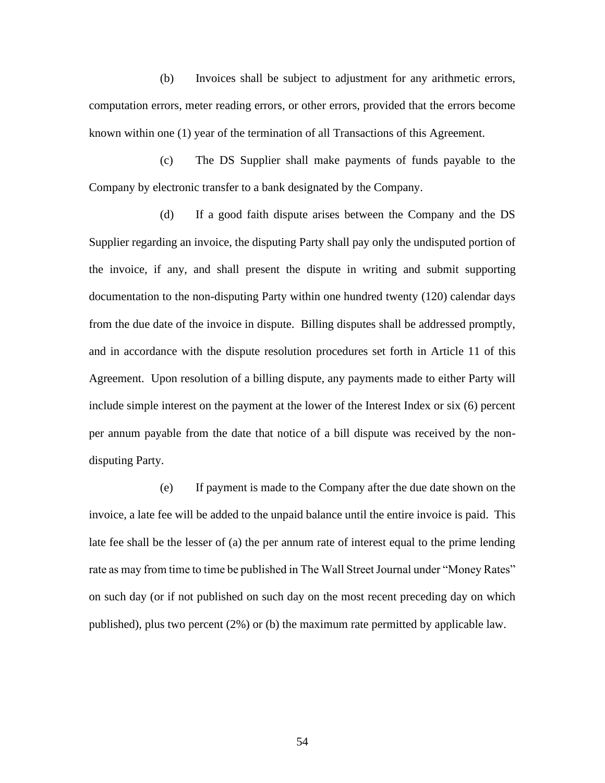(b) Invoices shall be subject to adjustment for any arithmetic errors, computation errors, meter reading errors, or other errors, provided that the errors become known within one (1) year of the termination of all Transactions of this Agreement.

(c) The DS Supplier shall make payments of funds payable to the Company by electronic transfer to a bank designated by the Company.

(d) If a good faith dispute arises between the Company and the DS Supplier regarding an invoice, the disputing Party shall pay only the undisputed portion of the invoice, if any, and shall present the dispute in writing and submit supporting documentation to the non-disputing Party within one hundred twenty (120) calendar days from the due date of the invoice in dispute. Billing disputes shall be addressed promptly, and in accordance with the dispute resolution procedures set forth in Article 11 of this Agreement. Upon resolution of a billing dispute, any payments made to either Party will include simple interest on the payment at the lower of the Interest Index or six (6) percent per annum payable from the date that notice of a bill dispute was received by the nondisputing Party.

(e) If payment is made to the Company after the due date shown on the invoice, a late fee will be added to the unpaid balance until the entire invoice is paid. This late fee shall be the lesser of (a) the per annum rate of interest equal to the prime lending rate as may from time to time be published in The Wall Street Journal under "Money Rates" on such day (or if not published on such day on the most recent preceding day on which published), plus two percent (2%) or (b) the maximum rate permitted by applicable law.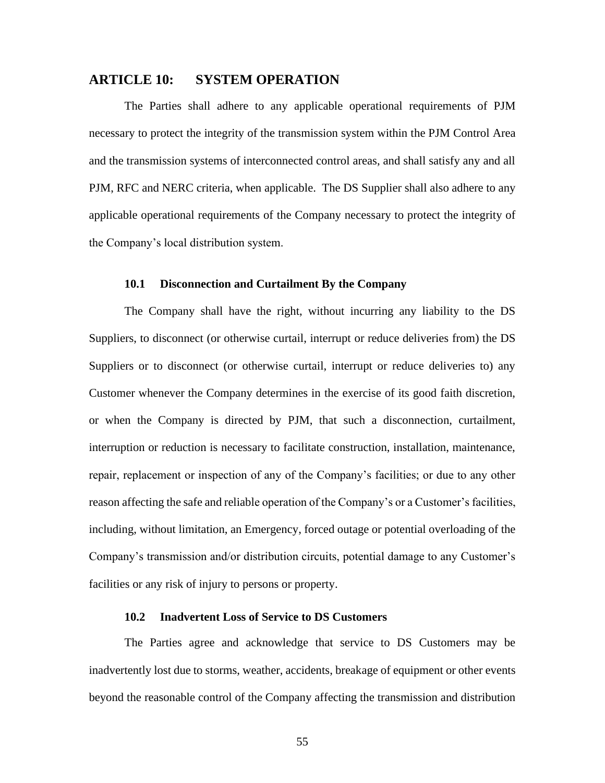### **ARTICLE 10: SYSTEM OPERATION**

The Parties shall adhere to any applicable operational requirements of PJM necessary to protect the integrity of the transmission system within the PJM Control Area and the transmission systems of interconnected control areas, and shall satisfy any and all PJM, RFC and NERC criteria, when applicable. The DS Supplier shall also adhere to any applicable operational requirements of the Company necessary to protect the integrity of the Company's local distribution system.

### **10.1 Disconnection and Curtailment By the Company**

The Company shall have the right, without incurring any liability to the DS Suppliers, to disconnect (or otherwise curtail, interrupt or reduce deliveries from) the DS Suppliers or to disconnect (or otherwise curtail, interrupt or reduce deliveries to) any Customer whenever the Company determines in the exercise of its good faith discretion, or when the Company is directed by PJM, that such a disconnection, curtailment, interruption or reduction is necessary to facilitate construction, installation, maintenance, repair, replacement or inspection of any of the Company's facilities; or due to any other reason affecting the safe and reliable operation of the Company's or a Customer's facilities, including, without limitation, an Emergency, forced outage or potential overloading of the Company's transmission and/or distribution circuits, potential damage to any Customer's facilities or any risk of injury to persons or property.

### **10.2 Inadvertent Loss of Service to DS Customers**

The Parties agree and acknowledge that service to DS Customers may be inadvertently lost due to storms, weather, accidents, breakage of equipment or other events beyond the reasonable control of the Company affecting the transmission and distribution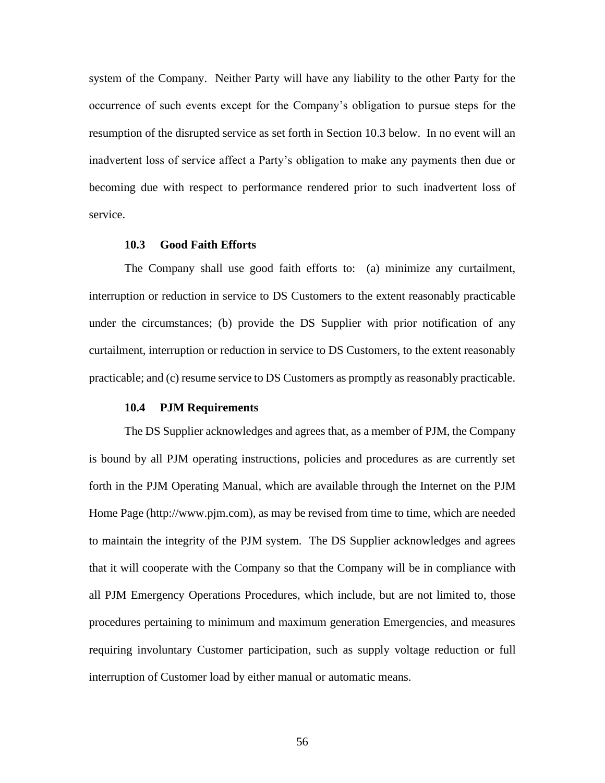system of the Company. Neither Party will have any liability to the other Party for the occurrence of such events except for the Company's obligation to pursue steps for the resumption of the disrupted service as set forth in Section 10.3 below. In no event will an inadvertent loss of service affect a Party's obligation to make any payments then due or becoming due with respect to performance rendered prior to such inadvertent loss of service.

### **10.3 Good Faith Efforts**

The Company shall use good faith efforts to: (a) minimize any curtailment, interruption or reduction in service to DS Customers to the extent reasonably practicable under the circumstances; (b) provide the DS Supplier with prior notification of any curtailment, interruption or reduction in service to DS Customers, to the extent reasonably practicable; and (c) resume service to DS Customers as promptly as reasonably practicable.

### **10.4 PJM Requirements**

The DS Supplier acknowledges and agrees that, as a member of PJM, the Company is bound by all PJM operating instructions, policies and procedures as are currently set forth in the PJM Operating Manual, which are available through the Internet on the PJM Home Page (http://www.pjm.com), as may be revised from time to time, which are needed to maintain the integrity of the PJM system. The DS Supplier acknowledges and agrees that it will cooperate with the Company so that the Company will be in compliance with all PJM Emergency Operations Procedures, which include, but are not limited to, those procedures pertaining to minimum and maximum generation Emergencies, and measures requiring involuntary Customer participation, such as supply voltage reduction or full interruption of Customer load by either manual or automatic means.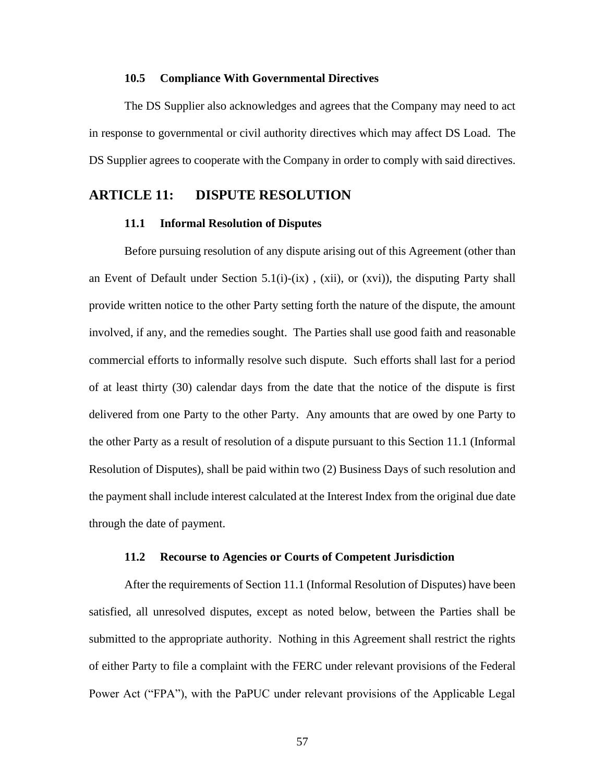#### **10.5 Compliance With Governmental Directives**

The DS Supplier also acknowledges and agrees that the Company may need to act in response to governmental or civil authority directives which may affect DS Load. The DS Supplier agrees to cooperate with the Company in order to comply with said directives.

## **ARTICLE 11: DISPUTE RESOLUTION**

### **11.1 Informal Resolution of Disputes**

Before pursuing resolution of any dispute arising out of this Agreement (other than an Event of Default under Section 5.1(i)-(ix), (xii), or (xvi)), the disputing Party shall provide written notice to the other Party setting forth the nature of the dispute, the amount involved, if any, and the remedies sought. The Parties shall use good faith and reasonable commercial efforts to informally resolve such dispute. Such efforts shall last for a period of at least thirty (30) calendar days from the date that the notice of the dispute is first delivered from one Party to the other Party. Any amounts that are owed by one Party to the other Party as a result of resolution of a dispute pursuant to this Section 11.1 (Informal Resolution of Disputes), shall be paid within two (2) Business Days of such resolution and the payment shall include interest calculated at the Interest Index from the original due date through the date of payment.

#### **11.2 Recourse to Agencies or Courts of Competent Jurisdiction**

After the requirements of Section 11.1 (Informal Resolution of Disputes) have been satisfied, all unresolved disputes, except as noted below, between the Parties shall be submitted to the appropriate authority. Nothing in this Agreement shall restrict the rights of either Party to file a complaint with the FERC under relevant provisions of the Federal Power Act ("FPA"), with the PaPUC under relevant provisions of the Applicable Legal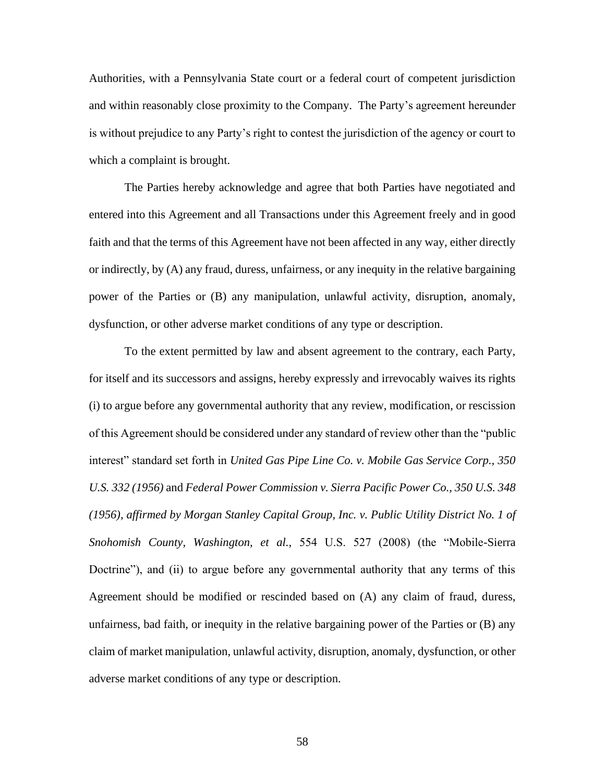Authorities, with a Pennsylvania State court or a federal court of competent jurisdiction and within reasonably close proximity to the Company. The Party's agreement hereunder is without prejudice to any Party's right to contest the jurisdiction of the agency or court to which a complaint is brought.

The Parties hereby acknowledge and agree that both Parties have negotiated and entered into this Agreement and all Transactions under this Agreement freely and in good faith and that the terms of this Agreement have not been affected in any way, either directly or indirectly, by (A) any fraud, duress, unfairness, or any inequity in the relative bargaining power of the Parties or (B) any manipulation, unlawful activity, disruption, anomaly, dysfunction, or other adverse market conditions of any type or description.

To the extent permitted by law and absent agreement to the contrary, each Party, for itself and its successors and assigns, hereby expressly and irrevocably waives its rights (i) to argue before any governmental authority that any review, modification, or rescission of this Agreement should be considered under any standard of review other than the "public interest" standard set forth in *United Gas Pipe Line Co. v. Mobile Gas Service Corp., 350 U.S. 332 (1956)* and *Federal Power Commission v. Sierra Pacific Power Co., 350 U.S. 348 (1956), affirmed by Morgan Stanley Capital Group, Inc. v. Public Utility District No. 1 of Snohomish County, Washington, et al.,* 554 U.S. 527 (2008) (the "Mobile-Sierra Doctrine"), and (ii) to argue before any governmental authority that any terms of this Agreement should be modified or rescinded based on (A) any claim of fraud, duress, unfairness, bad faith, or inequity in the relative bargaining power of the Parties or (B) any claim of market manipulation, unlawful activity, disruption, anomaly, dysfunction, or other adverse market conditions of any type or description.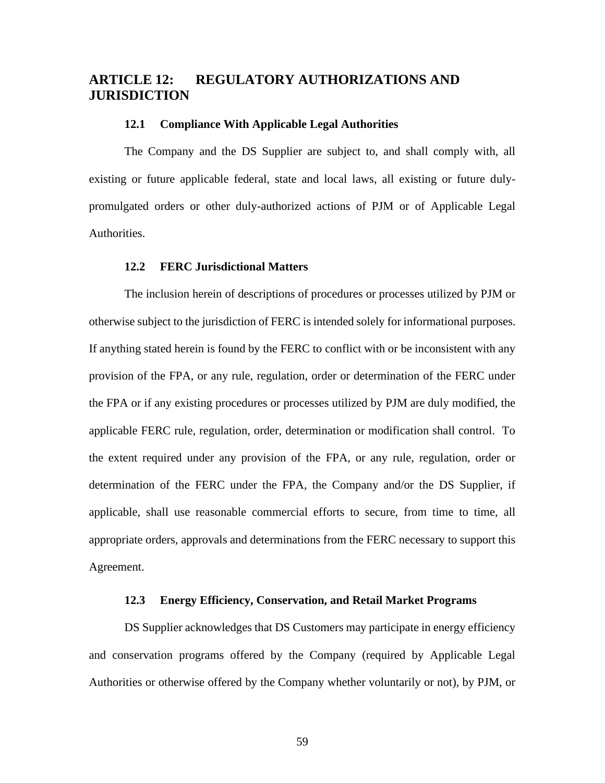# **ARTICLE 12: REGULATORY AUTHORIZATIONS AND JURISDICTION**

### **12.1 Compliance With Applicable Legal Authorities**

The Company and the DS Supplier are subject to, and shall comply with, all existing or future applicable federal, state and local laws, all existing or future dulypromulgated orders or other duly-authorized actions of PJM or of Applicable Legal Authorities.

### **12.2 FERC Jurisdictional Matters**

The inclusion herein of descriptions of procedures or processes utilized by PJM or otherwise subject to the jurisdiction of FERC is intended solely for informational purposes. If anything stated herein is found by the FERC to conflict with or be inconsistent with any provision of the FPA, or any rule, regulation, order or determination of the FERC under the FPA or if any existing procedures or processes utilized by PJM are duly modified, the applicable FERC rule, regulation, order, determination or modification shall control. To the extent required under any provision of the FPA, or any rule, regulation, order or determination of the FERC under the FPA, the Company and/or the DS Supplier, if applicable, shall use reasonable commercial efforts to secure, from time to time, all appropriate orders, approvals and determinations from the FERC necessary to support this Agreement.

### **12.3 Energy Efficiency, Conservation, and Retail Market Programs**

DS Supplier acknowledges that DS Customers may participate in energy efficiency and conservation programs offered by the Company (required by Applicable Legal Authorities or otherwise offered by the Company whether voluntarily or not), by PJM, or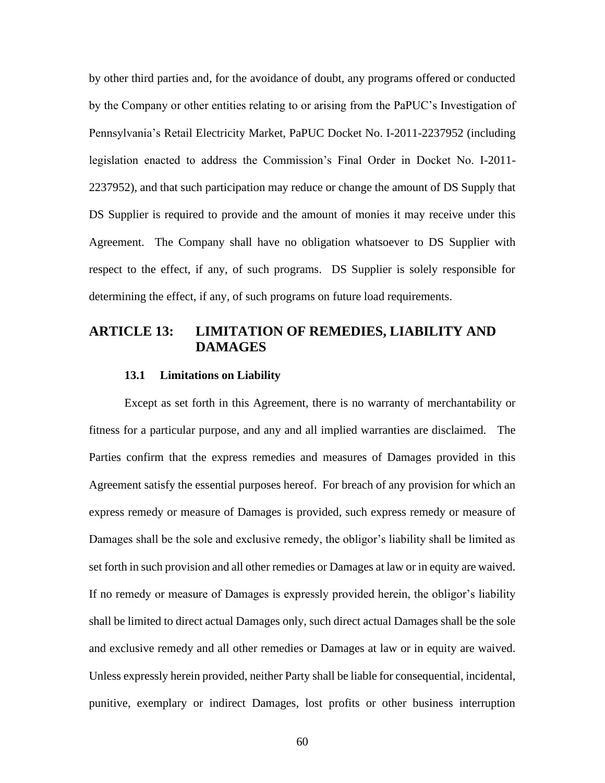by other third parties and, for the avoidance of doubt, any programs offered or conducted by the Company or other entities relating to or arising from the PaPUC's Investigation of Pennsylvania's Retail Electricity Market, PaPUC Docket No. I-2011-2237952 (including legislation enacted to address the Commission's Final Order in Docket No. I-2011- 2237952), and that such participation may reduce or change the amount of DS Supply that DS Supplier is required to provide and the amount of monies it may receive under this Agreement. The Company shall have no obligation whatsoever to DS Supplier with respect to the effect, if any, of such programs. DS Supplier is solely responsible for determining the effect, if any, of such programs on future load requirements.

## **ARTICLE 13: LIMITATION OF REMEDIES, LIABILITY AND DAMAGES**

### **13.1 Limitations on Liability**

Except as set forth in this Agreement, there is no warranty of merchantability or fitness for a particular purpose, and any and all implied warranties are disclaimed. The Parties confirm that the express remedies and measures of Damages provided in this Agreement satisfy the essential purposes hereof. For breach of any provision for which an express remedy or measure of Damages is provided, such express remedy or measure of Damages shall be the sole and exclusive remedy, the obligor's liability shall be limited as set forth in such provision and all other remedies or Damages at law or in equity are waived. If no remedy or measure of Damages is expressly provided herein, the obligor's liability shall be limited to direct actual Damages only, such direct actual Damages shall be the sole and exclusive remedy and all other remedies or Damages at law or in equity are waived. Unless expressly herein provided, neither Party shall be liable for consequential, incidental, punitive, exemplary or indirect Damages, lost profits or other business interruption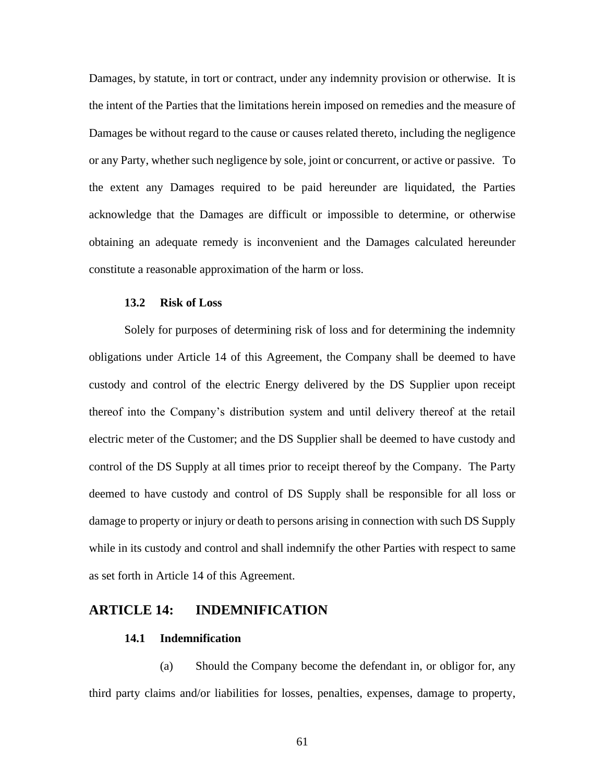Damages, by statute, in tort or contract, under any indemnity provision or otherwise. It is the intent of the Parties that the limitations herein imposed on remedies and the measure of Damages be without regard to the cause or causes related thereto, including the negligence or any Party, whether such negligence by sole, joint or concurrent, or active or passive. To the extent any Damages required to be paid hereunder are liquidated, the Parties acknowledge that the Damages are difficult or impossible to determine, or otherwise obtaining an adequate remedy is inconvenient and the Damages calculated hereunder constitute a reasonable approximation of the harm or loss.

### **13.2 Risk of Loss**

Solely for purposes of determining risk of loss and for determining the indemnity obligations under Article 14 of this Agreement, the Company shall be deemed to have custody and control of the electric Energy delivered by the DS Supplier upon receipt thereof into the Company's distribution system and until delivery thereof at the retail electric meter of the Customer; and the DS Supplier shall be deemed to have custody and control of the DS Supply at all times prior to receipt thereof by the Company. The Party deemed to have custody and control of DS Supply shall be responsible for all loss or damage to property or injury or death to persons arising in connection with such DS Supply while in its custody and control and shall indemnify the other Parties with respect to same as set forth in Article 14 of this Agreement.

## **ARTICLE 14: INDEMNIFICATION**

### **14.1 Indemnification**

(a) Should the Company become the defendant in, or obligor for, any third party claims and/or liabilities for losses, penalties, expenses, damage to property,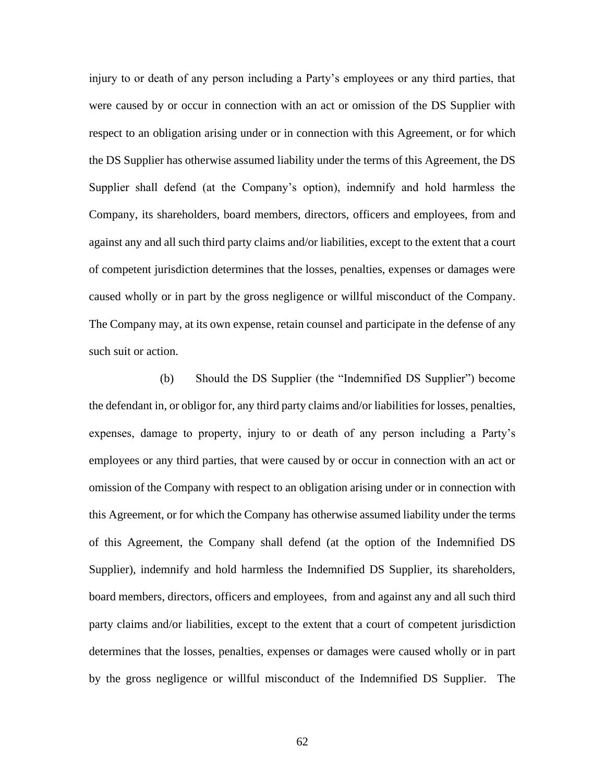injury to or death of any person including a Party's employees or any third parties, that were caused by or occur in connection with an act or omission of the DS Supplier with respect to an obligation arising under or in connection with this Agreement, or for which the DS Supplier has otherwise assumed liability under the terms of this Agreement, the DS Supplier shall defend (at the Company's option), indemnify and hold harmless the Company, its shareholders, board members, directors, officers and employees, from and against any and all such third party claims and/or liabilities, except to the extent that a court of competent jurisdiction determines that the losses, penalties, expenses or damages were caused wholly or in part by the gross negligence or willful misconduct of the Company. The Company may, at its own expense, retain counsel and participate in the defense of any such suit or action.

(b) Should the DS Supplier (the "Indemnified DS Supplier") become the defendant in, or obligor for, any third party claims and/or liabilities for losses, penalties, expenses, damage to property, injury to or death of any person including a Party's employees or any third parties, that were caused by or occur in connection with an act or omission of the Company with respect to an obligation arising under or in connection with this Agreement, or for which the Company has otherwise assumed liability under the terms of this Agreement, the Company shall defend (at the option of the Indemnified DS Supplier), indemnify and hold harmless the Indemnified DS Supplier, its shareholders, board members, directors, officers and employees, from and against any and all such third party claims and/or liabilities, except to the extent that a court of competent jurisdiction determines that the losses, penalties, expenses or damages were caused wholly or in part by the gross negligence or willful misconduct of the Indemnified DS Supplier. The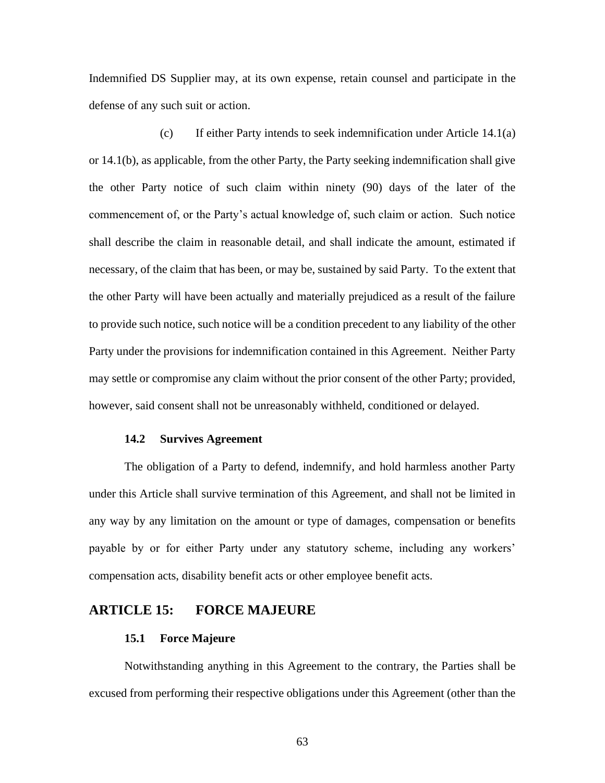Indemnified DS Supplier may, at its own expense, retain counsel and participate in the defense of any such suit or action.

(c) If either Party intends to seek indemnification under Article 14.1(a) or 14.1(b), as applicable, from the other Party, the Party seeking indemnification shall give the other Party notice of such claim within ninety (90) days of the later of the commencement of, or the Party's actual knowledge of, such claim or action. Such notice shall describe the claim in reasonable detail, and shall indicate the amount, estimated if necessary, of the claim that has been, or may be, sustained by said Party. To the extent that the other Party will have been actually and materially prejudiced as a result of the failure to provide such notice, such notice will be a condition precedent to any liability of the other Party under the provisions for indemnification contained in this Agreement. Neither Party may settle or compromise any claim without the prior consent of the other Party; provided, however, said consent shall not be unreasonably withheld, conditioned or delayed.

#### **14.2 Survives Agreement**

The obligation of a Party to defend, indemnify, and hold harmless another Party under this Article shall survive termination of this Agreement, and shall not be limited in any way by any limitation on the amount or type of damages, compensation or benefits payable by or for either Party under any statutory scheme, including any workers' compensation acts, disability benefit acts or other employee benefit acts.

## **ARTICLE 15: FORCE MAJEURE**

### **15.1 Force Majeure**

Notwithstanding anything in this Agreement to the contrary, the Parties shall be excused from performing their respective obligations under this Agreement (other than the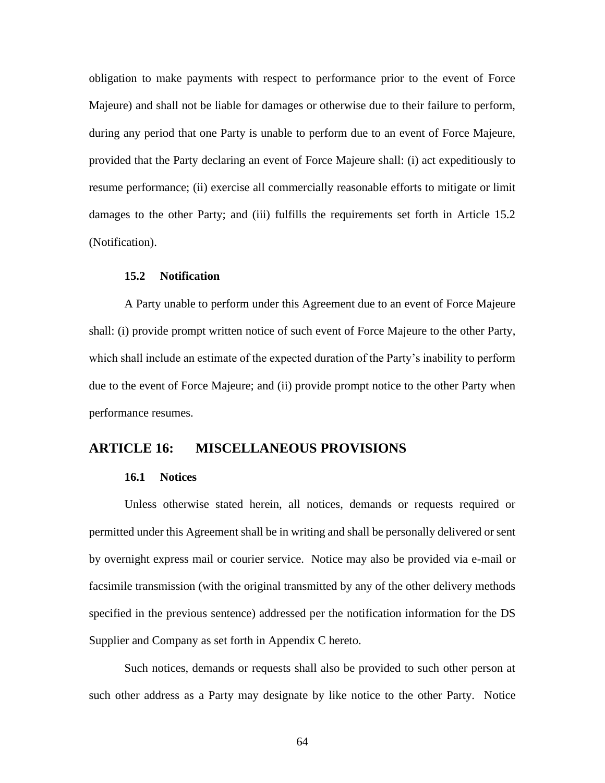obligation to make payments with respect to performance prior to the event of Force Majeure) and shall not be liable for damages or otherwise due to their failure to perform, during any period that one Party is unable to perform due to an event of Force Majeure, provided that the Party declaring an event of Force Majeure shall: (i) act expeditiously to resume performance; (ii) exercise all commercially reasonable efforts to mitigate or limit damages to the other Party; and (iii) fulfills the requirements set forth in Article 15.2 (Notification).

### **15.2 Notification**

A Party unable to perform under this Agreement due to an event of Force Majeure shall: (i) provide prompt written notice of such event of Force Majeure to the other Party, which shall include an estimate of the expected duration of the Party's inability to perform due to the event of Force Majeure; and (ii) provide prompt notice to the other Party when performance resumes.

## **ARTICLE 16: MISCELLANEOUS PROVISIONS**

#### **16.1 Notices**

Unless otherwise stated herein, all notices, demands or requests required or permitted under this Agreement shall be in writing and shall be personally delivered or sent by overnight express mail or courier service. Notice may also be provided via e-mail or facsimile transmission (with the original transmitted by any of the other delivery methods specified in the previous sentence) addressed per the notification information for the DS Supplier and Company as set forth in Appendix C hereto.

Such notices, demands or requests shall also be provided to such other person at such other address as a Party may designate by like notice to the other Party. Notice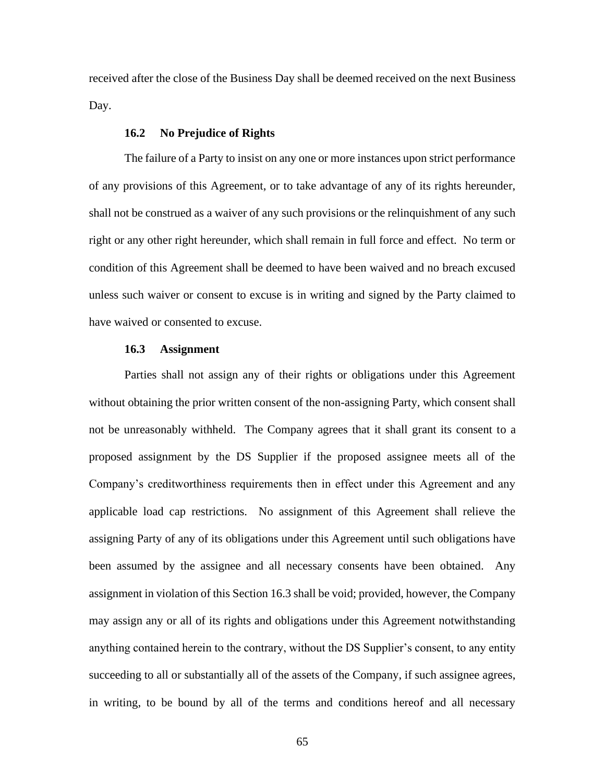received after the close of the Business Day shall be deemed received on the next Business Day.

### **16.2 No Prejudice of Rights**

The failure of a Party to insist on any one or more instances upon strict performance of any provisions of this Agreement, or to take advantage of any of its rights hereunder, shall not be construed as a waiver of any such provisions or the relinquishment of any such right or any other right hereunder, which shall remain in full force and effect. No term or condition of this Agreement shall be deemed to have been waived and no breach excused unless such waiver or consent to excuse is in writing and signed by the Party claimed to have waived or consented to excuse.

#### **16.3 Assignment**

Parties shall not assign any of their rights or obligations under this Agreement without obtaining the prior written consent of the non-assigning Party, which consent shall not be unreasonably withheld. The Company agrees that it shall grant its consent to a proposed assignment by the DS Supplier if the proposed assignee meets all of the Company's creditworthiness requirements then in effect under this Agreement and any applicable load cap restrictions. No assignment of this Agreement shall relieve the assigning Party of any of its obligations under this Agreement until such obligations have been assumed by the assignee and all necessary consents have been obtained. Any assignment in violation of this Section 16.3 shall be void; provided, however, the Company may assign any or all of its rights and obligations under this Agreement notwithstanding anything contained herein to the contrary, without the DS Supplier's consent, to any entity succeeding to all or substantially all of the assets of the Company, if such assignee agrees, in writing, to be bound by all of the terms and conditions hereof and all necessary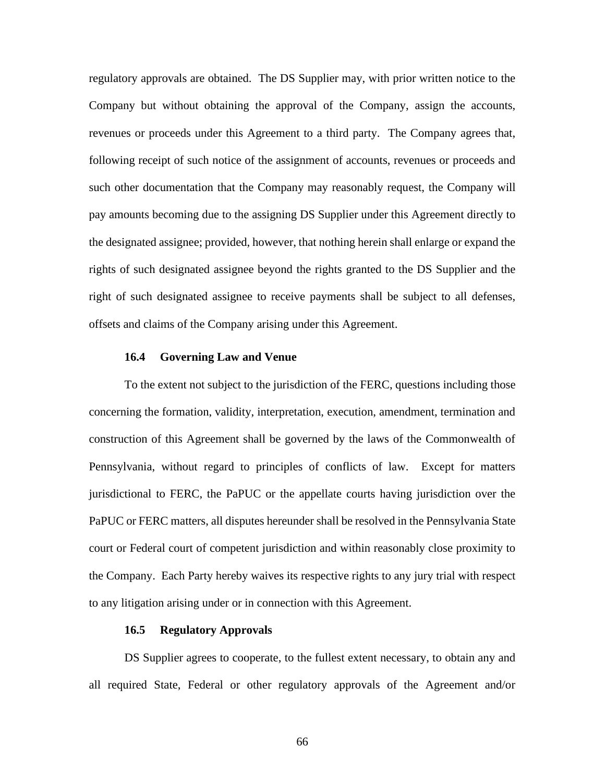regulatory approvals are obtained. The DS Supplier may, with prior written notice to the Company but without obtaining the approval of the Company, assign the accounts, revenues or proceeds under this Agreement to a third party. The Company agrees that, following receipt of such notice of the assignment of accounts, revenues or proceeds and such other documentation that the Company may reasonably request, the Company will pay amounts becoming due to the assigning DS Supplier under this Agreement directly to the designated assignee; provided, however, that nothing herein shall enlarge or expand the rights of such designated assignee beyond the rights granted to the DS Supplier and the right of such designated assignee to receive payments shall be subject to all defenses, offsets and claims of the Company arising under this Agreement.

#### **16.4 Governing Law and Venue**

To the extent not subject to the jurisdiction of the FERC, questions including those concerning the formation, validity, interpretation, execution, amendment, termination and construction of this Agreement shall be governed by the laws of the Commonwealth of Pennsylvania, without regard to principles of conflicts of law. Except for matters jurisdictional to FERC, the PaPUC or the appellate courts having jurisdiction over the PaPUC or FERC matters, all disputes hereunder shall be resolved in the Pennsylvania State court or Federal court of competent jurisdiction and within reasonably close proximity to the Company. Each Party hereby waives its respective rights to any jury trial with respect to any litigation arising under or in connection with this Agreement.

### **16.5 Regulatory Approvals**

DS Supplier agrees to cooperate, to the fullest extent necessary, to obtain any and all required State, Federal or other regulatory approvals of the Agreement and/or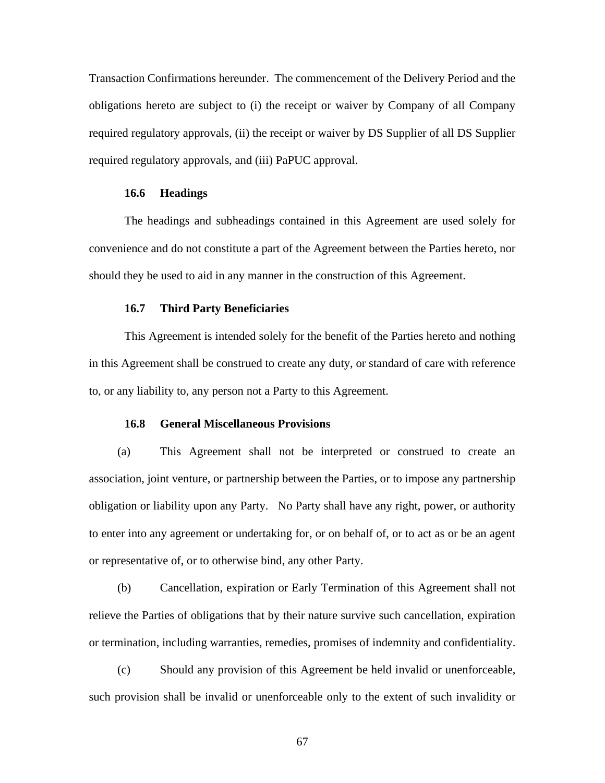Transaction Confirmations hereunder. The commencement of the Delivery Period and the obligations hereto are subject to (i) the receipt or waiver by Company of all Company required regulatory approvals, (ii) the receipt or waiver by DS Supplier of all DS Supplier required regulatory approvals, and (iii) PaPUC approval.

### **16.6 Headings**

The headings and subheadings contained in this Agreement are used solely for convenience and do not constitute a part of the Agreement between the Parties hereto, nor should they be used to aid in any manner in the construction of this Agreement.

#### **16.7 Third Party Beneficiaries**

This Agreement is intended solely for the benefit of the Parties hereto and nothing in this Agreement shall be construed to create any duty, or standard of care with reference to, or any liability to, any person not a Party to this Agreement.

### **16.8 General Miscellaneous Provisions**

(a) This Agreement shall not be interpreted or construed to create an association, joint venture, or partnership between the Parties, or to impose any partnership obligation or liability upon any Party. No Party shall have any right, power, or authority to enter into any agreement or undertaking for, or on behalf of, or to act as or be an agent or representative of, or to otherwise bind, any other Party.

(b) Cancellation, expiration or Early Termination of this Agreement shall not relieve the Parties of obligations that by their nature survive such cancellation, expiration or termination, including warranties, remedies, promises of indemnity and confidentiality.

(c) Should any provision of this Agreement be held invalid or unenforceable, such provision shall be invalid or unenforceable only to the extent of such invalidity or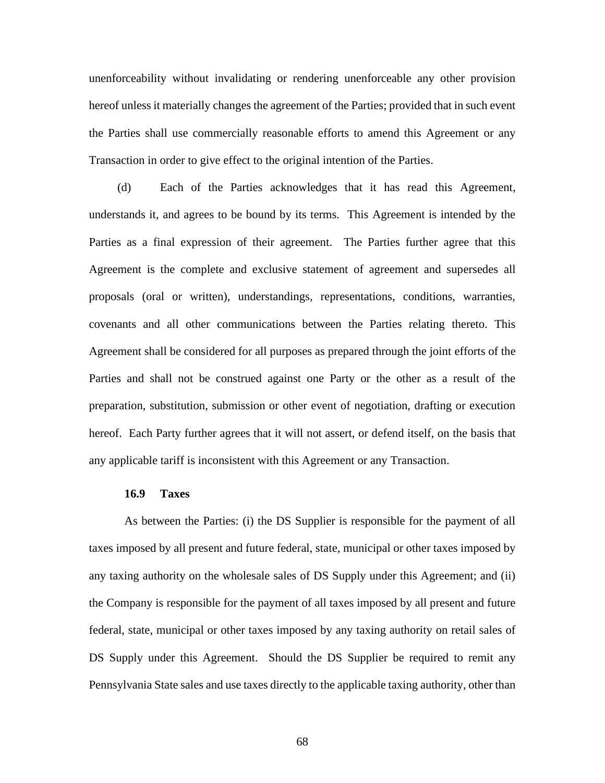unenforceability without invalidating or rendering unenforceable any other provision hereof unless it materially changes the agreement of the Parties; provided that in such event the Parties shall use commercially reasonable efforts to amend this Agreement or any Transaction in order to give effect to the original intention of the Parties.

(d) Each of the Parties acknowledges that it has read this Agreement, understands it, and agrees to be bound by its terms. This Agreement is intended by the Parties as a final expression of their agreement. The Parties further agree that this Agreement is the complete and exclusive statement of agreement and supersedes all proposals (oral or written), understandings, representations, conditions, warranties, covenants and all other communications between the Parties relating thereto. This Agreement shall be considered for all purposes as prepared through the joint efforts of the Parties and shall not be construed against one Party or the other as a result of the preparation, substitution, submission or other event of negotiation, drafting or execution hereof. Each Party further agrees that it will not assert, or defend itself, on the basis that any applicable tariff is inconsistent with this Agreement or any Transaction.

#### **16.9 Taxes**

As between the Parties: (i) the DS Supplier is responsible for the payment of all taxes imposed by all present and future federal, state, municipal or other taxes imposed by any taxing authority on the wholesale sales of DS Supply under this Agreement; and (ii) the Company is responsible for the payment of all taxes imposed by all present and future federal, state, municipal or other taxes imposed by any taxing authority on retail sales of DS Supply under this Agreement. Should the DS Supplier be required to remit any Pennsylvania State sales and use taxes directly to the applicable taxing authority, other than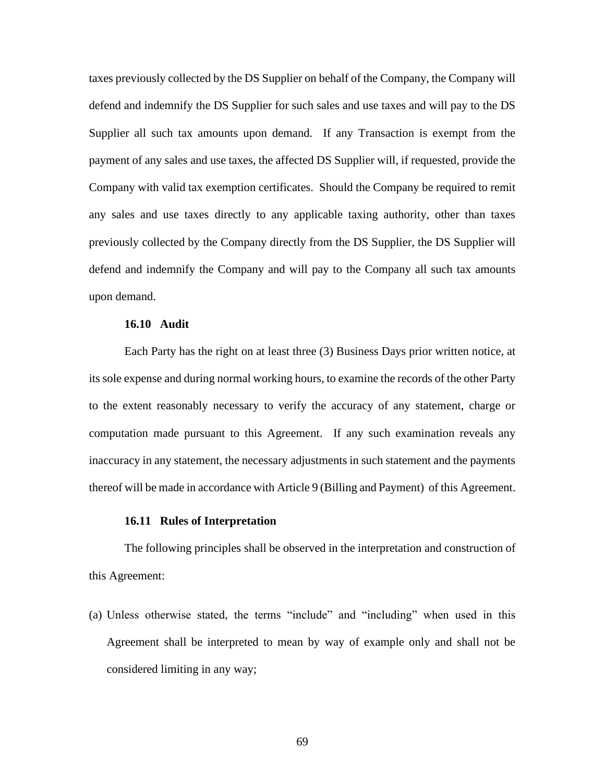taxes previously collected by the DS Supplier on behalf of the Company, the Company will defend and indemnify the DS Supplier for such sales and use taxes and will pay to the DS Supplier all such tax amounts upon demand. If any Transaction is exempt from the payment of any sales and use taxes, the affected DS Supplier will, if requested, provide the Company with valid tax exemption certificates. Should the Company be required to remit any sales and use taxes directly to any applicable taxing authority, other than taxes previously collected by the Company directly from the DS Supplier, the DS Supplier will defend and indemnify the Company and will pay to the Company all such tax amounts upon demand.

#### **16.10 Audit**

Each Party has the right on at least three (3) Business Days prior written notice, at its sole expense and during normal working hours, to examine the records of the other Party to the extent reasonably necessary to verify the accuracy of any statement, charge or computation made pursuant to this Agreement. If any such examination reveals any inaccuracy in any statement, the necessary adjustments in such statement and the payments thereof will be made in accordance with Article 9 (Billing and Payment) of this Agreement.

#### **16.11 Rules of Interpretation**

The following principles shall be observed in the interpretation and construction of this Agreement:

(a) Unless otherwise stated, the terms "include" and "including" when used in this Agreement shall be interpreted to mean by way of example only and shall not be considered limiting in any way;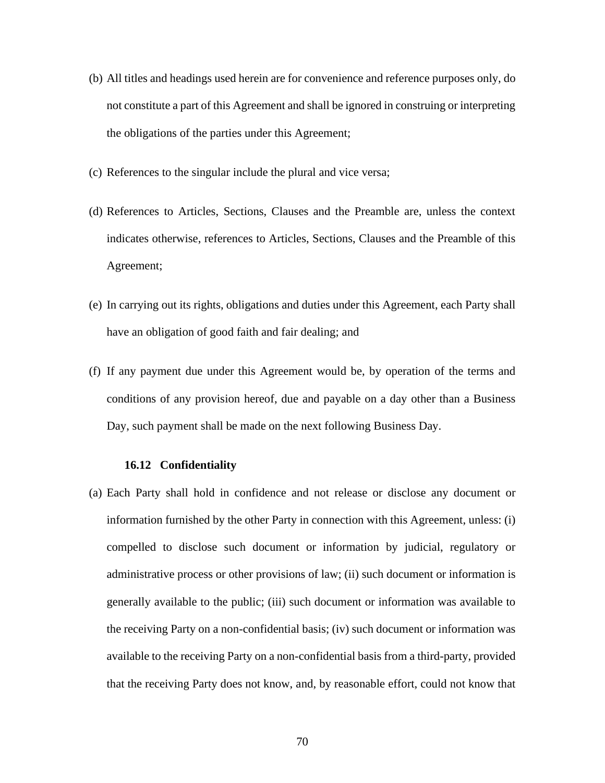- (b) All titles and headings used herein are for convenience and reference purposes only, do not constitute a part of this Agreement and shall be ignored in construing or interpreting the obligations of the parties under this Agreement;
- (c) References to the singular include the plural and vice versa;
- (d) References to Articles, Sections, Clauses and the Preamble are, unless the context indicates otherwise, references to Articles, Sections, Clauses and the Preamble of this Agreement;
- (e) In carrying out its rights, obligations and duties under this Agreement, each Party shall have an obligation of good faith and fair dealing; and
- (f) If any payment due under this Agreement would be, by operation of the terms and conditions of any provision hereof, due and payable on a day other than a Business Day, such payment shall be made on the next following Business Day.

#### **16.12 Confidentiality**

(a) Each Party shall hold in confidence and not release or disclose any document or information furnished by the other Party in connection with this Agreement, unless: (i) compelled to disclose such document or information by judicial, regulatory or administrative process or other provisions of law; (ii) such document or information is generally available to the public; (iii) such document or information was available to the receiving Party on a non-confidential basis; (iv) such document or information was available to the receiving Party on a non-confidential basis from a third-party, provided that the receiving Party does not know, and, by reasonable effort, could not know that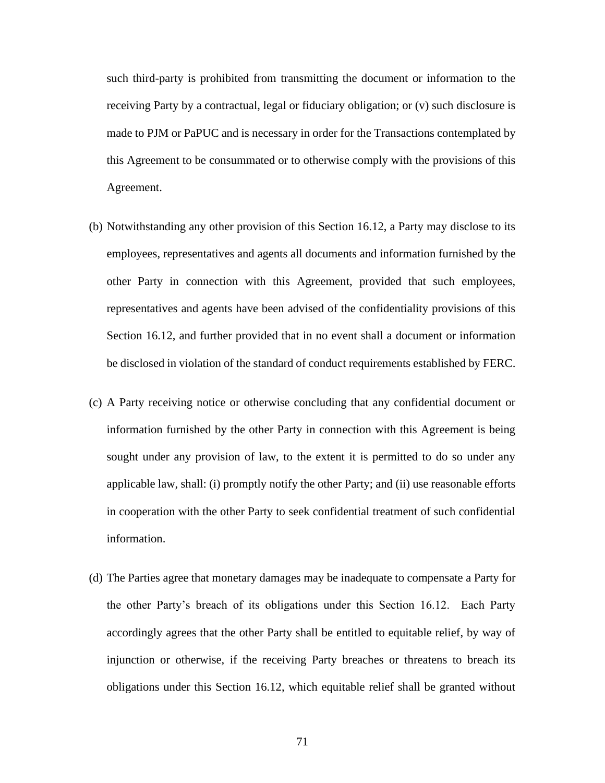such third-party is prohibited from transmitting the document or information to the receiving Party by a contractual, legal or fiduciary obligation; or (v) such disclosure is made to PJM or PaPUC and is necessary in order for the Transactions contemplated by this Agreement to be consummated or to otherwise comply with the provisions of this Agreement.

- (b) Notwithstanding any other provision of this Section 16.12, a Party may disclose to its employees, representatives and agents all documents and information furnished by the other Party in connection with this Agreement, provided that such employees, representatives and agents have been advised of the confidentiality provisions of this Section 16.12, and further provided that in no event shall a document or information be disclosed in violation of the standard of conduct requirements established by FERC.
- (c) A Party receiving notice or otherwise concluding that any confidential document or information furnished by the other Party in connection with this Agreement is being sought under any provision of law, to the extent it is permitted to do so under any applicable law, shall: (i) promptly notify the other Party; and (ii) use reasonable efforts in cooperation with the other Party to seek confidential treatment of such confidential information.
- (d) The Parties agree that monetary damages may be inadequate to compensate a Party for the other Party's breach of its obligations under this Section 16.12. Each Party accordingly agrees that the other Party shall be entitled to equitable relief, by way of injunction or otherwise, if the receiving Party breaches or threatens to breach its obligations under this Section 16.12, which equitable relief shall be granted without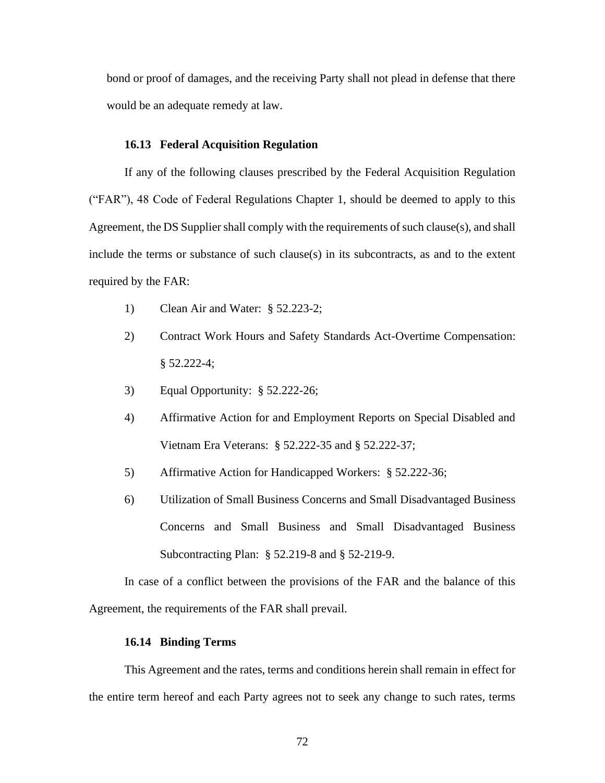bond or proof of damages, and the receiving Party shall not plead in defense that there would be an adequate remedy at law.

#### **16.13 Federal Acquisition Regulation**

If any of the following clauses prescribed by the Federal Acquisition Regulation ("FAR"), 48 Code of Federal Regulations Chapter 1, should be deemed to apply to this Agreement, the DS Supplier shall comply with the requirements of such clause(s), and shall include the terms or substance of such clause(s) in its subcontracts, as and to the extent required by the FAR:

- 1) Clean Air and Water: § 52.223-2;
- 2) Contract Work Hours and Safety Standards Act-Overtime Compensation:  $§ 52.222-4;$
- 3) Equal Opportunity: § 52.222-26;
- 4) Affirmative Action for and Employment Reports on Special Disabled and Vietnam Era Veterans: § 52.222-35 and § 52.222-37;
- 5) Affirmative Action for Handicapped Workers: § 52.222-36;
- 6) Utilization of Small Business Concerns and Small Disadvantaged Business Concerns and Small Business and Small Disadvantaged Business Subcontracting Plan: § 52.219-8 and § 52-219-9.

In case of a conflict between the provisions of the FAR and the balance of this Agreement, the requirements of the FAR shall prevail.

#### **16.14 Binding Terms**

This Agreement and the rates, terms and conditions herein shall remain in effect for the entire term hereof and each Party agrees not to seek any change to such rates, terms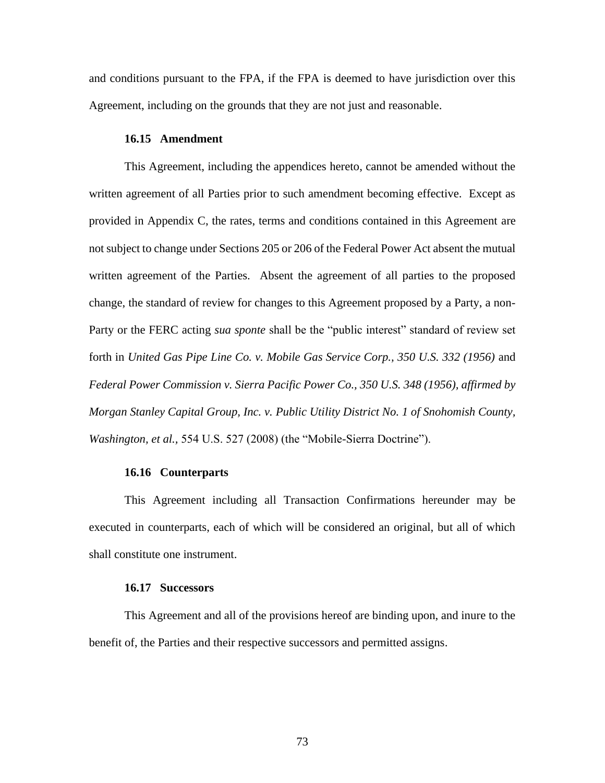and conditions pursuant to the FPA, if the FPA is deemed to have jurisdiction over this Agreement, including on the grounds that they are not just and reasonable.

#### **16.15 Amendment**

This Agreement, including the appendices hereto, cannot be amended without the written agreement of all Parties prior to such amendment becoming effective. Except as provided in Appendix C, the rates, terms and conditions contained in this Agreement are not subject to change under Sections 205 or 206 of the Federal Power Act absent the mutual written agreement of the Parties. Absent the agreement of all parties to the proposed change, the standard of review for changes to this Agreement proposed by a Party, a non-Party or the FERC acting *sua sponte* shall be the "public interest" standard of review set forth in *United Gas Pipe Line Co. v. Mobile Gas Service Corp., 350 U.S. 332 (1956)* and *Federal Power Commission v. Sierra Pacific Power Co., 350 U.S. 348 (1956), affirmed by Morgan Stanley Capital Group, Inc. v. Public Utility District No. 1 of Snohomish County, Washington, et al.,* 554 U.S. 527 (2008) (the "Mobile-Sierra Doctrine").

#### **16.16 Counterparts**

This Agreement including all Transaction Confirmations hereunder may be executed in counterparts, each of which will be considered an original, but all of which shall constitute one instrument.

#### **16.17 Successors**

This Agreement and all of the provisions hereof are binding upon, and inure to the benefit of, the Parties and their respective successors and permitted assigns.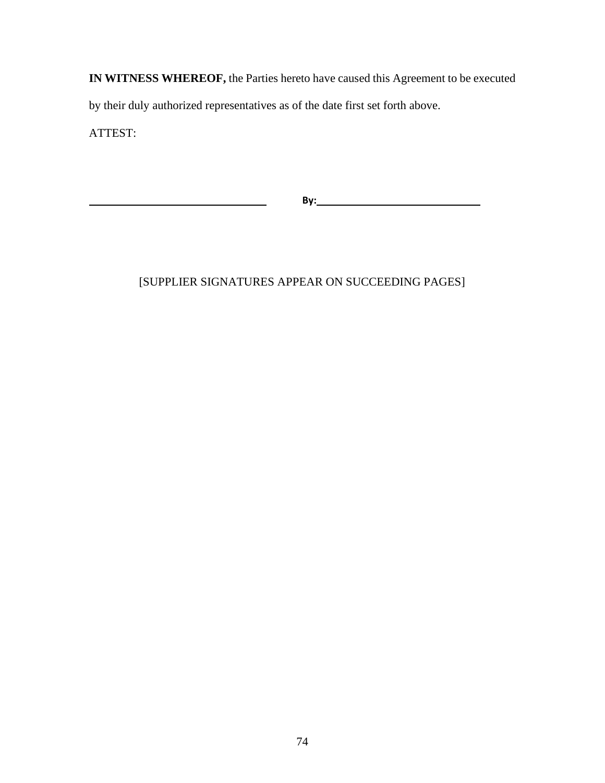**IN WITNESS WHEREOF,** the Parties hereto have caused this Agreement to be executed by their duly authorized representatives as of the date first set forth above.

ATTEST:

**By:**

# [SUPPLIER SIGNATURES APPEAR ON SUCCEEDING PAGES]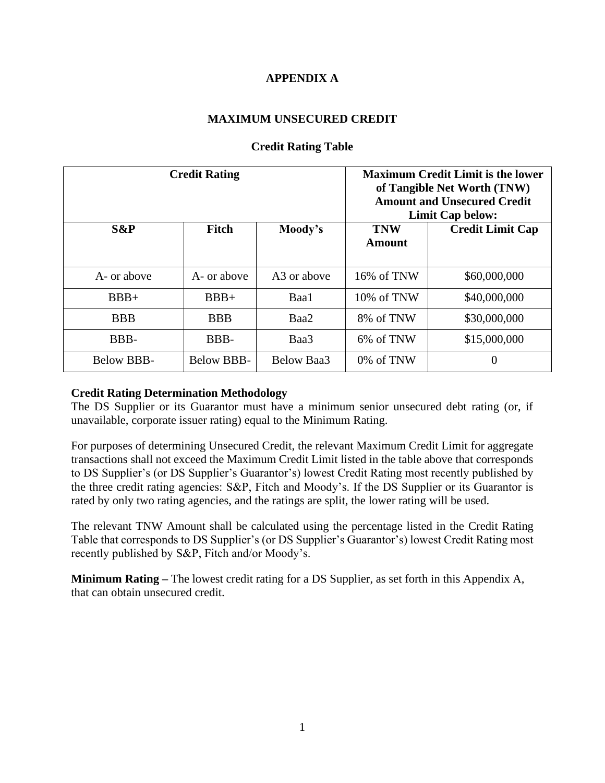## **APPENDIX A**

## **MAXIMUM UNSECURED CREDIT**

|             | <b>Credit Rating</b> |             | <b>Maximum Credit Limit is the lower</b><br>of Tangible Net Worth (TNW)<br><b>Amount and Unsecured Credit</b><br><b>Limit Cap below:</b> |                         |
|-------------|----------------------|-------------|------------------------------------------------------------------------------------------------------------------------------------------|-------------------------|
| $S\&P$      | Fitch                | Moody's     | <b>TNW</b><br><b>Amount</b>                                                                                                              | <b>Credit Limit Cap</b> |
| A- or above | A- or above          | A3 or above | 16% of TNW                                                                                                                               | \$60,000,000            |
| $BBB+$      | $BBB+$               | Baa1        | 10% of TNW                                                                                                                               | \$40,000,000            |
| <b>BBB</b>  | <b>BBB</b>           | Baa2        | 8% of TNW                                                                                                                                | \$30,000,000            |
| BBB-        | BBB-                 | Baa3        | 6% of TNW                                                                                                                                | \$15,000,000            |
| Below BBB-  | <b>Below BBB-</b>    | Below Baa3  | 0% of TNW                                                                                                                                | $\Omega$                |

## **Credit Rating Table**

## **Credit Rating Determination Methodology**

The DS Supplier or its Guarantor must have a minimum senior unsecured debt rating (or, if unavailable, corporate issuer rating) equal to the Minimum Rating.

For purposes of determining Unsecured Credit, the relevant Maximum Credit Limit for aggregate transactions shall not exceed the Maximum Credit Limit listed in the table above that corresponds to DS Supplier's (or DS Supplier's Guarantor's) lowest Credit Rating most recently published by the three credit rating agencies: S&P, Fitch and Moody's. If the DS Supplier or its Guarantor is rated by only two rating agencies, and the ratings are split, the lower rating will be used.

The relevant TNW Amount shall be calculated using the percentage listed in the Credit Rating Table that corresponds to DS Supplier's (or DS Supplier's Guarantor's) lowest Credit Rating most recently published by S&P, Fitch and/or Moody's.

**Minimum Rating –** The lowest credit rating for a DS Supplier, as set forth in this Appendix A, that can obtain unsecured credit.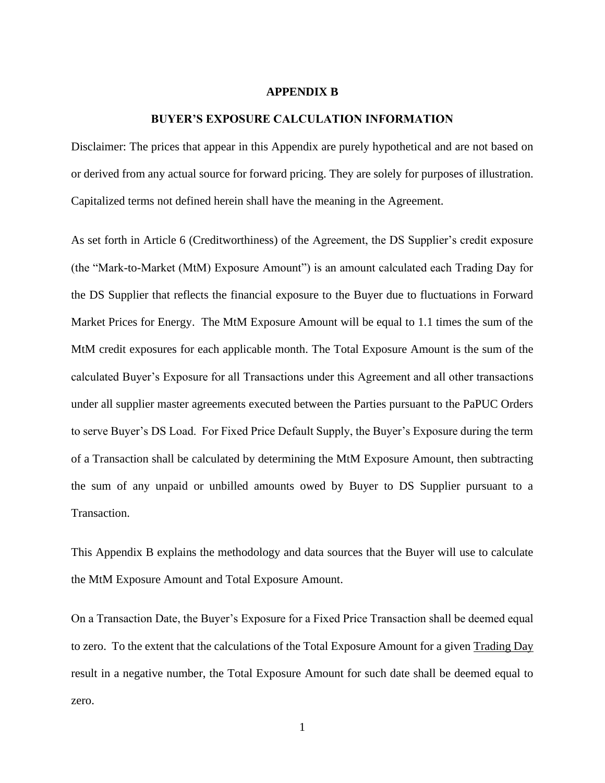#### **APPENDIX B**

#### **BUYER'S EXPOSURE CALCULATION INFORMATION**

Disclaimer: The prices that appear in this Appendix are purely hypothetical and are not based on or derived from any actual source for forward pricing. They are solely for purposes of illustration. Capitalized terms not defined herein shall have the meaning in the Agreement.

As set forth in Article 6 (Creditworthiness) of the Agreement, the DS Supplier's credit exposure (the "Mark-to-Market (MtM) Exposure Amount") is an amount calculated each Trading Day for the DS Supplier that reflects the financial exposure to the Buyer due to fluctuations in Forward Market Prices for Energy. The MtM Exposure Amount will be equal to 1.1 times the sum of the MtM credit exposures for each applicable month. The Total Exposure Amount is the sum of the calculated Buyer's Exposure for all Transactions under this Agreement and all other transactions under all supplier master agreements executed between the Parties pursuant to the PaPUC Orders to serve Buyer's DS Load. For Fixed Price Default Supply, the Buyer's Exposure during the term of a Transaction shall be calculated by determining the MtM Exposure Amount, then subtracting the sum of any unpaid or unbilled amounts owed by Buyer to DS Supplier pursuant to a Transaction.

This Appendix B explains the methodology and data sources that the Buyer will use to calculate the MtM Exposure Amount and Total Exposure Amount.

On a Transaction Date, the Buyer's Exposure for a Fixed Price Transaction shall be deemed equal to zero. To the extent that the calculations of the Total Exposure Amount for a given Trading Day result in a negative number, the Total Exposure Amount for such date shall be deemed equal to zero.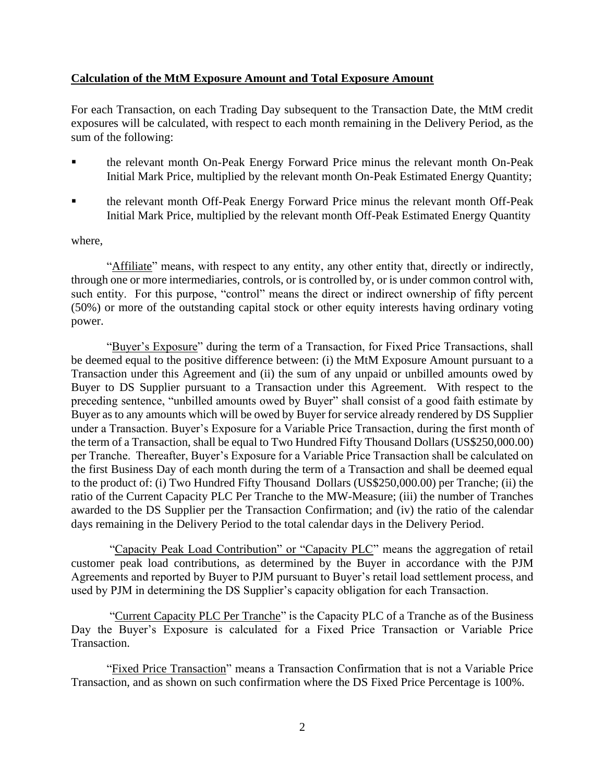## **Calculation of the MtM Exposure Amount and Total Exposure Amount**

For each Transaction, on each Trading Day subsequent to the Transaction Date, the MtM credit exposures will be calculated, with respect to each month remaining in the Delivery Period, as the sum of the following:

- the relevant month On-Peak Energy Forward Price minus the relevant month On-Peak Initial Mark Price, multiplied by the relevant month On-Peak Estimated Energy Quantity;
- the relevant month Off-Peak Energy Forward Price minus the relevant month Off-Peak Initial Mark Price, multiplied by the relevant month Off-Peak Estimated Energy Quantity

### where,

"Affiliate" means, with respect to any entity, any other entity that, directly or indirectly, through one or more intermediaries, controls, or is controlled by, or is under common control with, such entity. For this purpose, "control" means the direct or indirect ownership of fifty percent (50%) or more of the outstanding capital stock or other equity interests having ordinary voting power.

"Buyer's Exposure" during the term of a Transaction, for Fixed Price Transactions, shall be deemed equal to the positive difference between: (i) the MtM Exposure Amount pursuant to a Transaction under this Agreement and (ii) the sum of any unpaid or unbilled amounts owed by Buyer to DS Supplier pursuant to a Transaction under this Agreement. With respect to the preceding sentence, "unbilled amounts owed by Buyer" shall consist of a good faith estimate by Buyer as to any amounts which will be owed by Buyer for service already rendered by DS Supplier under a Transaction. Buyer's Exposure for a Variable Price Transaction, during the first month of the term of a Transaction, shall be equal to Two Hundred Fifty Thousand Dollars (US\$250,000.00) per Tranche. Thereafter, Buyer's Exposure for a Variable Price Transaction shall be calculated on the first Business Day of each month during the term of a Transaction and shall be deemed equal to the product of: (i) Two Hundred Fifty Thousand Dollars (US\$250,000.00) per Tranche; (ii) the ratio of the Current Capacity PLC Per Tranche to the MW-Measure; (iii) the number of Tranches awarded to the DS Supplier per the Transaction Confirmation; and (iv) the ratio of the calendar days remaining in the Delivery Period to the total calendar days in the Delivery Period.

"Capacity Peak Load Contribution" or "Capacity PLC" means the aggregation of retail customer peak load contributions, as determined by the Buyer in accordance with the PJM Agreements and reported by Buyer to PJM pursuant to Buyer's retail load settlement process, and used by PJM in determining the DS Supplier's capacity obligation for each Transaction.

"Current Capacity PLC Per Tranche" is the Capacity PLC of a Tranche as of the Business Day the Buyer's Exposure is calculated for a Fixed Price Transaction or Variable Price Transaction.

"Fixed Price Transaction" means a Transaction Confirmation that is not a Variable Price Transaction, and as shown on such confirmation where the DS Fixed Price Percentage is 100%.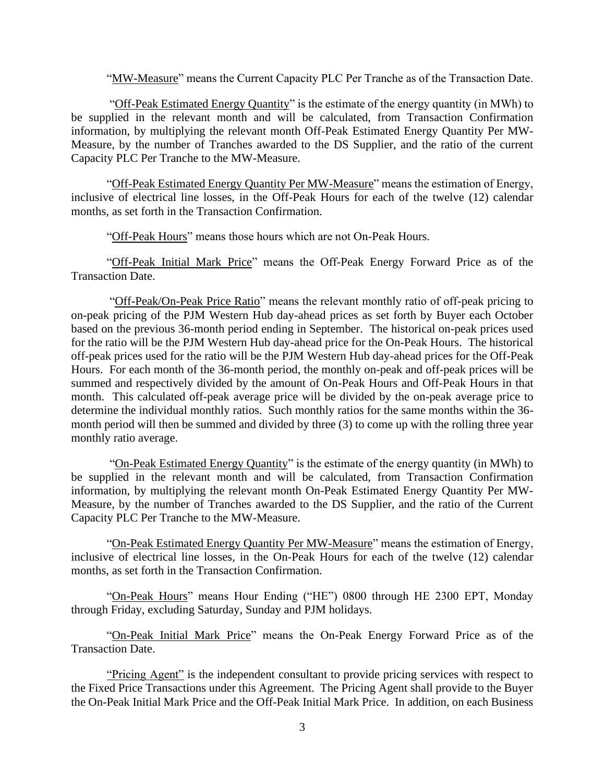"MW-Measure" means the Current Capacity PLC Per Tranche as of the Transaction Date.

"Off-Peak Estimated Energy Quantity" is the estimate of the energy quantity (in MWh) to be supplied in the relevant month and will be calculated, from Transaction Confirmation information, by multiplying the relevant month Off-Peak Estimated Energy Quantity Per MW-Measure, by the number of Tranches awarded to the DS Supplier, and the ratio of the current Capacity PLC Per Tranche to the MW-Measure.

"Off-Peak Estimated Energy Quantity Per MW-Measure" means the estimation of Energy, inclusive of electrical line losses, in the Off-Peak Hours for each of the twelve (12) calendar months, as set forth in the Transaction Confirmation.

"Off-Peak Hours" means those hours which are not On-Peak Hours.

"Off-Peak Initial Mark Price" means the Off-Peak Energy Forward Price as of the Transaction Date.

"Off-Peak/On-Peak Price Ratio" means the relevant monthly ratio of off-peak pricing to on-peak pricing of the PJM Western Hub day-ahead prices as set forth by Buyer each October based on the previous 36-month period ending in September. The historical on-peak prices used for the ratio will be the PJM Western Hub day-ahead price for the On-Peak Hours. The historical off-peak prices used for the ratio will be the PJM Western Hub day-ahead prices for the Off-Peak Hours. For each month of the 36-month period, the monthly on-peak and off-peak prices will be summed and respectively divided by the amount of On-Peak Hours and Off-Peak Hours in that month. This calculated off-peak average price will be divided by the on-peak average price to determine the individual monthly ratios. Such monthly ratios for the same months within the 36 month period will then be summed and divided by three (3) to come up with the rolling three year monthly ratio average.

"On-Peak Estimated Energy Quantity" is the estimate of the energy quantity (in MWh) to be supplied in the relevant month and will be calculated, from Transaction Confirmation information, by multiplying the relevant month On-Peak Estimated Energy Quantity Per MW-Measure, by the number of Tranches awarded to the DS Supplier, and the ratio of the Current Capacity PLC Per Tranche to the MW-Measure.

"On-Peak Estimated Energy Quantity Per MW-Measure" means the estimation of Energy, inclusive of electrical line losses, in the On-Peak Hours for each of the twelve (12) calendar months, as set forth in the Transaction Confirmation.

"On-Peak Hours" means Hour Ending ("HE") 0800 through HE 2300 EPT, Monday through Friday, excluding Saturday, Sunday and PJM holidays.

"On-Peak Initial Mark Price" means the On-Peak Energy Forward Price as of the Transaction Date.

"Pricing Agent" is the independent consultant to provide pricing services with respect to the Fixed Price Transactions under this Agreement. The Pricing Agent shall provide to the Buyer the On-Peak Initial Mark Price and the Off-Peak Initial Mark Price. In addition, on each Business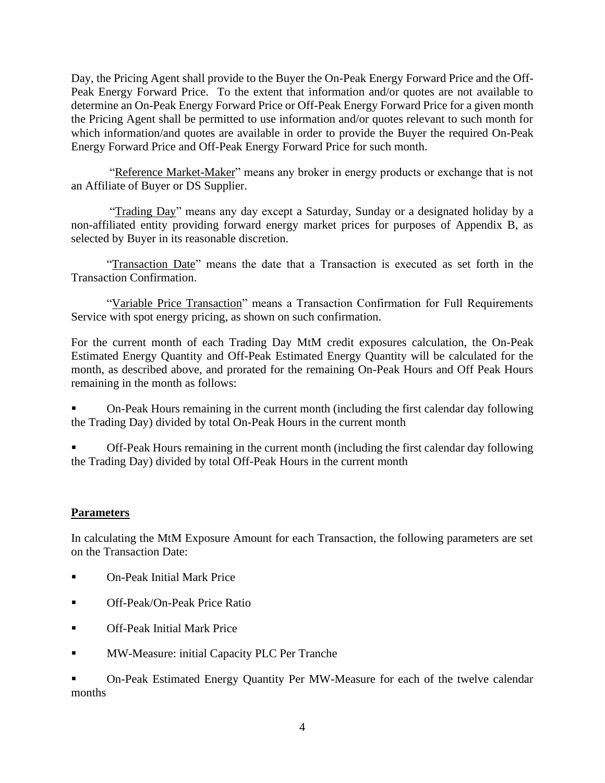Day, the Pricing Agent shall provide to the Buyer the On-Peak Energy Forward Price and the Off-Peak Energy Forward Price. To the extent that information and/or quotes are not available to determine an On-Peak Energy Forward Price or Off-Peak Energy Forward Price for a given month the Pricing Agent shall be permitted to use information and/or quotes relevant to such month for which information/and quotes are available in order to provide the Buyer the required On-Peak Energy Forward Price and Off-Peak Energy Forward Price for such month.

"Reference Market-Maker" means any broker in energy products or exchange that is not an Affiliate of Buyer or DS Supplier.

"Trading Day" means any day except a Saturday, Sunday or a designated holiday by a non-affiliated entity providing forward energy market prices for purposes of Appendix B, as selected by Buyer in its reasonable discretion.

"Transaction Date" means the date that a Transaction is executed as set forth in the Transaction Confirmation.

"Variable Price Transaction" means a Transaction Confirmation for Full Requirements Service with spot energy pricing, as shown on such confirmation.

For the current month of each Trading Day MtM credit exposures calculation, the On-Peak Estimated Energy Quantity and Off-Peak Estimated Energy Quantity will be calculated for the month, as described above, and prorated for the remaining On-Peak Hours and Off Peak Hours remaining in the month as follows:

On-Peak Hours remaining in the current month (including the first calendar day following the Trading Day) divided by total On-Peak Hours in the current month

Off-Peak Hours remaining in the current month (including the first calendar day following the Trading Day) divided by total Off-Peak Hours in the current month

## **Parameters**

In calculating the MtM Exposure Amount for each Transaction, the following parameters are set on the Transaction Date:

- **On-Peak Initial Mark Price**
- Off-Peak/On-Peak Price Ratio
- Off-Peak Initial Mark Price
- **EXECUTE:** MW-Measure: initial Capacity PLC Per Tranche

On-Peak Estimated Energy Quantity Per MW-Measure for each of the twelve calendar months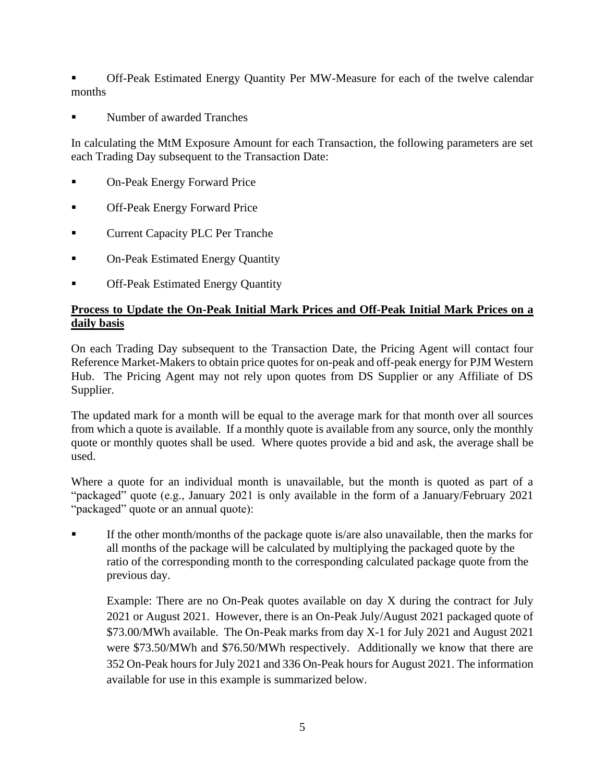Off-Peak Estimated Energy Quantity Per MW-Measure for each of the twelve calendar months

Number of awarded Tranches

In calculating the MtM Exposure Amount for each Transaction, the following parameters are set each Trading Day subsequent to the Transaction Date:

- **On-Peak Energy Forward Price**
- **Off-Peak Energy Forward Price**
- **Current Capacity PLC Per Tranche**
- **On-Peak Estimated Energy Quantity**
- **Off-Peak Estimated Energy Quantity**

## **Process to Update the On-Peak Initial Mark Prices and Off-Peak Initial Mark Prices on a daily basis**

On each Trading Day subsequent to the Transaction Date, the Pricing Agent will contact four Reference Market-Makers to obtain price quotes for on-peak and off-peak energy for PJM Western Hub. The Pricing Agent may not rely upon quotes from DS Supplier or any Affiliate of DS Supplier.

The updated mark for a month will be equal to the average mark for that month over all sources from which a quote is available. If a monthly quote is available from any source, only the monthly quote or monthly quotes shall be used. Where quotes provide a bid and ask, the average shall be used.

Where a quote for an individual month is unavailable, but the month is quoted as part of a "packaged" quote (e.g., January 2021 is only available in the form of a January/February 2021 "packaged" quote or an annual quote):

If the other month/months of the package quote is/are also unavailable, then the marks for all months of the package will be calculated by multiplying the packaged quote by the ratio of the corresponding month to the corresponding calculated package quote from the previous day.

Example: There are no On-Peak quotes available on day X during the contract for July 2021 or August 2021. However, there is an On-Peak July/August 2021 packaged quote of \$73.00/MWh available. The On-Peak marks from day X-1 for July 2021 and August 2021 were \$73.50/MWh and \$76.50/MWh respectively. Additionally we know that there are 352 On-Peak hours for July 2021 and 336 On-Peak hours for August 2021. The information available for use in this example is summarized below.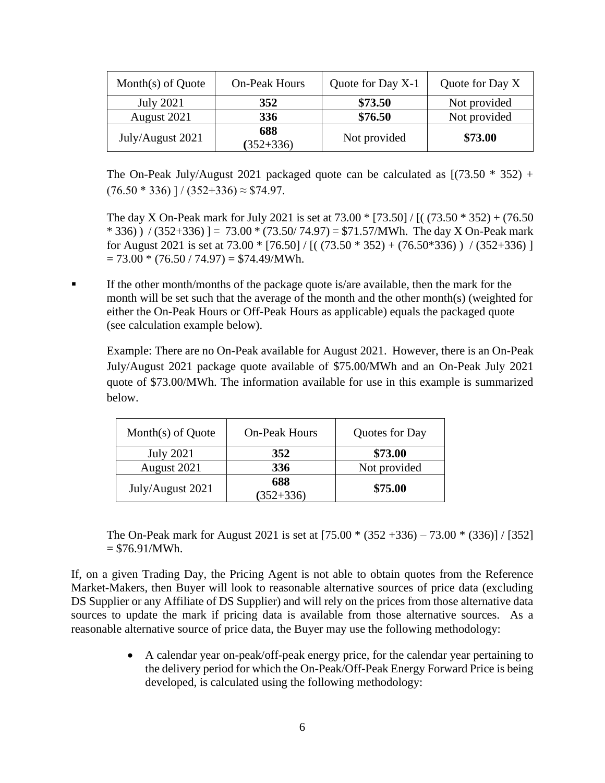| Month $(s)$ of Quote | <b>On-Peak Hours</b> | Quote for Day X-1 | Quote for Day X |
|----------------------|----------------------|-------------------|-----------------|
| <b>July 2021</b>     | 352                  | \$73.50           | Not provided    |
| August 2021          | 336                  | \$76.50           | Not provided    |
| July/August 2021     | 688<br>$(352 + 336)$ | Not provided      | \$73.00         |

The On-Peak July/August 2021 packaged quote can be calculated as  $[(73.50 * 352) +$  $(76.50 * 336)$ ]/ $(352+336) \approx $74.97$ .

The day X On-Peak mark for July 2021 is set at 73.00 \* [73.50] / [( (73.50 \* 352) + (76.50  $*$  336) ) / (352+336) ] = 73.00  $*$  (73.50/ 74.97) = \$71.57/MWh. The day X On-Peak mark for August 2021 is set at  $73.00 * [76.50] / [((73.50 * 352) + (76.50 * 336)) / (352 + 336)]$  $= 73.00 * (76.50 / 74.97) = $74.49/MWh.$ 

If the other month/months of the package quote is/are available, then the mark for the month will be set such that the average of the month and the other month(s) (weighted for either the On-Peak Hours or Off-Peak Hours as applicable) equals the packaged quote (see calculation example below).

Example: There are no On-Peak available for August 2021. However, there is an On-Peak July/August 2021 package quote available of \$75.00/MWh and an On-Peak July 2021 quote of \$73.00/MWh. The information available for use in this example is summarized below.

| Month(s) of Quote | <b>On-Peak Hours</b> | Quotes for Day |
|-------------------|----------------------|----------------|
| <b>July 2021</b>  | 352                  | \$73.00        |
| August 2021       | 336                  | Not provided   |
| July/August 2021  | 688<br>$(352 + 336)$ | \$75.00        |

The On-Peak mark for August 2021 is set at  $[75.00 * (352 + 336) - 73.00 * (336)] / [352]$  $= $76.91/MWh.$ 

If, on a given Trading Day, the Pricing Agent is not able to obtain quotes from the Reference Market-Makers, then Buyer will look to reasonable alternative sources of price data (excluding DS Supplier or any Affiliate of DS Supplier) and will rely on the prices from those alternative data sources to update the mark if pricing data is available from those alternative sources. As a reasonable alternative source of price data, the Buyer may use the following methodology:

> • A calendar year on-peak/off-peak energy price, for the calendar year pertaining to the delivery period for which the On-Peak/Off-Peak Energy Forward Price is being developed, is calculated using the following methodology: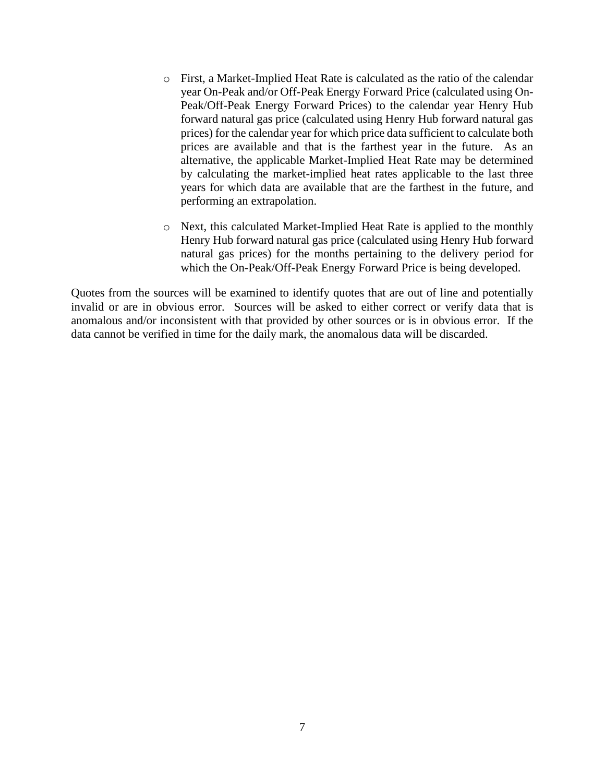- o First, a Market-Implied Heat Rate is calculated as the ratio of the calendar year On-Peak and/or Off-Peak Energy Forward Price (calculated using On-Peak/Off-Peak Energy Forward Prices) to the calendar year Henry Hub forward natural gas price (calculated using Henry Hub forward natural gas prices) for the calendar year for which price data sufficient to calculate both prices are available and that is the farthest year in the future. As an alternative, the applicable Market-Implied Heat Rate may be determined by calculating the market-implied heat rates applicable to the last three years for which data are available that are the farthest in the future, and performing an extrapolation.
- o Next, this calculated Market-Implied Heat Rate is applied to the monthly Henry Hub forward natural gas price (calculated using Henry Hub forward natural gas prices) for the months pertaining to the delivery period for which the On-Peak/Off-Peak Energy Forward Price is being developed.

Quotes from the sources will be examined to identify quotes that are out of line and potentially invalid or are in obvious error. Sources will be asked to either correct or verify data that is anomalous and/or inconsistent with that provided by other sources or is in obvious error. If the data cannot be verified in time for the daily mark, the anomalous data will be discarded.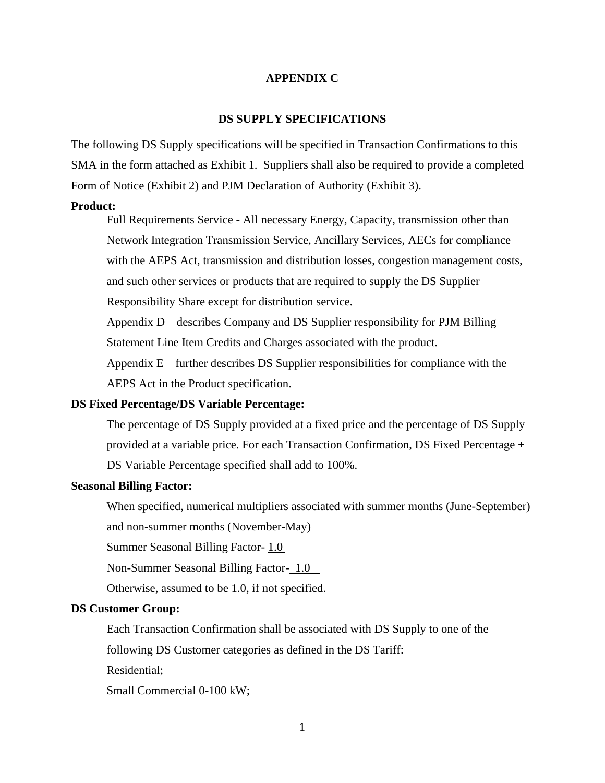#### **APPENDIX C**

#### **DS SUPPLY SPECIFICATIONS**

The following DS Supply specifications will be specified in Transaction Confirmations to this SMA in the form attached as Exhibit 1. Suppliers shall also be required to provide a completed Form of Notice (Exhibit 2) and PJM Declaration of Authority (Exhibit 3).

#### **Product:**

Full Requirements Service - All necessary Energy, Capacity, transmission other than Network Integration Transmission Service, Ancillary Services, AECs for compliance with the AEPS Act, transmission and distribution losses, congestion management costs, and such other services or products that are required to supply the DS Supplier Responsibility Share except for distribution service.

Appendix D – describes Company and DS Supplier responsibility for PJM Billing Statement Line Item Credits and Charges associated with the product.

Appendix  $E$  – further describes DS Supplier responsibilities for compliance with the AEPS Act in the Product specification.

#### **DS Fixed Percentage/DS Variable Percentage:**

The percentage of DS Supply provided at a fixed price and the percentage of DS Supply provided at a variable price. For each Transaction Confirmation, DS Fixed Percentage + DS Variable Percentage specified shall add to 100%.

### **Seasonal Billing Factor:**

When specified, numerical multipliers associated with summer months (June-September)

and non-summer months (November-May)

Summer Seasonal Billing Factor- 1.0

Non-Summer Seasonal Billing Factor- 1.0

Otherwise, assumed to be 1.0, if not specified.

### **DS Customer Group:**

Each Transaction Confirmation shall be associated with DS Supply to one of the

following DS Customer categories as defined in the DS Tariff:

Residential;

Small Commercial 0-100 kW;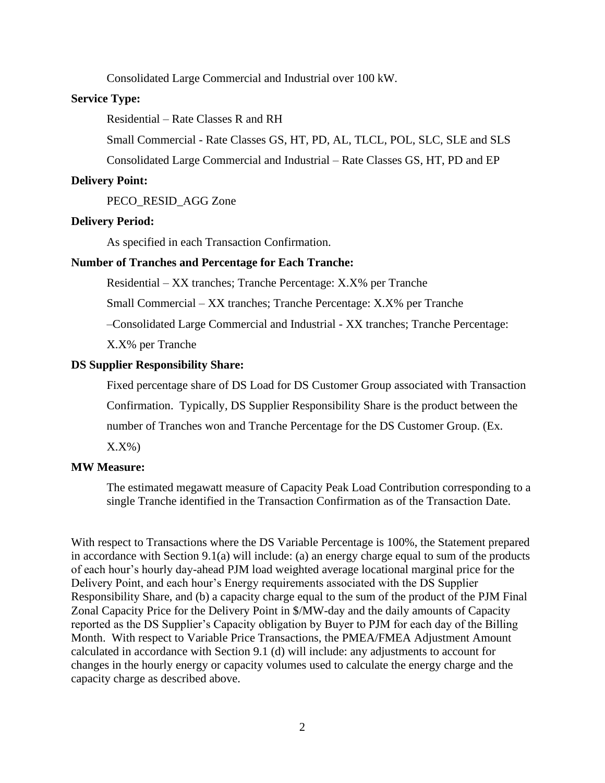Consolidated Large Commercial and Industrial over 100 kW.

#### **Service Type:**

Residential – Rate Classes R and RH

Small Commercial - Rate Classes GS, HT, PD, AL, TLCL, POL, SLC, SLE and SLS

Consolidated Large Commercial and Industrial – Rate Classes GS, HT, PD and EP

#### **Delivery Point:**

PECO\_RESID\_AGG Zone

#### **Delivery Period:**

As specified in each Transaction Confirmation.

#### **Number of Tranches and Percentage for Each Tranche:**

Residential – XX tranches; Tranche Percentage: X.X% per Tranche

Small Commercial – XX tranches; Tranche Percentage: X.X% per Tranche

–Consolidated Large Commercial and Industrial - XX tranches; Tranche Percentage:

X.X% per Tranche

#### **DS Supplier Responsibility Share:**

Fixed percentage share of DS Load for DS Customer Group associated with Transaction

Confirmation. Typically, DS Supplier Responsibility Share is the product between the

number of Tranches won and Tranche Percentage for the DS Customer Group. (Ex.

 $X.X\%$ 

#### **MW Measure:**

The estimated megawatt measure of Capacity Peak Load Contribution corresponding to a single Tranche identified in the Transaction Confirmation as of the Transaction Date.

With respect to Transactions where the DS Variable Percentage is 100%, the Statement prepared in accordance with Section 9.1(a) will include: (a) an energy charge equal to sum of the products of each hour's hourly day-ahead PJM load weighted average locational marginal price for the Delivery Point, and each hour's Energy requirements associated with the DS Supplier Responsibility Share, and (b) a capacity charge equal to the sum of the product of the PJM Final Zonal Capacity Price for the Delivery Point in \$/MW-day and the daily amounts of Capacity reported as the DS Supplier's Capacity obligation by Buyer to PJM for each day of the Billing Month. With respect to Variable Price Transactions, the PMEA/FMEA Adjustment Amount calculated in accordance with Section 9.1 (d) will include: any adjustments to account for changes in the hourly energy or capacity volumes used to calculate the energy charge and the capacity charge as described above.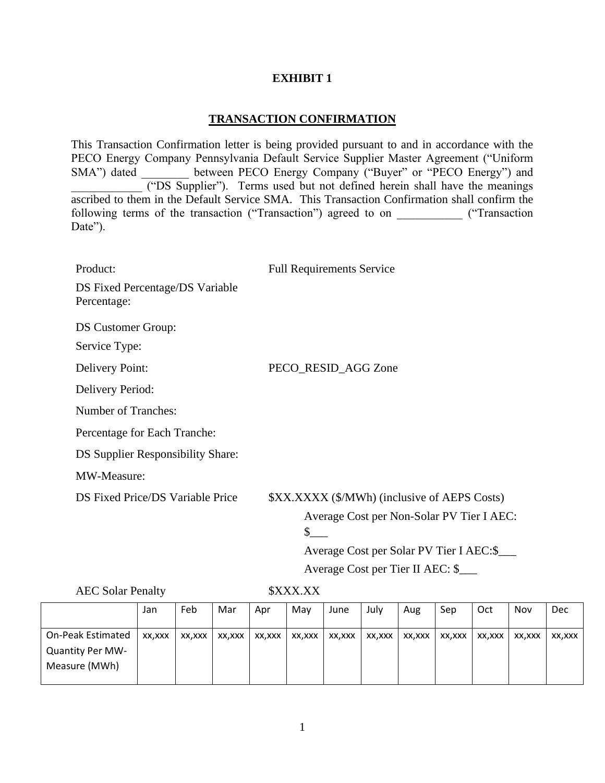## **EXHIBIT 1**

## **TRANSACTION CONFIRMATION**

This Transaction Confirmation letter is being provided pursuant to and in accordance with the PECO Energy Company Pennsylvania Default Service Supplier Master Agreement ("Uniform SMA") dated **\_\_\_\_\_\_** between PECO Energy Company ("Buyer" or "PECO Energy") and \_\_\_\_\_\_\_\_\_\_\_\_ ("DS Supplier"). Terms used but not defined herein shall have the meanings ascribed to them in the Default Service SMA. This Transaction Confirmation shall confirm the following terms of the transaction ("Transaction") agreed to on  $($ "Transaction Date").

| Product:                                       | <b>Full Requirements Service</b>                        |
|------------------------------------------------|---------------------------------------------------------|
| DS Fixed Percentage/DS Variable<br>Percentage: |                                                         |
| <b>DS Customer Group:</b>                      |                                                         |
| Service Type:                                  |                                                         |
| <b>Delivery Point:</b>                         | PECO_RESID_AGG Zone                                     |
| Delivery Period:                               |                                                         |
| <b>Number of Tranches:</b>                     |                                                         |
| Percentage for Each Tranche:                   |                                                         |
| DS Supplier Responsibility Share:              |                                                         |
| MW-Measure:                                    |                                                         |
| DS Fixed Price/DS Variable Price               | \$XX.XXXX (\$/MWh) (inclusive of AEPS Costs)            |
|                                                | Average Cost per Non-Solar PV Tier I AEC:               |
|                                                | $\mathbb{S}^-$                                          |
|                                                | Average Cost per Solar PV Tier I AEC:\$                 |
|                                                | $\sim$ $\sim$ $\sim$ $\sim$ $\sim$ $\sim$ $\sim$ $\sim$ |

Average Cost per Tier II AEC: \$\_\_\_

AEC Solar Penalty \$XXX.XX

|                                                                      | Jan    | Feb    | Mar    | Apr    | May    | June   | July   | Aug    | Sep    | Oct    | Nov    | Dec    |
|----------------------------------------------------------------------|--------|--------|--------|--------|--------|--------|--------|--------|--------|--------|--------|--------|
| <b>On-Peak Estimated</b><br><b>Quantity Per MW-</b><br>Measure (MWh) | XX,XXX | XX,XXX | XX,XXX | XX,XXX | XX,XXX | XX,XXX | XX,XXX | XX,XXX | XX,XXX | XX,XXX | XX,XXX | XX,XXX |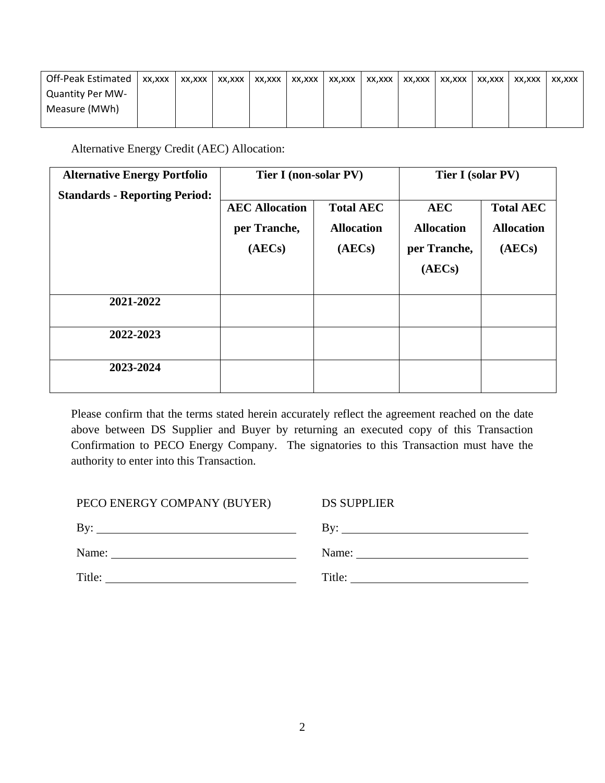| Off-Peak Estimated      | XX.XXX | XX,XXX | XX.XXX | XX.XXX | XX.XXX | XX,XXX | XX,XXX | XX,XXX | XX.XXX | XX.XXX | XX.XXX | XX.XXX |
|-------------------------|--------|--------|--------|--------|--------|--------|--------|--------|--------|--------|--------|--------|
| <b>Quantity Per MW-</b> |        |        |        |        |        |        |        |        |        |        |        |        |
| Measure (MWh)           |        |        |        |        |        |        |        |        |        |        |        |        |
|                         |        |        |        |        |        |        |        |        |        |        |        |        |

Alternative Energy Credit (AEC) Allocation:

| <b>Alternative Energy Portfolio</b>  | Tier I (non-solar PV) |                   | Tier I (solar PV) |                   |
|--------------------------------------|-----------------------|-------------------|-------------------|-------------------|
| <b>Standards - Reporting Period:</b> |                       |                   |                   |                   |
|                                      | <b>AEC Allocation</b> | <b>Total AEC</b>  | <b>AEC</b>        | <b>Total AEC</b>  |
|                                      | per Tranche,          | <b>Allocation</b> | <b>Allocation</b> | <b>Allocation</b> |
|                                      | (AECs)                | (AECs)            | per Tranche,      | (AECs)            |
|                                      |                       |                   | (AECs)            |                   |
| 2021-2022                            |                       |                   |                   |                   |
| 2022-2023                            |                       |                   |                   |                   |
| 2023-2024                            |                       |                   |                   |                   |

Please confirm that the terms stated herein accurately reflect the agreement reached on the date above between DS Supplier and Buyer by returning an executed copy of this Transaction Confirmation to PECO Energy Company. The signatories to this Transaction must have the authority to enter into this Transaction.

| PECO ENERGY COMPANY (BUYER)                                                                                                                                                                                                          | <b>DS SUPPLIER</b>  |
|--------------------------------------------------------------------------------------------------------------------------------------------------------------------------------------------------------------------------------------|---------------------|
| By:<br>the control of the control of the control of the control of the control of the control of the control of the control of the control of the control of the control of the control of the control of the control of the control | By: $\qquad \qquad$ |
| Name:                                                                                                                                                                                                                                | Name:               |
| Title:                                                                                                                                                                                                                               | Title:              |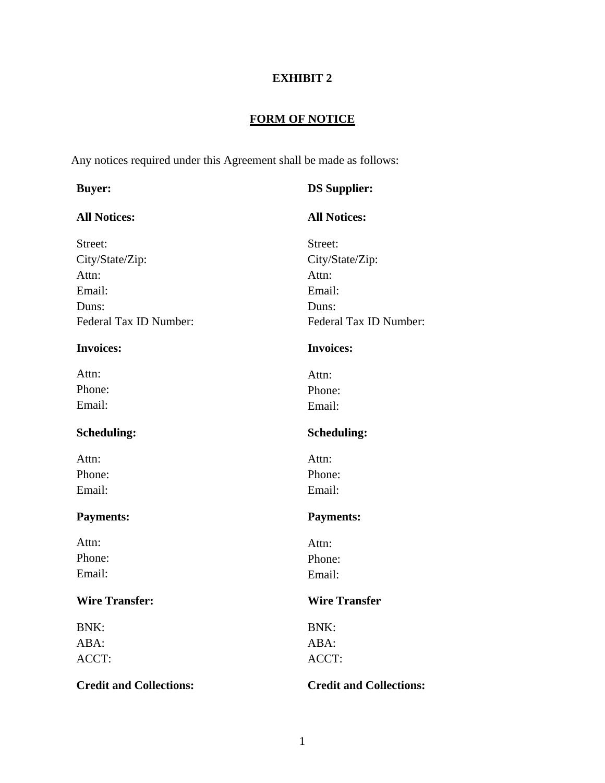# **EXHIBIT 2**

# **FORM OF NOTICE**

Any notices required under this Agreement shall be made as follows:

| <b>Buyer:</b>                  | <b>DS Supplier:</b>            |
|--------------------------------|--------------------------------|
| <b>All Notices:</b>            | <b>All Notices:</b>            |
| Street:                        | Street:                        |
| City/State/Zip:                | City/State/Zip:                |
| Attn:                          | Attn:                          |
| Email:                         | Email:                         |
| Duns:                          | Duns:                          |
| Federal Tax ID Number:         | Federal Tax ID Number:         |
| <b>Invoices:</b>               | <b>Invoices:</b>               |
| Attn:                          | Attn:                          |
| Phone:                         | Phone:                         |
| Email:                         | Email:                         |
| <b>Scheduling:</b>             | <b>Scheduling:</b>             |
| Attn:                          | Attn:                          |
| Phone:                         | Phone:                         |
| Email:                         | Email:                         |
| <b>Payments:</b>               | <b>Payments:</b>               |
| Attn:                          | Attn:                          |
| Phone:                         | Phone:                         |
| Email:                         | Email:                         |
| <b>Wire Transfer:</b>          | <b>Wire Transfer</b>           |
| BNK:                           | <b>BNK:</b>                    |
| ABA:                           | ABA:                           |
| ACCT:                          | ACCT:                          |
| <b>Credit and Collections:</b> | <b>Credit and Collections:</b> |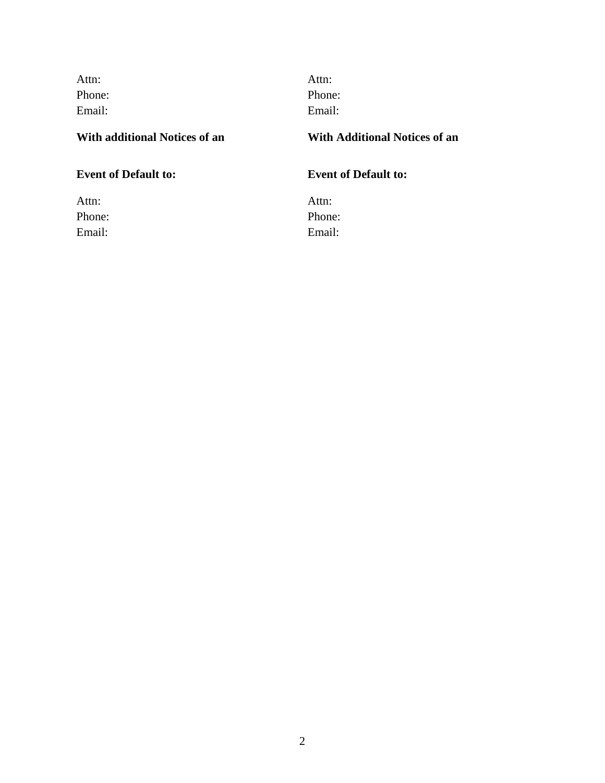| Attn:  |  |
|--------|--|
| Phone: |  |
| Email: |  |

Attn: Phone: Email: Email:

## **With additional Notices of an With Additional Notices of an**

Attn: Attn: Attn: Attn: Attn: Attn: Attn: Attn: Attn: Attn: Attn: Attn: Attn: Attn: Attn: Attn: Attn: Attn: Attn: Attn: Attn: Attn: Attn: Attn: Attn: Attn: Attn: Attn: Attn: Attn: Attn: Attn: Attn: Attn: Attn: Attn: Attn: Phone: Phone: Email: Email:

## **Event of Default to: Event of Default to:**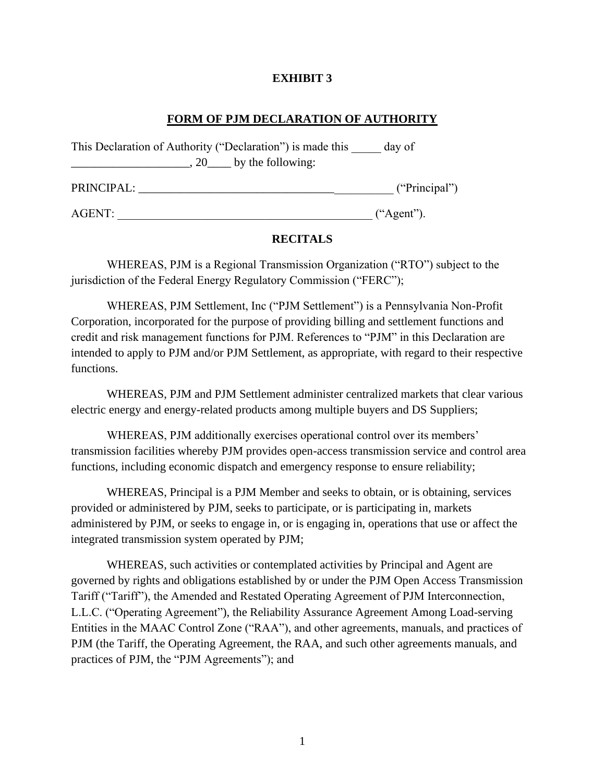## **EXHIBIT 3**

## **FORM OF PJM DECLARATION OF AUTHORITY**

| This Declaration of Authority ("Declaration") is made this | day of        |
|------------------------------------------------------------|---------------|
| $\sim$ , 20 $\sim$ by the following:                       |               |
| PRINCIPAL:                                                 | ("Principal") |
| AGENT:                                                     | ("Agent").    |

## **RECITALS**

WHEREAS, PJM is a Regional Transmission Organization ("RTO") subject to the jurisdiction of the Federal Energy Regulatory Commission ("FERC");

WHEREAS, PJM Settlement, Inc ("PJM Settlement") is a Pennsylvania Non-Profit Corporation, incorporated for the purpose of providing billing and settlement functions and credit and risk management functions for PJM. References to "PJM" in this Declaration are intended to apply to PJM and/or PJM Settlement, as appropriate, with regard to their respective functions.

WHEREAS, PJM and PJM Settlement administer centralized markets that clear various electric energy and energy-related products among multiple buyers and DS Suppliers;

WHEREAS, PJM additionally exercises operational control over its members' transmission facilities whereby PJM provides open-access transmission service and control area functions, including economic dispatch and emergency response to ensure reliability;

WHEREAS, Principal is a PJM Member and seeks to obtain, or is obtaining, services provided or administered by PJM, seeks to participate, or is participating in, markets administered by PJM, or seeks to engage in, or is engaging in, operations that use or affect the integrated transmission system operated by PJM;

WHEREAS, such activities or contemplated activities by Principal and Agent are governed by rights and obligations established by or under the PJM Open Access Transmission Tariff ("Tariff"), the Amended and Restated Operating Agreement of PJM Interconnection, L.L.C. ("Operating Agreement"), the Reliability Assurance Agreement Among Load-serving Entities in the MAAC Control Zone ("RAA"), and other agreements, manuals, and practices of PJM (the Tariff, the Operating Agreement, the RAA, and such other agreements manuals, and practices of PJM, the "PJM Agreements"); and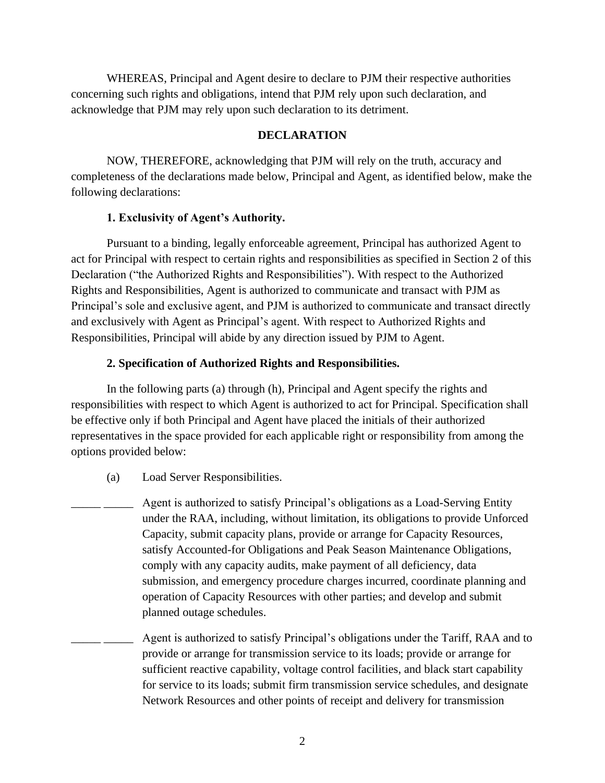WHEREAS, Principal and Agent desire to declare to PJM their respective authorities concerning such rights and obligations, intend that PJM rely upon such declaration, and acknowledge that PJM may rely upon such declaration to its detriment.

#### **DECLARATION**

NOW, THEREFORE, acknowledging that PJM will rely on the truth, accuracy and completeness of the declarations made below, Principal and Agent, as identified below, make the following declarations:

#### **1. Exclusivity of Agent's Authority.**

Pursuant to a binding, legally enforceable agreement, Principal has authorized Agent to act for Principal with respect to certain rights and responsibilities as specified in Section 2 of this Declaration ("the Authorized Rights and Responsibilities"). With respect to the Authorized Rights and Responsibilities, Agent is authorized to communicate and transact with PJM as Principal's sole and exclusive agent, and PJM is authorized to communicate and transact directly and exclusively with Agent as Principal's agent. With respect to Authorized Rights and Responsibilities, Principal will abide by any direction issued by PJM to Agent.

#### **2. Specification of Authorized Rights and Responsibilities.**

In the following parts (a) through (h), Principal and Agent specify the rights and responsibilities with respect to which Agent is authorized to act for Principal. Specification shall be effective only if both Principal and Agent have placed the initials of their authorized representatives in the space provided for each applicable right or responsibility from among the options provided below:

(a) Load Server Responsibilities.

\_\_\_\_\_ \_\_\_\_\_ Agent is authorized to satisfy Principal's obligations as a Load-Serving Entity under the RAA, including, without limitation, its obligations to provide Unforced Capacity, submit capacity plans, provide or arrange for Capacity Resources, satisfy Accounted-for Obligations and Peak Season Maintenance Obligations, comply with any capacity audits, make payment of all deficiency, data submission, and emergency procedure charges incurred, coordinate planning and operation of Capacity Resources with other parties; and develop and submit planned outage schedules.

Agent is authorized to satisfy Principal's obligations under the Tariff, RAA and to provide or arrange for transmission service to its loads; provide or arrange for sufficient reactive capability, voltage control facilities, and black start capability for service to its loads; submit firm transmission service schedules, and designate Network Resources and other points of receipt and delivery for transmission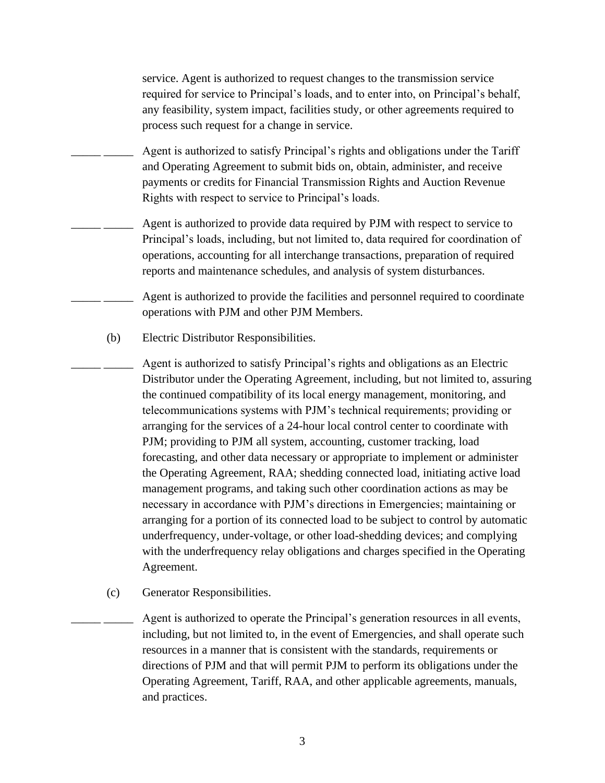service. Agent is authorized to request changes to the transmission service required for service to Principal's loads, and to enter into, on Principal's behalf, any feasibility, system impact, facilities study, or other agreements required to process such request for a change in service.

- Agent is authorized to satisfy Principal's rights and obligations under the Tariff and Operating Agreement to submit bids on, obtain, administer, and receive payments or credits for Financial Transmission Rights and Auction Revenue Rights with respect to service to Principal's loads.
	- Agent is authorized to provide data required by PJM with respect to service to Principal's loads, including, but not limited to, data required for coordination of operations, accounting for all interchange transactions, preparation of required reports and maintenance schedules, and analysis of system disturbances.
	- Agent is authorized to provide the facilities and personnel required to coordinate operations with PJM and other PJM Members.
- (b) Electric Distributor Responsibilities.
	- Agent is authorized to satisfy Principal's rights and obligations as an Electric Distributor under the Operating Agreement, including, but not limited to, assuring the continued compatibility of its local energy management, monitoring, and telecommunications systems with PJM's technical requirements; providing or arranging for the services of a 24-hour local control center to coordinate with PJM; providing to PJM all system, accounting, customer tracking, load forecasting, and other data necessary or appropriate to implement or administer the Operating Agreement, RAA; shedding connected load, initiating active load management programs, and taking such other coordination actions as may be necessary in accordance with PJM's directions in Emergencies; maintaining or arranging for a portion of its connected load to be subject to control by automatic underfrequency, under-voltage, or other load-shedding devices; and complying with the underfrequency relay obligations and charges specified in the Operating Agreement.
- (c) Generator Responsibilities.

Agent is authorized to operate the Principal's generation resources in all events, including, but not limited to, in the event of Emergencies, and shall operate such resources in a manner that is consistent with the standards, requirements or directions of PJM and that will permit PJM to perform its obligations under the Operating Agreement, Tariff, RAA, and other applicable agreements, manuals, and practices.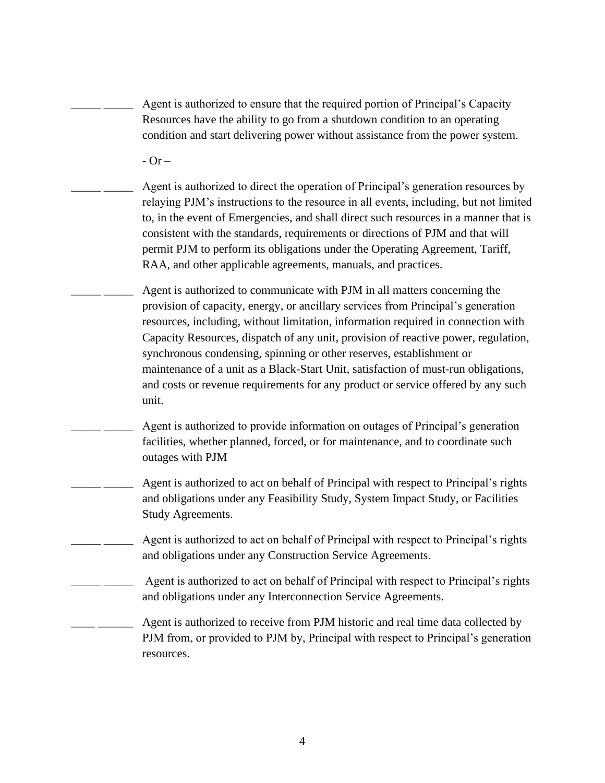Agent is authorized to ensure that the required portion of Principal's Capacity Resources have the ability to go from a shutdown condition to an operating condition and start delivering power without assistance from the power system.

 $-$  Or  $-$ 

Agent is authorized to direct the operation of Principal's generation resources by relaying PJM's instructions to the resource in all events, including, but not limited to, in the event of Emergencies, and shall direct such resources in a manner that is consistent with the standards, requirements or directions of PJM and that will permit PJM to perform its obligations under the Operating Agreement, Tariff, RAA, and other applicable agreements, manuals, and practices.

Agent is authorized to communicate with PJM in all matters concerning the provision of capacity, energy, or ancillary services from Principal's generation resources, including, without limitation, information required in connection with Capacity Resources, dispatch of any unit, provision of reactive power, regulation, synchronous condensing, spinning or other reserves, establishment or maintenance of a unit as a Black-Start Unit, satisfaction of must-run obligations, and costs or revenue requirements for any product or service offered by any such unit.

- Agent is authorized to provide information on outages of Principal's generation facilities, whether planned, forced, or for maintenance, and to coordinate such outages with PJM
- Agent is authorized to act on behalf of Principal with respect to Principal's rights and obligations under any Feasibility Study, System Impact Study, or Facilities Study Agreements.
- Agent is authorized to act on behalf of Principal with respect to Principal's rights and obligations under any Construction Service Agreements.
- Agent is authorized to act on behalf of Principal with respect to Principal's rights and obligations under any Interconnection Service Agreements.

Agent is authorized to receive from PJM historic and real time data collected by PJM from, or provided to PJM by, Principal with respect to Principal's generation resources.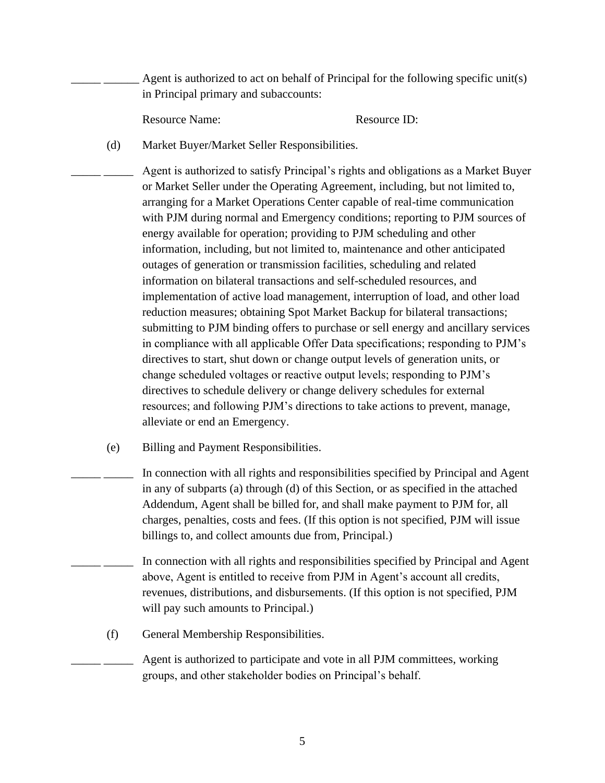Agent is authorized to act on behalf of Principal for the following specific unit(s) in Principal primary and subaccounts:

Resource Name: Resource ID:

(d) Market Buyer/Market Seller Responsibilities.

Agent is authorized to satisfy Principal's rights and obligations as a Market Buyer or Market Seller under the Operating Agreement, including, but not limited to, arranging for a Market Operations Center capable of real-time communication with PJM during normal and Emergency conditions; reporting to PJM sources of energy available for operation; providing to PJM scheduling and other information, including, but not limited to, maintenance and other anticipated outages of generation or transmission facilities, scheduling and related information on bilateral transactions and self-scheduled resources, and implementation of active load management, interruption of load, and other load reduction measures; obtaining Spot Market Backup for bilateral transactions; submitting to PJM binding offers to purchase or sell energy and ancillary services in compliance with all applicable Offer Data specifications; responding to PJM's directives to start, shut down or change output levels of generation units, or change scheduled voltages or reactive output levels; responding to PJM's directives to schedule delivery or change delivery schedules for external resources; and following PJM's directions to take actions to prevent, manage, alleviate or end an Emergency.

(e) Billing and Payment Responsibilities.

In connection with all rights and responsibilities specified by Principal and Agent in any of subparts (a) through (d) of this Section, or as specified in the attached Addendum, Agent shall be billed for, and shall make payment to PJM for, all charges, penalties, costs and fees. (If this option is not specified, PJM will issue billings to, and collect amounts due from, Principal.)

- In connection with all rights and responsibilities specified by Principal and Agent above, Agent is entitled to receive from PJM in Agent's account all credits, revenues, distributions, and disbursements. (If this option is not specified, PJM will pay such amounts to Principal.)
- (f) General Membership Responsibilities.

Agent is authorized to participate and vote in all PJM committees, working groups, and other stakeholder bodies on Principal's behalf.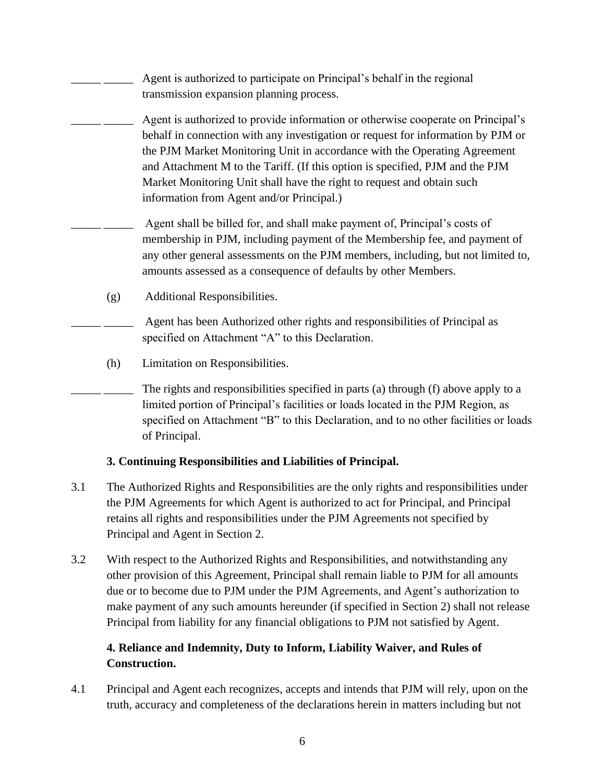|     | Agent is authorized to participate on Principal's behalf in the regional<br>transmission expansion planning process.                                                                                                                                                                                                                                                                                                                                      |
|-----|-----------------------------------------------------------------------------------------------------------------------------------------------------------------------------------------------------------------------------------------------------------------------------------------------------------------------------------------------------------------------------------------------------------------------------------------------------------|
|     | Agent is authorized to provide information or otherwise cooperate on Principal's<br>behalf in connection with any investigation or request for information by PJM or<br>the PJM Market Monitoring Unit in accordance with the Operating Agreement<br>and Attachment M to the Tariff. (If this option is specified, PJM and the PJM<br>Market Monitoring Unit shall have the right to request and obtain such<br>information from Agent and/or Principal.) |
|     | Agent shall be billed for, and shall make payment of, Principal's costs of<br>membership in PJM, including payment of the Membership fee, and payment of<br>any other general assessments on the PJM members, including, but not limited to,<br>amounts assessed as a consequence of defaults by other Members.                                                                                                                                           |
| (g) | Additional Responsibilities.                                                                                                                                                                                                                                                                                                                                                                                                                              |
|     | Agent has been Authorized other rights and responsibilities of Principal as<br>specified on Attachment "A" to this Declaration.                                                                                                                                                                                                                                                                                                                           |
| (h) | Limitation on Responsibilities.                                                                                                                                                                                                                                                                                                                                                                                                                           |

The rights and responsibilities specified in parts (a) through (f) above apply to a limited portion of Principal's facilities or loads located in the PJM Region, as specified on Attachment "B" to this Declaration, and to no other facilities or loads of Principal.

# **3. Continuing Responsibilities and Liabilities of Principal.**

- 3.1 The Authorized Rights and Responsibilities are the only rights and responsibilities under the PJM Agreements for which Agent is authorized to act for Principal, and Principal retains all rights and responsibilities under the PJM Agreements not specified by Principal and Agent in Section 2.
- 3.2 With respect to the Authorized Rights and Responsibilities, and notwithstanding any other provision of this Agreement, Principal shall remain liable to PJM for all amounts due or to become due to PJM under the PJM Agreements, and Agent's authorization to make payment of any such amounts hereunder (if specified in Section 2) shall not release Principal from liability for any financial obligations to PJM not satisfied by Agent.

# **4. Reliance and Indemnity, Duty to Inform, Liability Waiver, and Rules of Construction.**

4.1 Principal and Agent each recognizes, accepts and intends that PJM will rely, upon on the truth, accuracy and completeness of the declarations herein in matters including but not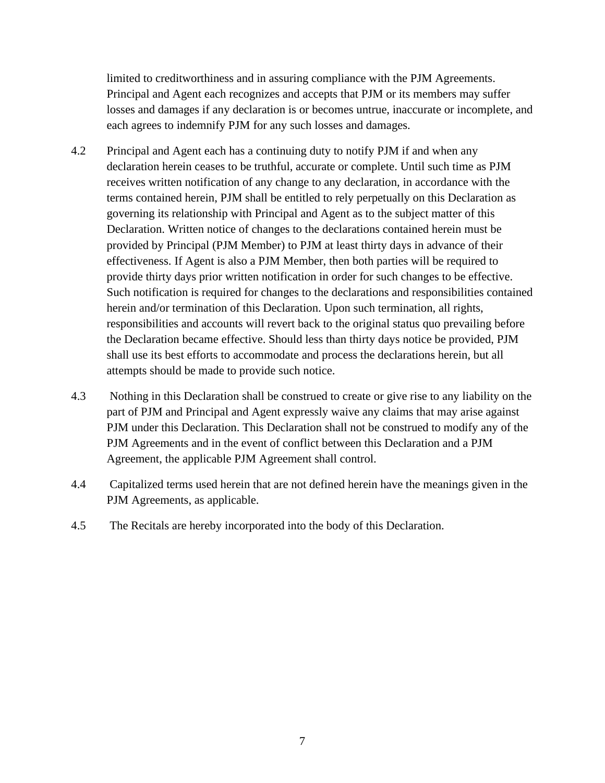limited to creditworthiness and in assuring compliance with the PJM Agreements. Principal and Agent each recognizes and accepts that PJM or its members may suffer losses and damages if any declaration is or becomes untrue, inaccurate or incomplete, and each agrees to indemnify PJM for any such losses and damages.

- 4.2 Principal and Agent each has a continuing duty to notify PJM if and when any declaration herein ceases to be truthful, accurate or complete. Until such time as PJM receives written notification of any change to any declaration, in accordance with the terms contained herein, PJM shall be entitled to rely perpetually on this Declaration as governing its relationship with Principal and Agent as to the subject matter of this Declaration. Written notice of changes to the declarations contained herein must be provided by Principal (PJM Member) to PJM at least thirty days in advance of their effectiveness. If Agent is also a PJM Member, then both parties will be required to provide thirty days prior written notification in order for such changes to be effective. Such notification is required for changes to the declarations and responsibilities contained herein and/or termination of this Declaration. Upon such termination, all rights, responsibilities and accounts will revert back to the original status quo prevailing before the Declaration became effective. Should less than thirty days notice be provided, PJM shall use its best efforts to accommodate and process the declarations herein, but all attempts should be made to provide such notice.
- 4.3 Nothing in this Declaration shall be construed to create or give rise to any liability on the part of PJM and Principal and Agent expressly waive any claims that may arise against PJM under this Declaration. This Declaration shall not be construed to modify any of the PJM Agreements and in the event of conflict between this Declaration and a PJM Agreement, the applicable PJM Agreement shall control.
- 4.4 Capitalized terms used herein that are not defined herein have the meanings given in the PJM Agreements, as applicable.
- 4.5 The Recitals are hereby incorporated into the body of this Declaration.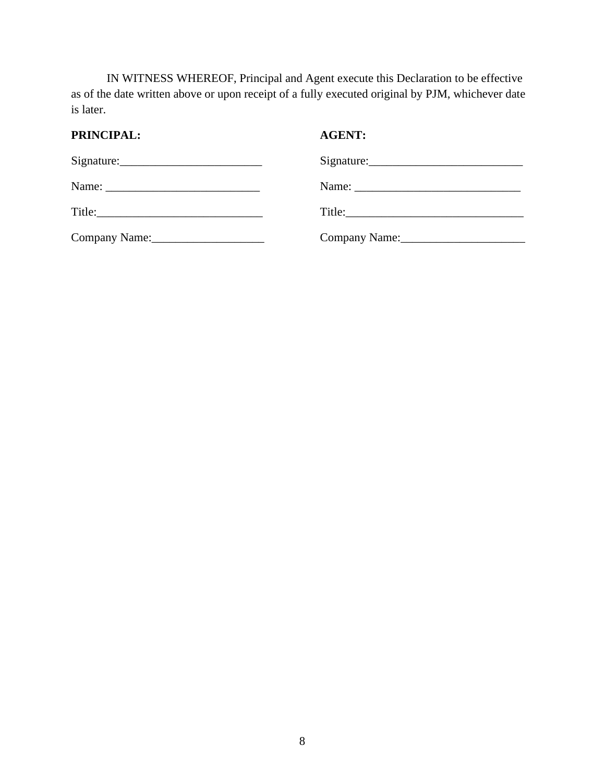IN WITNESS WHEREOF, Principal and Agent execute this Declaration to be effective as of the date written above or upon receipt of a fully executed original by PJM, whichever date is later.

# **PRINCIPAL: AGENT:**

| Company Name: 2008 | Company Name: 1988 |
|--------------------|--------------------|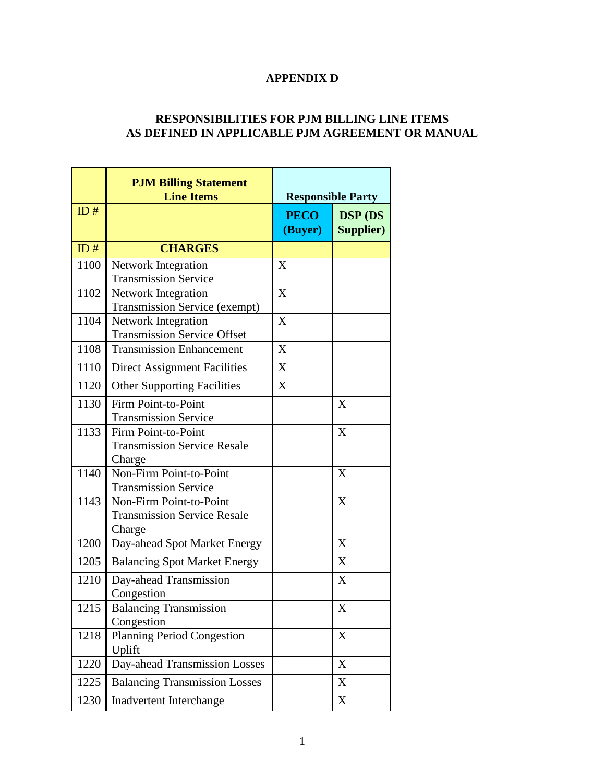# **APPENDIX D**

## **RESPONSIBILITIES FOR PJM BILLING LINE ITEMS AS DEFINED IN APPLICABLE PJM AGREEMENT OR MANUAL**

 $\mathbb{R}^2$ 

|      | <b>PJM Billing Statement</b><br><b>Line Items</b>           | <b>Responsible Party</b> |                                    |
|------|-------------------------------------------------------------|--------------------------|------------------------------------|
| ID#  |                                                             | <b>PECO</b><br>(Buyer)   | <b>DSP</b> (DS<br><b>Supplier)</b> |
| ID#  | <b>CHARGES</b>                                              |                          |                                    |
| 1100 | <b>Network Integration</b>                                  | X                        |                                    |
| 1102 | <b>Transmission Service</b>                                 | X                        |                                    |
|      | Network Integration<br><b>Transmission Service (exempt)</b> |                          |                                    |
| 1104 | Network Integration                                         | X                        |                                    |
|      | <b>Transmission Service Offset</b>                          |                          |                                    |
| 1108 | <b>Transmission Enhancement</b>                             | X                        |                                    |
| 1110 | <b>Direct Assignment Facilities</b>                         | X                        |                                    |
| 1120 | <b>Other Supporting Facilities</b>                          | X                        |                                    |
| 1130 | Firm Point-to-Point                                         |                          | X                                  |
|      | <b>Transmission Service</b>                                 |                          |                                    |
| 1133 | Firm Point-to-Point                                         |                          | X                                  |
|      | <b>Transmission Service Resale</b>                          |                          |                                    |
|      | Charge                                                      |                          |                                    |
| 1140 | Non-Firm Point-to-Point                                     |                          | X                                  |
|      | <b>Transmission Service</b>                                 |                          |                                    |
| 1143 | Non-Firm Point-to-Point                                     |                          | X                                  |
|      | <b>Transmission Service Resale</b>                          |                          |                                    |
| 1200 | Charge<br>Day-ahead Spot Market Energy                      |                          | X                                  |
|      |                                                             |                          |                                    |
| 1205 | <b>Balancing Spot Market Energy</b>                         |                          | X                                  |
| 1210 | Day-ahead Transmission                                      |                          | X                                  |
|      | Congestion                                                  |                          |                                    |
| 1215 | <b>Balancing Transmission</b><br>Congestion                 |                          | X                                  |
| 1218 | <b>Planning Period Congestion</b>                           |                          | X                                  |
|      | Uplift                                                      |                          |                                    |
| 1220 | Day-ahead Transmission Losses                               |                          | X                                  |
| 1225 | <b>Balancing Transmission Losses</b>                        |                          | X                                  |
| 1230 | Inadvertent Interchange                                     |                          | X                                  |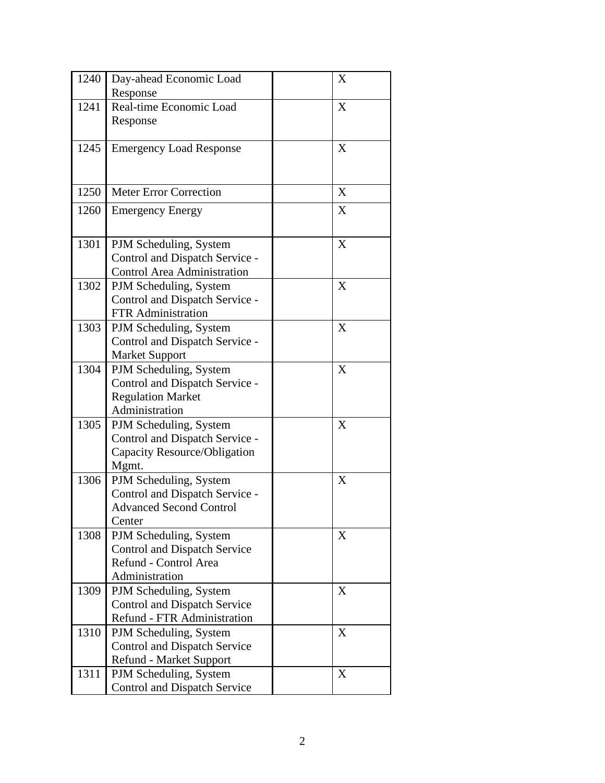| 1240 | Day-ahead Economic Load                                       | X |
|------|---------------------------------------------------------------|---|
|      | Response                                                      |   |
| 1241 | Real-time Economic Load                                       | X |
|      | Response                                                      |   |
|      |                                                               |   |
| 1245 | <b>Emergency Load Response</b>                                | X |
|      |                                                               |   |
|      |                                                               |   |
| 1250 | <b>Meter Error Correction</b>                                 | X |
| 1260 | <b>Emergency Energy</b>                                       | X |
|      |                                                               |   |
| 1301 | PJM Scheduling, System                                        | X |
|      | Control and Dispatch Service -                                |   |
|      | <b>Control Area Administration</b>                            |   |
| 1302 | PJM Scheduling, System                                        | X |
|      | Control and Dispatch Service -                                |   |
|      | <b>FTR</b> Administration                                     |   |
| 1303 | PJM Scheduling, System                                        | X |
|      | Control and Dispatch Service -                                |   |
|      | <b>Market Support</b>                                         |   |
| 1304 | PJM Scheduling, System                                        | X |
|      | Control and Dispatch Service -                                |   |
|      | <b>Regulation Market</b>                                      |   |
|      | Administration                                                |   |
| 1305 | PJM Scheduling, System                                        | X |
|      | Control and Dispatch Service -                                |   |
|      | Capacity Resource/Obligation                                  |   |
|      | Mgmt.                                                         |   |
| 1306 | PJM Scheduling, System                                        | X |
|      | Control and Dispatch Service -                                |   |
|      | <b>Advanced Second Control</b>                                |   |
|      | Center                                                        |   |
| 1308 | PJM Scheduling, System<br><b>Control and Dispatch Service</b> | X |
|      | Refund - Control Area                                         |   |
|      | Administration                                                |   |
| 1309 | PJM Scheduling, System                                        | X |
|      | <b>Control and Dispatch Service</b>                           |   |
|      | Refund - FTR Administration                                   |   |
| 1310 | PJM Scheduling, System                                        | X |
|      | <b>Control and Dispatch Service</b>                           |   |
|      | <b>Refund - Market Support</b>                                |   |
| 1311 | PJM Scheduling, System                                        | X |
|      | <b>Control and Dispatch Service</b>                           |   |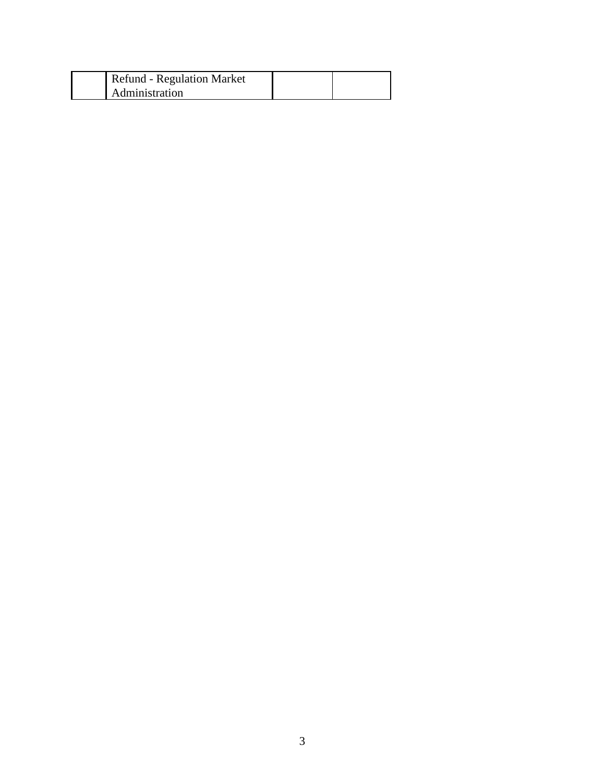| Refund - Regulation Market |  |
|----------------------------|--|
| Administration             |  |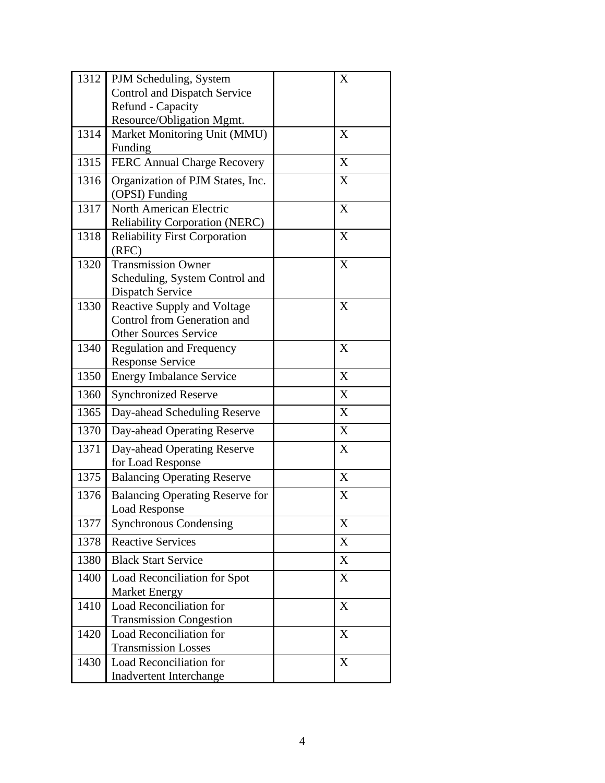| 1312 | PJM Scheduling, System                                         | X |
|------|----------------------------------------------------------------|---|
|      | <b>Control and Dispatch Service</b>                            |   |
|      | Refund - Capacity                                              |   |
|      | Resource/Obligation Mgmt.                                      |   |
| 1314 | Market Monitoring Unit (MMU)                                   | X |
|      | Funding                                                        |   |
| 1315 | FERC Annual Charge Recovery                                    | X |
| 1316 | Organization of PJM States, Inc.<br>(OPSI) Funding             | X |
| 1317 | North American Electric                                        | X |
|      | Reliability Corporation (NERC)                                 |   |
| 1318 | <b>Reliability First Corporation</b><br>(RFC)                  | X |
| 1320 | <b>Transmission Owner</b>                                      | X |
|      | Scheduling, System Control and<br><b>Dispatch Service</b>      |   |
| 1330 | <b>Reactive Supply and Voltage</b>                             | X |
|      | <b>Control from Generation and</b>                             |   |
|      | <b>Other Sources Service</b>                                   |   |
| 1340 | <b>Regulation and Frequency</b>                                | X |
|      | <b>Response Service</b>                                        |   |
| 1350 | <b>Energy Imbalance Service</b>                                | X |
| 1360 | <b>Synchronized Reserve</b>                                    | X |
| 1365 | Day-ahead Scheduling Reserve                                   | X |
| 1370 | Day-ahead Operating Reserve                                    | X |
| 1371 | Day-ahead Operating Reserve                                    | X |
|      | for Load Response                                              |   |
| 1375 | <b>Balancing Operating Reserve</b>                             | X |
| 1376 | <b>Balancing Operating Reserve for</b><br><b>Load Response</b> | X |
| 1377 | <b>Synchronous Condensing</b>                                  | X |
| 1378 | <b>Reactive Services</b>                                       | X |
| 1380 | <b>Black Start Service</b>                                     | X |
| 1400 | Load Reconciliation for Spot                                   | X |
|      | Market Energy                                                  |   |
| 1410 | <b>Load Reconciliation for</b>                                 | X |
|      | <b>Transmission Congestion</b>                                 |   |
| 1420 | <b>Load Reconciliation for</b>                                 | X |
|      | <b>Transmission Losses</b>                                     |   |
| 1430 | Load Reconciliation for                                        | X |
|      | Inadvertent Interchange                                        |   |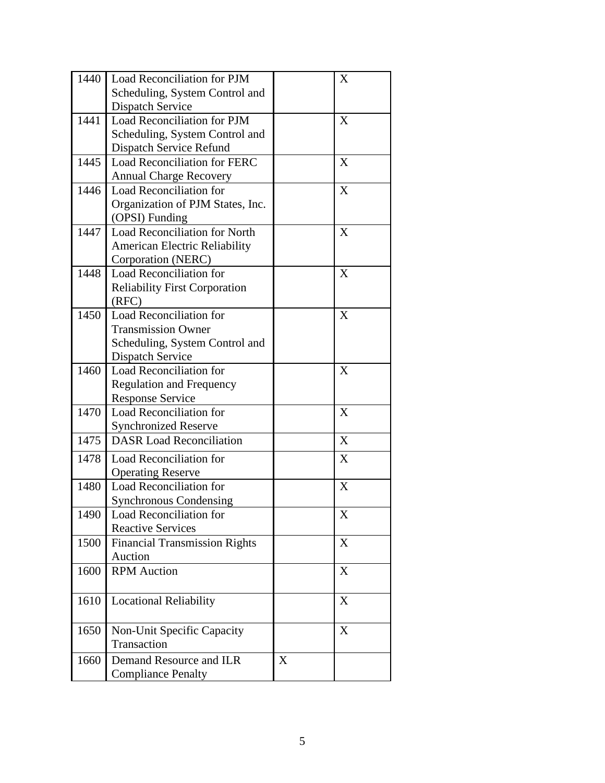| 1440 | Load Reconciliation for PJM          |   | X |
|------|--------------------------------------|---|---|
|      | Scheduling, System Control and       |   |   |
|      | <b>Dispatch Service</b>              |   |   |
| 1441 | Load Reconciliation for PJM          |   | X |
|      | Scheduling, System Control and       |   |   |
|      | Dispatch Service Refund              |   |   |
| 1445 | Load Reconciliation for FERC         |   | X |
|      | <b>Annual Charge Recovery</b>        |   |   |
| 1446 | <b>Load Reconciliation for</b>       |   | X |
|      | Organization of PJM States, Inc.     |   |   |
|      | (OPSI) Funding                       |   |   |
| 1447 | <b>Load Reconciliation for North</b> |   | X |
|      | American Electric Reliability        |   |   |
|      | Corporation (NERC)                   |   |   |
| 1448 | <b>Load Reconciliation for</b>       |   | X |
|      | <b>Reliability First Corporation</b> |   |   |
|      | (RFC)                                |   |   |
| 1450 | <b>Load Reconciliation for</b>       |   | X |
|      | <b>Transmission Owner</b>            |   |   |
|      | Scheduling, System Control and       |   |   |
|      | <b>Dispatch Service</b>              |   |   |
| 1460 | Load Reconciliation for              |   | X |
|      | <b>Regulation and Frequency</b>      |   |   |
|      | <b>Response Service</b>              |   |   |
| 1470 | <b>Load Reconciliation for</b>       |   | X |
|      | <b>Synchronized Reserve</b>          |   |   |
| 1475 | <b>DASR</b> Load Reconciliation      |   | X |
| 1478 | Load Reconciliation for              |   | X |
|      | <b>Operating Reserve</b>             |   |   |
| 1480 | Load Reconciliation for              |   | X |
|      | <b>Synchronous Condensing</b>        |   |   |
| 1490 | Load Reconciliation for              |   | X |
|      | <b>Reactive Services</b>             |   |   |
| 1500 | <b>Financial Transmission Rights</b> |   | X |
|      | Auction                              |   |   |
| 1600 | <b>RPM</b> Auction                   |   | X |
|      |                                      |   |   |
| 1610 | <b>Locational Reliability</b>        |   | X |
|      |                                      |   |   |
| 1650 | Non-Unit Specific Capacity           |   | X |
|      | Transaction                          |   |   |
| 1660 | Demand Resource and ILR              | X |   |
|      | <b>Compliance Penalty</b>            |   |   |
|      |                                      |   |   |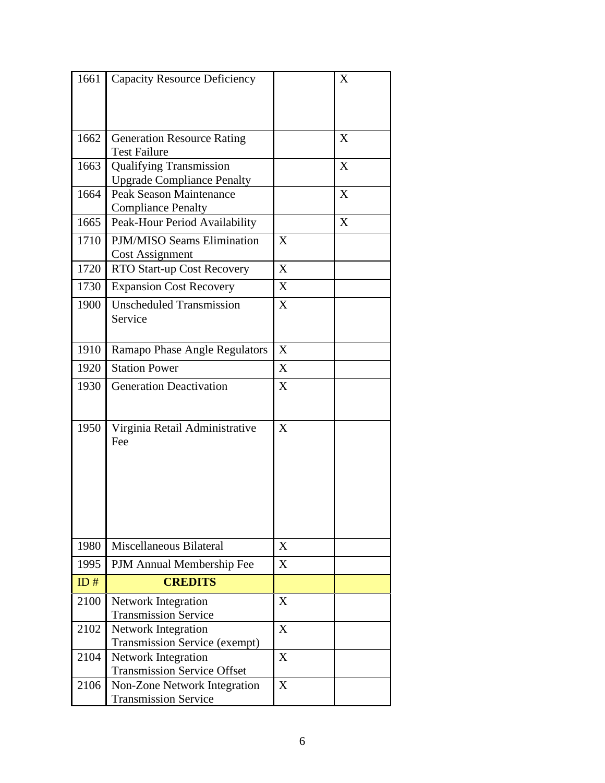| 1661 | <b>Capacity Resource Deficiency</b>                                 |   | X |
|------|---------------------------------------------------------------------|---|---|
|      |                                                                     |   |   |
|      |                                                                     |   |   |
|      |                                                                     |   |   |
| 1662 | <b>Generation Resource Rating</b>                                   |   | X |
|      | <b>Test Failure</b>                                                 |   |   |
| 1663 | <b>Qualifying Transmission</b>                                      |   | X |
| 1664 | <b>Upgrade Compliance Penalty</b><br><b>Peak Season Maintenance</b> |   | X |
|      | <b>Compliance Penalty</b>                                           |   |   |
| 1665 | Peak-Hour Period Availability                                       |   | X |
|      | PJM/MISO Seams Elimination                                          |   |   |
| 1710 | <b>Cost Assignment</b>                                              | X |   |
| 1720 | RTO Start-up Cost Recovery                                          | X |   |
|      |                                                                     |   |   |
| 1730 | <b>Expansion Cost Recovery</b>                                      | X |   |
| 1900 | <b>Unscheduled Transmission</b>                                     | X |   |
|      | Service                                                             |   |   |
|      |                                                                     |   |   |
| 1910 | Ramapo Phase Angle Regulators                                       | X |   |
| 1920 | <b>Station Power</b>                                                | X |   |
| 1930 | <b>Generation Deactivation</b>                                      | X |   |
|      |                                                                     |   |   |
|      |                                                                     |   |   |
| 1950 | Virginia Retail Administrative                                      | X |   |
|      | Fee                                                                 |   |   |
|      |                                                                     |   |   |
|      |                                                                     |   |   |
|      |                                                                     |   |   |
|      |                                                                     |   |   |
|      |                                                                     |   |   |
| 1980 | Miscellaneous Bilateral                                             | X |   |
|      |                                                                     |   |   |
| 1995 | PJM Annual Membership Fee                                           | X |   |
| ID#  | <b>CREDITS</b>                                                      |   |   |
| 2100 | <b>Network Integration</b>                                          | X |   |
|      | <b>Transmission Service</b>                                         |   |   |
| 2102 | <b>Network Integration</b>                                          | X |   |
|      | <b>Transmission Service (exempt)</b>                                |   |   |
| 2104 | Network Integration                                                 | X |   |
|      | <b>Transmission Service Offset</b>                                  |   |   |
| 2106 | Non-Zone Network Integration<br><b>Transmission Service</b>         | X |   |
|      |                                                                     |   |   |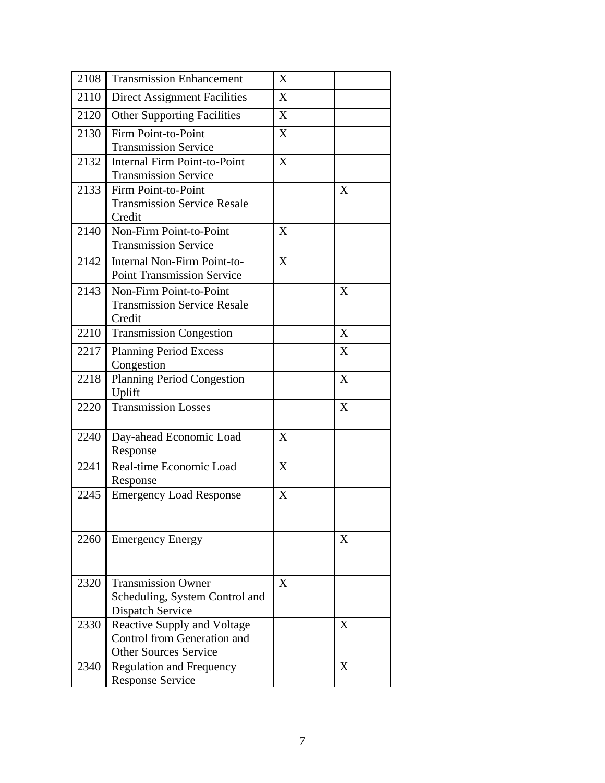| 2108 | <b>Transmission Enhancement</b>     | X |   |
|------|-------------------------------------|---|---|
| 2110 | <b>Direct Assignment Facilities</b> | X |   |
| 2120 | <b>Other Supporting Facilities</b>  | X |   |
| 2130 | Firm Point-to-Point                 | X |   |
|      | <b>Transmission Service</b>         |   |   |
| 2132 | <b>Internal Firm Point-to-Point</b> | X |   |
|      | <b>Transmission Service</b>         |   |   |
| 2133 | Firm Point-to-Point                 |   | X |
|      | <b>Transmission Service Resale</b>  |   |   |
|      | Credit                              |   |   |
| 2140 | Non-Firm Point-to-Point             | X |   |
|      | <b>Transmission Service</b>         |   |   |
| 2142 | <b>Internal Non-Firm Point-to-</b>  | X |   |
|      | <b>Point Transmission Service</b>   |   |   |
| 2143 | Non-Firm Point-to-Point             |   | X |
|      | <b>Transmission Service Resale</b>  |   |   |
|      | Credit                              |   |   |
| 2210 | <b>Transmission Congestion</b>      |   | X |
| 2217 | <b>Planning Period Excess</b>       |   | X |
|      | Congestion                          |   |   |
| 2218 | <b>Planning Period Congestion</b>   |   | X |
|      | Uplift                              |   |   |
| 2220 | <b>Transmission Losses</b>          |   | X |
|      |                                     |   |   |
| 2240 | Day-ahead Economic Load             | X |   |
|      | Response                            |   |   |
| 2241 | Real-time Economic Load             | X |   |
|      | Response                            |   |   |
| 2245 | <b>Emergency Load Response</b>      | X |   |
|      |                                     |   |   |
|      |                                     |   |   |
| 2260 | <b>Emergency Energy</b>             |   | X |
|      |                                     |   |   |
|      |                                     |   |   |
| 2320 | <b>Transmission Owner</b>           | X |   |
|      | Scheduling, System Control and      |   |   |
|      | <b>Dispatch Service</b>             |   |   |
| 2330 | <b>Reactive Supply and Voltage</b>  |   | X |
|      | Control from Generation and         |   |   |
|      | <b>Other Sources Service</b>        |   |   |
| 2340 | <b>Regulation and Frequency</b>     |   | X |
|      | <b>Response Service</b>             |   |   |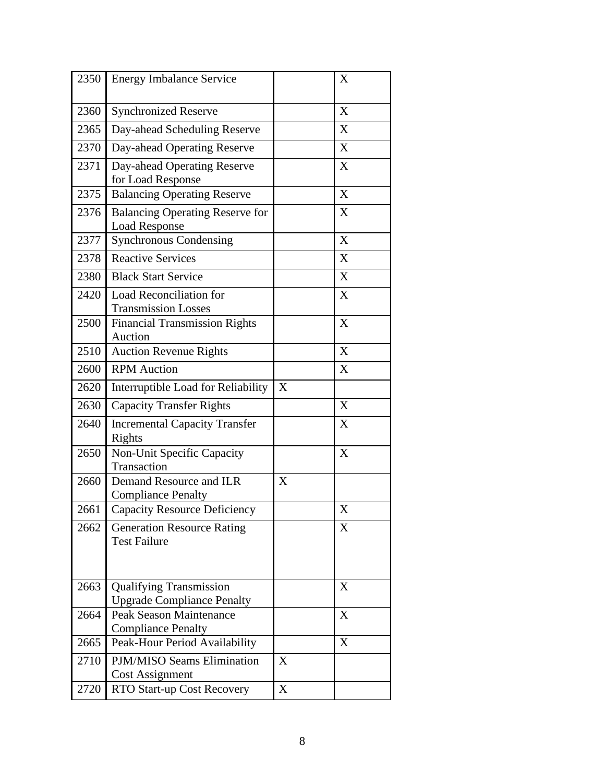| 2350 | <b>Energy Imbalance Service</b>                                     |   | X |
|------|---------------------------------------------------------------------|---|---|
| 2360 | <b>Synchronized Reserve</b>                                         |   | X |
| 2365 | Day-ahead Scheduling Reserve                                        |   | X |
| 2370 | Day-ahead Operating Reserve                                         |   | X |
| 2371 | Day-ahead Operating Reserve<br>for Load Response                    |   | X |
| 2375 | <b>Balancing Operating Reserve</b>                                  |   | X |
| 2376 | <b>Balancing Operating Reserve for</b><br><b>Load Response</b>      |   | X |
| 2377 | <b>Synchronous Condensing</b>                                       |   | X |
| 2378 | <b>Reactive Services</b>                                            |   | X |
| 2380 | <b>Black Start Service</b>                                          |   | X |
| 2420 | Load Reconciliation for<br><b>Transmission Losses</b>               |   | X |
| 2500 | <b>Financial Transmission Rights</b><br>Auction                     |   | X |
| 2510 | <b>Auction Revenue Rights</b>                                       |   | X |
| 2600 | <b>RPM</b> Auction                                                  |   | X |
| 2620 | Interruptible Load for Reliability                                  | X |   |
| 2630 | <b>Capacity Transfer Rights</b>                                     |   | X |
| 2640 | <b>Incremental Capacity Transfer</b><br>Rights                      |   | X |
| 2650 | Non-Unit Specific Capacity<br>Transaction                           |   | X |
| 2660 | Demand Resource and ILR<br><b>Compliance Penalty</b>                | X |   |
| 2661 | <b>Capacity Resource Deficiency</b>                                 |   | X |
| 2662 | <b>Generation Resource Rating</b><br><b>Test Failure</b>            |   | X |
| 2663 | <b>Qualifying Transmission</b><br><b>Upgrade Compliance Penalty</b> |   | X |
| 2664 | <b>Peak Season Maintenance</b><br><b>Compliance Penalty</b>         |   | X |
| 2665 | Peak-Hour Period Availability                                       |   | X |
| 2710 | PJM/MISO Seams Elimination<br><b>Cost Assignment</b>                | X |   |
| 2720 | RTO Start-up Cost Recovery                                          | X |   |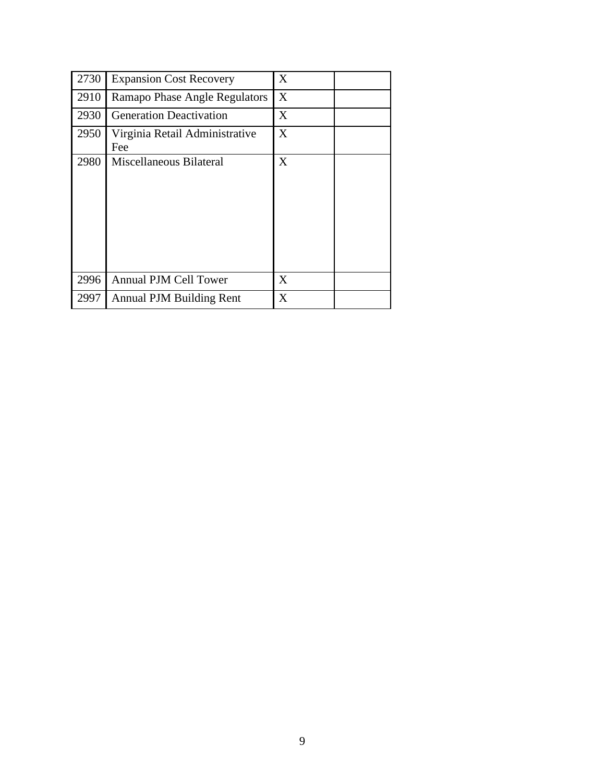| 2730 | <b>Expansion Cost Recovery</b>        | X |
|------|---------------------------------------|---|
| 2910 | Ramapo Phase Angle Regulators         | X |
| 2930 | <b>Generation Deactivation</b>        | X |
| 2950 | Virginia Retail Administrative<br>Fee | X |
| 2980 | Miscellaneous Bilateral               | X |
| 2996 | <b>Annual PJM Cell Tower</b>          | X |
| 2997 | <b>Annual PJM Building Rent</b>       | X |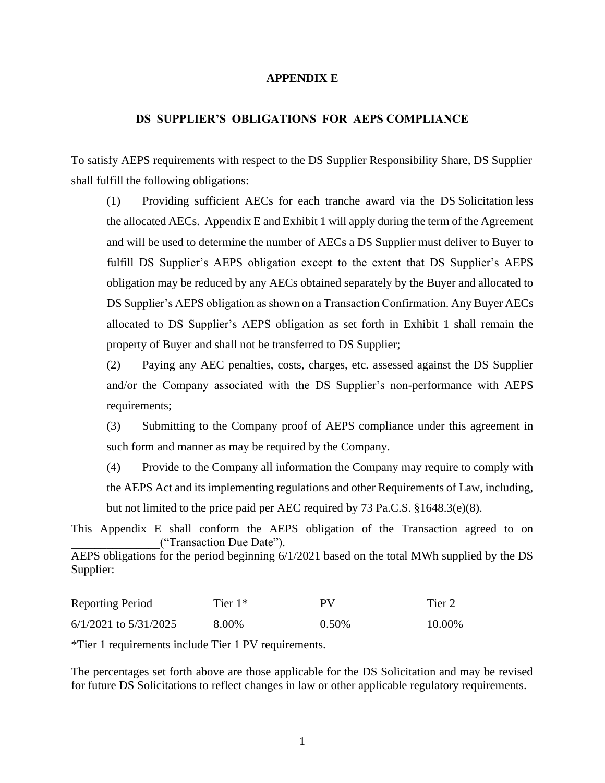### **APPENDIX E**

### **DS SUPPLIER'S OBLIGATIONS FOR AEPS COMPLIANCE**

To satisfy AEPS requirements with respect to the DS Supplier Responsibility Share, DS Supplier shall fulfill the following obligations:

(1) Providing sufficient AECs for each tranche award via the DS Solicitation less the allocated AECs. Appendix E and Exhibit 1 will apply during the term of the Agreement and will be used to determine the number of AECs a DS Supplier must deliver to Buyer to fulfill DS Supplier's AEPS obligation except to the extent that DS Supplier's AEPS obligation may be reduced by any AECs obtained separately by the Buyer and allocated to DS Supplier's AEPS obligation as shown on a Transaction Confirmation. Any Buyer AECs allocated to DS Supplier's AEPS obligation as set forth in Exhibit 1 shall remain the property of Buyer and shall not be transferred to DS Supplier;

(2) Paying any AEC penalties, costs, charges, etc. assessed against the DS Supplier and/or the Company associated with the DS Supplier's non-performance with AEPS requirements;

(3) Submitting to the Company proof of AEPS compliance under this agreement in such form and manner as may be required by the Company.

(4) Provide to the Company all information the Company may require to comply with the AEPS Act and its implementing regulations and other Requirements of Law, including, but not limited to the price paid per AEC required by 73 Pa.C.S. §1648.3(e)(8).

This Appendix E shall conform the AEPS obligation of the Transaction agreed to on \_\_\_\_\_\_\_\_\_\_\_\_\_\_\_("Transaction Due Date").

AEPS obligations for the period beginning 6/1/2021 based on the total MWh supplied by the DS Supplier:

| <b>Reporting Period</b>   | Tier 1* | РV    | Tier 2 |
|---------------------------|---------|-------|--------|
| $6/1/2021$ to $5/31/2025$ | 8.00%   | 0.50% | 10.00% |

\*Tier 1 requirements include Tier 1 PV requirements.

The percentages set forth above are those applicable for the DS Solicitation and may be revised for future DS Solicitations to reflect changes in law or other applicable regulatory requirements.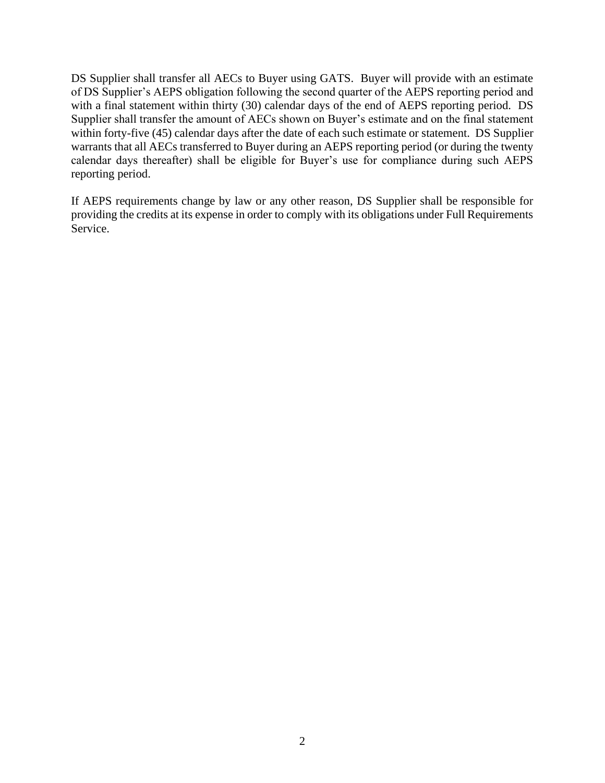DS Supplier shall transfer all AECs to Buyer using GATS. Buyer will provide with an estimate of DS Supplier's AEPS obligation following the second quarter of the AEPS reporting period and with a final statement within thirty (30) calendar days of the end of AEPS reporting period. DS Supplier shall transfer the amount of AECs shown on Buyer's estimate and on the final statement within forty-five (45) calendar days after the date of each such estimate or statement. DS Supplier warrants that all AECs transferred to Buyer during an AEPS reporting period (or during the twenty calendar days thereafter) shall be eligible for Buyer's use for compliance during such AEPS reporting period.

If AEPS requirements change by law or any other reason, DS Supplier shall be responsible for providing the credits at its expense in order to comply with its obligations under Full Requirements Service.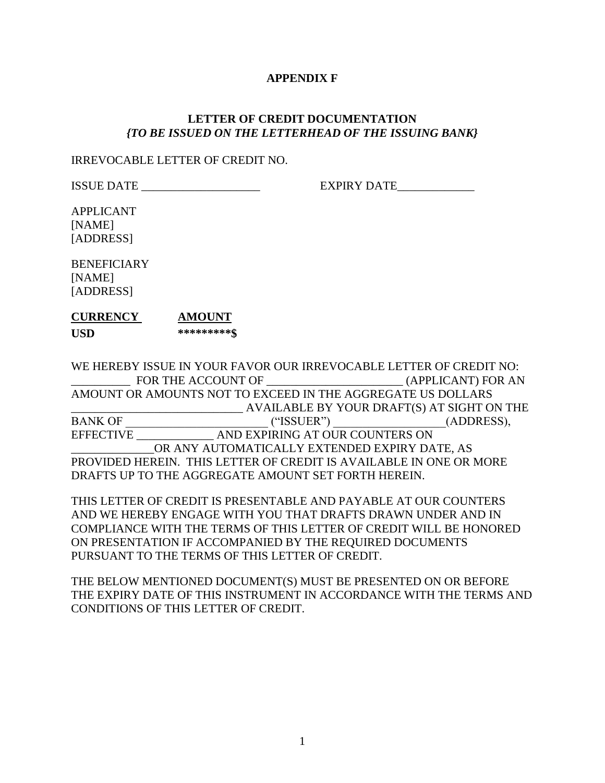## **APPENDIX F**

# **LETTER OF CREDIT DOCUMENTATION** *{TO BE ISSUED ON THE LETTERHEAD OF THE ISSUING BANK}*

### IRREVOCABLE LETTER OF CREDIT NO.

ISSUE DATE \_\_\_\_\_\_\_\_\_\_\_\_\_\_\_\_\_\_\_\_ EXPIRY DATE\_\_\_\_\_\_\_\_\_\_\_\_\_

APPLICANT [NAME] [ADDRESS]

**BENEFICIARY** [NAME] [ADDRESS]

# **CURRENCY AMOUNT USD \*\*\*\*\*\*\*\*\*\$**

WE HEREBY ISSUE IN YOUR FAVOR OUR IRREVOCABLE LETTER OF CREDIT NO: \_\_\_\_\_\_\_\_\_\_ FOR THE ACCOUNT OF \_\_\_\_\_\_\_\_\_\_\_\_\_\_\_\_\_\_\_\_\_\_\_ (APPLICANT) FOR AN AMOUNT OR AMOUNTS NOT TO EXCEED IN THE AGGREGATE US DOLLARS \_\_\_\_\_\_\_\_\_\_\_\_\_\_\_\_\_\_\_\_\_\_\_\_\_\_\_\_\_ AVAILABLE BY YOUR DRAFT(S) AT SIGHT ON THE BANK OF  $("ISSUER")$  (ADDRESS), EFFECTIVE \_\_\_\_\_\_\_\_\_\_\_\_\_ AND EXPIRING AT OUR COUNTERS ON OR ANY AUTOMATICALLY EXTENDED EXPIRY DATE, AS PROVIDED HEREIN. THIS LETTER OF CREDIT IS AVAILABLE IN ONE OR MORE DRAFTS UP TO THE AGGREGATE AMOUNT SET FORTH HEREIN.

THIS LETTER OF CREDIT IS PRESENTABLE AND PAYABLE AT OUR COUNTERS AND WE HEREBY ENGAGE WITH YOU THAT DRAFTS DRAWN UNDER AND IN COMPLIANCE WITH THE TERMS OF THIS LETTER OF CREDIT WILL BE HONORED ON PRESENTATION IF ACCOMPANIED BY THE REQUIRED DOCUMENTS PURSUANT TO THE TERMS OF THIS LETTER OF CREDIT.

THE BELOW MENTIONED DOCUMENT(S) MUST BE PRESENTED ON OR BEFORE THE EXPIRY DATE OF THIS INSTRUMENT IN ACCORDANCE WITH THE TERMS AND CONDITIONS OF THIS LETTER OF CREDIT.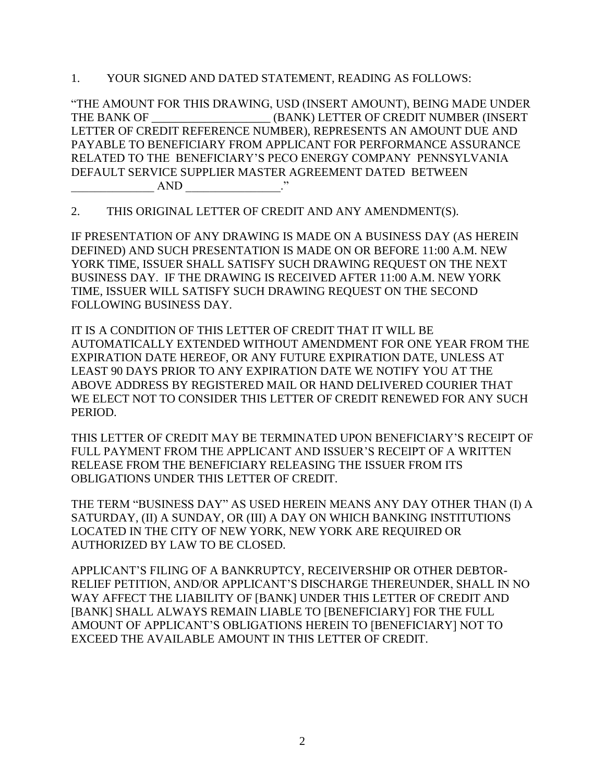1. YOUR SIGNED AND DATED STATEMENT, READING AS FOLLOWS:

"THE AMOUNT FOR THIS DRAWING, USD (INSERT AMOUNT), BEING MADE UNDER THE BANK OF \_\_\_\_\_\_\_\_\_\_\_\_\_\_\_\_\_\_\_\_ (BANK) LETTER OF CREDIT NUMBER (INSERT LETTER OF CREDIT REFERENCE NUMBER), REPRESENTS AN AMOUNT DUE AND PAYABLE TO BENEFICIARY FROM APPLICANT FOR PERFORMANCE ASSURANCE RELATED TO THE BENEFICIARY'S PECO ENERGY COMPANY PENNSYLVANIA DEFAULT SERVICE SUPPLIER MASTER AGREEMENT DATED BETWEEN  $AND$  \_\_\_\_\_\_\_\_\_\_\_\_\_\_\_\_\_\_\_\_."

2. THIS ORIGINAL LETTER OF CREDIT AND ANY AMENDMENT(S).

IF PRESENTATION OF ANY DRAWING IS MADE ON A BUSINESS DAY (AS HEREIN DEFINED) AND SUCH PRESENTATION IS MADE ON OR BEFORE 11:00 A.M. NEW YORK TIME, ISSUER SHALL SATISFY SUCH DRAWING REQUEST ON THE NEXT BUSINESS DAY. IF THE DRAWING IS RECEIVED AFTER 11:00 A.M. NEW YORK TIME, ISSUER WILL SATISFY SUCH DRAWING REQUEST ON THE SECOND FOLLOWING BUSINESS DAY.

IT IS A CONDITION OF THIS LETTER OF CREDIT THAT IT WILL BE AUTOMATICALLY EXTENDED WITHOUT AMENDMENT FOR ONE YEAR FROM THE EXPIRATION DATE HEREOF, OR ANY FUTURE EXPIRATION DATE, UNLESS AT LEAST 90 DAYS PRIOR TO ANY EXPIRATION DATE WE NOTIFY YOU AT THE ABOVE ADDRESS BY REGISTERED MAIL OR HAND DELIVERED COURIER THAT WE ELECT NOT TO CONSIDER THIS LETTER OF CREDIT RENEWED FOR ANY SUCH PERIOD.

THIS LETTER OF CREDIT MAY BE TERMINATED UPON BENEFICIARY'S RECEIPT OF FULL PAYMENT FROM THE APPLICANT AND ISSUER'S RECEIPT OF A WRITTEN RELEASE FROM THE BENEFICIARY RELEASING THE ISSUER FROM ITS OBLIGATIONS UNDER THIS LETTER OF CREDIT.

THE TERM "BUSINESS DAY" AS USED HEREIN MEANS ANY DAY OTHER THAN (I) A SATURDAY, (II) A SUNDAY, OR (III) A DAY ON WHICH BANKING INSTITUTIONS LOCATED IN THE CITY OF NEW YORK, NEW YORK ARE REQUIRED OR AUTHORIZED BY LAW TO BE CLOSED.

APPLICANT'S FILING OF A BANKRUPTCY, RECEIVERSHIP OR OTHER DEBTOR-RELIEF PETITION, AND/OR APPLICANT'S DISCHARGE THEREUNDER, SHALL IN NO WAY AFFECT THE LIABILITY OF [BANK] UNDER THIS LETTER OF CREDIT AND [BANK] SHALL ALWAYS REMAIN LIABLE TO [BENEFICIARY] FOR THE FULL AMOUNT OF APPLICANT'S OBLIGATIONS HEREIN TO [BENEFICIARY] NOT TO EXCEED THE AVAILABLE AMOUNT IN THIS LETTER OF CREDIT.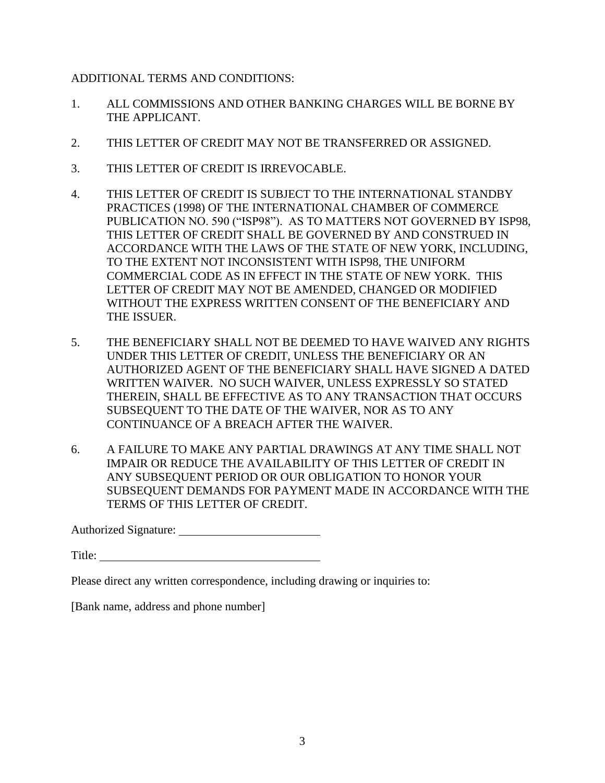ADDITIONAL TERMS AND CONDITIONS:

- 1. ALL COMMISSIONS AND OTHER BANKING CHARGES WILL BE BORNE BY THE APPLICANT.
- 2. THIS LETTER OF CREDIT MAY NOT BE TRANSFERRED OR ASSIGNED.
- 3. THIS LETTER OF CREDIT IS IRREVOCABLE.
- 4. THIS LETTER OF CREDIT IS SUBJECT TO THE INTERNATIONAL STANDBY PRACTICES (1998) OF THE INTERNATIONAL CHAMBER OF COMMERCE PUBLICATION NO. 590 ("ISP98"). AS TO MATTERS NOT GOVERNED BY ISP98, THIS LETTER OF CREDIT SHALL BE GOVERNED BY AND CONSTRUED IN ACCORDANCE WITH THE LAWS OF THE STATE OF NEW YORK, INCLUDING, TO THE EXTENT NOT INCONSISTENT WITH ISP98, THE UNIFORM COMMERCIAL CODE AS IN EFFECT IN THE STATE OF NEW YORK. THIS LETTER OF CREDIT MAY NOT BE AMENDED, CHANGED OR MODIFIED WITHOUT THE EXPRESS WRITTEN CONSENT OF THE BENEFICIARY AND THE ISSUER.
- 5. THE BENEFICIARY SHALL NOT BE DEEMED TO HAVE WAIVED ANY RIGHTS UNDER THIS LETTER OF CREDIT, UNLESS THE BENEFICIARY OR AN AUTHORIZED AGENT OF THE BENEFICIARY SHALL HAVE SIGNED A DATED WRITTEN WAIVER. NO SUCH WAIVER, UNLESS EXPRESSLY SO STATED THEREIN, SHALL BE EFFECTIVE AS TO ANY TRANSACTION THAT OCCURS SUBSEQUENT TO THE DATE OF THE WAIVER, NOR AS TO ANY CONTINUANCE OF A BREACH AFTER THE WAIVER.
- 6. A FAILURE TO MAKE ANY PARTIAL DRAWINGS AT ANY TIME SHALL NOT IMPAIR OR REDUCE THE AVAILABILITY OF THIS LETTER OF CREDIT IN ANY SUBSEQUENT PERIOD OR OUR OBLIGATION TO HONOR YOUR SUBSEQUENT DEMANDS FOR PAYMENT MADE IN ACCORDANCE WITH THE TERMS OF THIS LETTER OF CREDIT.

Authorized Signature:

Title:

Please direct any written correspondence, including drawing or inquiries to:

[Bank name, address and phone number]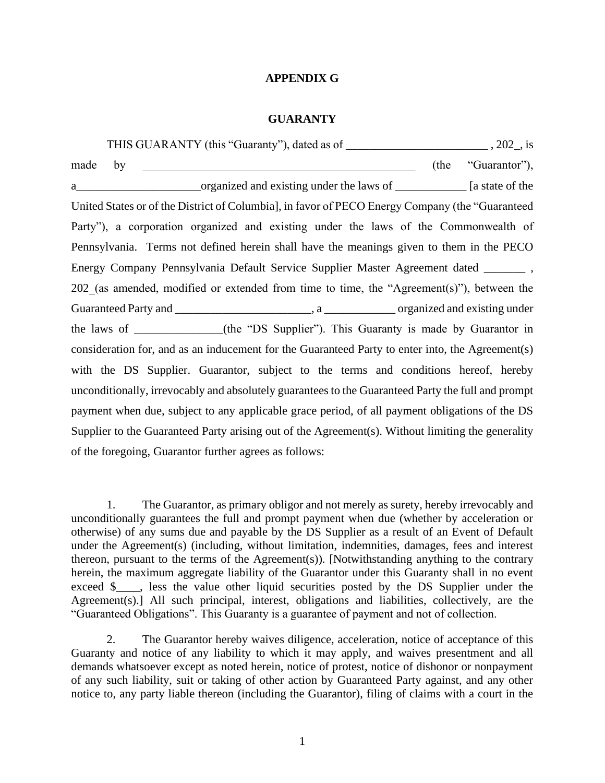### **APPENDIX G**

#### **GUARANTY**

THIS GUARANTY (this "Guaranty"), dated as of \_\_\_\_\_\_\_\_\_\_\_\_\_\_\_\_\_\_\_\_\_\_\_\_ , 202\_, is made by  $(the "Guarator"),$ a\_\_\_\_\_\_\_\_\_\_\_\_\_\_\_\_\_\_\_\_\_organized and existing under the laws of \_\_\_\_\_\_\_\_\_\_\_\_ [a state of the United States or of the District of Columbia], in favor of PECO Energy Company (the "Guaranteed Party"), a corporation organized and existing under the laws of the Commonwealth of Pennsylvania. Terms not defined herein shall have the meanings given to them in the PECO Energy Company Pennsylvania Default Service Supplier Master Agreement dated \_\_\_\_\_\_\_ , 202 (as amended, modified or extended from time to time, the "Agreement(s)"), between the Guaranteed Party and \_\_\_\_\_\_\_\_\_\_\_\_\_\_\_\_\_\_\_\_\_\_\_, a \_\_\_\_\_\_\_\_\_\_\_\_ organized and existing under the laws of \_\_\_\_\_\_\_\_\_\_\_\_\_\_\_(the "DS Supplier"). This Guaranty is made by Guarantor in consideration for, and as an inducement for the Guaranteed Party to enter into, the Agreement(s) with the DS Supplier. Guarantor, subject to the terms and conditions hereof, hereby unconditionally, irrevocably and absolutely guarantees to the Guaranteed Party the full and prompt payment when due, subject to any applicable grace period, of all payment obligations of the DS Supplier to the Guaranteed Party arising out of the Agreement(s). Without limiting the generality of the foregoing, Guarantor further agrees as follows:

1. The Guarantor, as primary obligor and not merely as surety, hereby irrevocably and unconditionally guarantees the full and prompt payment when due (whether by acceleration or otherwise) of any sums due and payable by the DS Supplier as a result of an Event of Default under the Agreement(s) (including, without limitation, indemnities, damages, fees and interest thereon, pursuant to the terms of the Agreement(s)). [Notwithstanding anything to the contrary herein, the maximum aggregate liability of the Guarantor under this Guaranty shall in no event exceed \$\_\_\_, less the value other liquid securities posted by the DS Supplier under the Agreement(s).] All such principal, interest, obligations and liabilities, collectively, are the "Guaranteed Obligations". This Guaranty is a guarantee of payment and not of collection.

2. The Guarantor hereby waives diligence, acceleration, notice of acceptance of this Guaranty and notice of any liability to which it may apply, and waives presentment and all demands whatsoever except as noted herein, notice of protest, notice of dishonor or nonpayment of any such liability, suit or taking of other action by Guaranteed Party against, and any other notice to, any party liable thereon (including the Guarantor), filing of claims with a court in the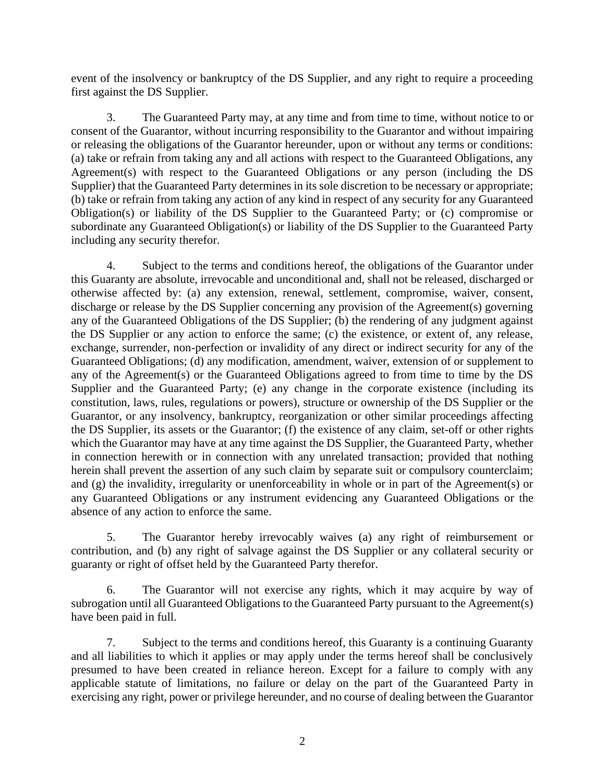event of the insolvency or bankruptcy of the DS Supplier, and any right to require a proceeding first against the DS Supplier.

3. The Guaranteed Party may, at any time and from time to time, without notice to or consent of the Guarantor, without incurring responsibility to the Guarantor and without impairing or releasing the obligations of the Guarantor hereunder, upon or without any terms or conditions: (a) take or refrain from taking any and all actions with respect to the Guaranteed Obligations, any Agreement(s) with respect to the Guaranteed Obligations or any person (including the DS Supplier) that the Guaranteed Party determines in its sole discretion to be necessary or appropriate; (b) take or refrain from taking any action of any kind in respect of any security for any Guaranteed Obligation(s) or liability of the DS Supplier to the Guaranteed Party; or (c) compromise or subordinate any Guaranteed Obligation(s) or liability of the DS Supplier to the Guaranteed Party including any security therefor.

4. Subject to the terms and conditions hereof, the obligations of the Guarantor under this Guaranty are absolute, irrevocable and unconditional and, shall not be released, discharged or otherwise affected by: (a) any extension, renewal, settlement, compromise, waiver, consent, discharge or release by the DS Supplier concerning any provision of the Agreement(s) governing any of the Guaranteed Obligations of the DS Supplier; (b) the rendering of any judgment against the DS Supplier or any action to enforce the same; (c) the existence, or extent of, any release, exchange, surrender, non-perfection or invalidity of any direct or indirect security for any of the Guaranteed Obligations; (d) any modification, amendment, waiver, extension of or supplement to any of the Agreement(s) or the Guaranteed Obligations agreed to from time to time by the DS Supplier and the Guaranteed Party; (e) any change in the corporate existence (including its constitution, laws, rules, regulations or powers), structure or ownership of the DS Supplier or the Guarantor, or any insolvency, bankruptcy, reorganization or other similar proceedings affecting the DS Supplier, its assets or the Guarantor; (f) the existence of any claim, set-off or other rights which the Guarantor may have at any time against the DS Supplier, the Guaranteed Party, whether in connection herewith or in connection with any unrelated transaction; provided that nothing herein shall prevent the assertion of any such claim by separate suit or compulsory counterclaim; and (g) the invalidity, irregularity or unenforceability in whole or in part of the Agreement(s) or any Guaranteed Obligations or any instrument evidencing any Guaranteed Obligations or the absence of any action to enforce the same.

5. The Guarantor hereby irrevocably waives (a) any right of reimbursement or contribution, and (b) any right of salvage against the DS Supplier or any collateral security or guaranty or right of offset held by the Guaranteed Party therefor.

6. The Guarantor will not exercise any rights, which it may acquire by way of subrogation until all Guaranteed Obligations to the Guaranteed Party pursuant to the Agreement(s) have been paid in full.

7. Subject to the terms and conditions hereof, this Guaranty is a continuing Guaranty and all liabilities to which it applies or may apply under the terms hereof shall be conclusively presumed to have been created in reliance hereon. Except for a failure to comply with any applicable statute of limitations, no failure or delay on the part of the Guaranteed Party in exercising any right, power or privilege hereunder, and no course of dealing between the Guarantor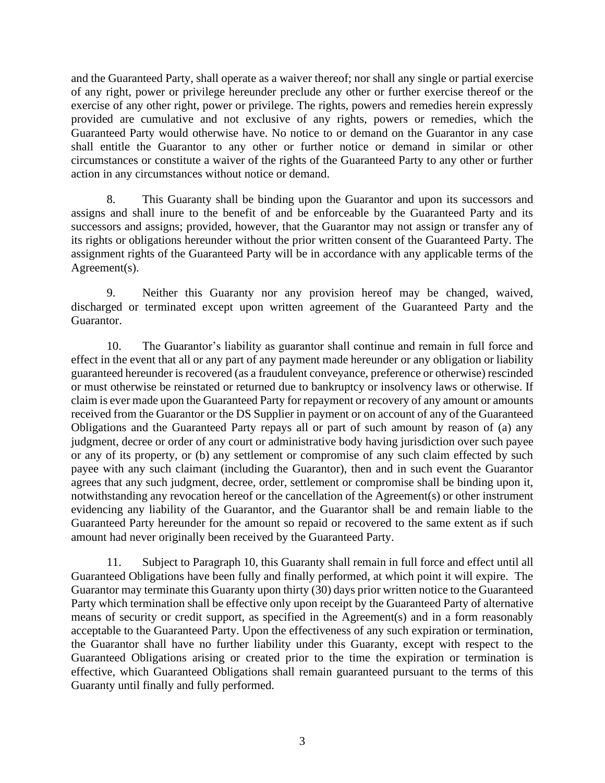and the Guaranteed Party, shall operate as a waiver thereof; nor shall any single or partial exercise of any right, power or privilege hereunder preclude any other or further exercise thereof or the exercise of any other right, power or privilege. The rights, powers and remedies herein expressly provided are cumulative and not exclusive of any rights, powers or remedies, which the Guaranteed Party would otherwise have. No notice to or demand on the Guarantor in any case shall entitle the Guarantor to any other or further notice or demand in similar or other circumstances or constitute a waiver of the rights of the Guaranteed Party to any other or further action in any circumstances without notice or demand.

8. This Guaranty shall be binding upon the Guarantor and upon its successors and assigns and shall inure to the benefit of and be enforceable by the Guaranteed Party and its successors and assigns; provided, however, that the Guarantor may not assign or transfer any of its rights or obligations hereunder without the prior written consent of the Guaranteed Party. The assignment rights of the Guaranteed Party will be in accordance with any applicable terms of the Agreement(s).

9. Neither this Guaranty nor any provision hereof may be changed, waived, discharged or terminated except upon written agreement of the Guaranteed Party and the Guarantor.

10. The Guarantor's liability as guarantor shall continue and remain in full force and effect in the event that all or any part of any payment made hereunder or any obligation or liability guaranteed hereunder is recovered (as a fraudulent conveyance, preference or otherwise) rescinded or must otherwise be reinstated or returned due to bankruptcy or insolvency laws or otherwise. If claim is ever made upon the Guaranteed Party for repayment or recovery of any amount or amounts received from the Guarantor or the DS Supplier in payment or on account of any of the Guaranteed Obligations and the Guaranteed Party repays all or part of such amount by reason of (a) any judgment, decree or order of any court or administrative body having jurisdiction over such payee or any of its property, or (b) any settlement or compromise of any such claim effected by such payee with any such claimant (including the Guarantor), then and in such event the Guarantor agrees that any such judgment, decree, order, settlement or compromise shall be binding upon it, notwithstanding any revocation hereof or the cancellation of the Agreement(s) or other instrument evidencing any liability of the Guarantor, and the Guarantor shall be and remain liable to the Guaranteed Party hereunder for the amount so repaid or recovered to the same extent as if such amount had never originally been received by the Guaranteed Party.

11. Subject to Paragraph 10, this Guaranty shall remain in full force and effect until all Guaranteed Obligations have been fully and finally performed, at which point it will expire. The Guarantor may terminate this Guaranty upon thirty (30) days prior written notice to the Guaranteed Party which termination shall be effective only upon receipt by the Guaranteed Party of alternative means of security or credit support, as specified in the Agreement(s) and in a form reasonably acceptable to the Guaranteed Party. Upon the effectiveness of any such expiration or termination, the Guarantor shall have no further liability under this Guaranty, except with respect to the Guaranteed Obligations arising or created prior to the time the expiration or termination is effective, which Guaranteed Obligations shall remain guaranteed pursuant to the terms of this Guaranty until finally and fully performed.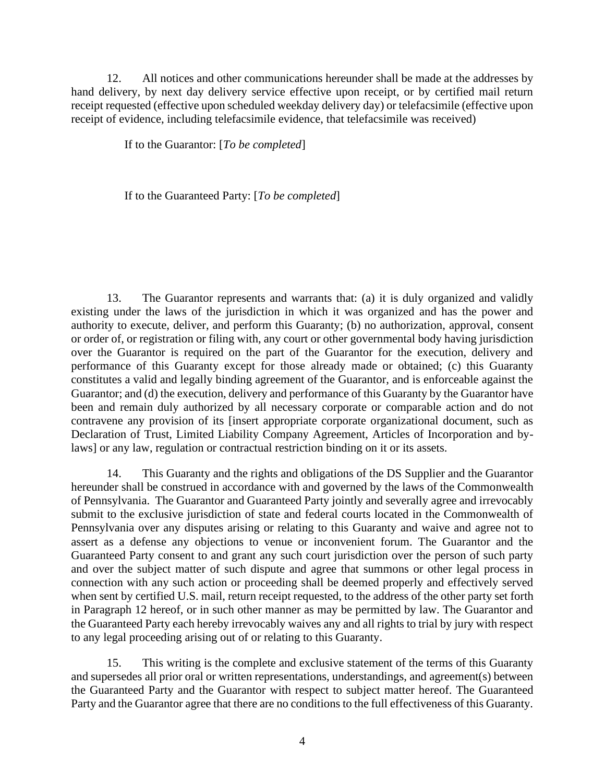12. All notices and other communications hereunder shall be made at the addresses by hand delivery, by next day delivery service effective upon receipt, or by certified mail return receipt requested (effective upon scheduled weekday delivery day) or telefacsimile (effective upon receipt of evidence, including telefacsimile evidence, that telefacsimile was received)

If to the Guarantor: [*To be completed*]

If to the Guaranteed Party: [*To be completed*]

13. The Guarantor represents and warrants that: (a) it is duly organized and validly existing under the laws of the jurisdiction in which it was organized and has the power and authority to execute, deliver, and perform this Guaranty; (b) no authorization, approval, consent or order of, or registration or filing with, any court or other governmental body having jurisdiction over the Guarantor is required on the part of the Guarantor for the execution, delivery and performance of this Guaranty except for those already made or obtained; (c) this Guaranty constitutes a valid and legally binding agreement of the Guarantor, and is enforceable against the Guarantor; and (d) the execution, delivery and performance of this Guaranty by the Guarantor have been and remain duly authorized by all necessary corporate or comparable action and do not contravene any provision of its [insert appropriate corporate organizational document, such as Declaration of Trust, Limited Liability Company Agreement, Articles of Incorporation and bylaws] or any law, regulation or contractual restriction binding on it or its assets.

14. This Guaranty and the rights and obligations of the DS Supplier and the Guarantor hereunder shall be construed in accordance with and governed by the laws of the Commonwealth of Pennsylvania. The Guarantor and Guaranteed Party jointly and severally agree and irrevocably submit to the exclusive jurisdiction of state and federal courts located in the Commonwealth of Pennsylvania over any disputes arising or relating to this Guaranty and waive and agree not to assert as a defense any objections to venue or inconvenient forum. The Guarantor and the Guaranteed Party consent to and grant any such court jurisdiction over the person of such party and over the subject matter of such dispute and agree that summons or other legal process in connection with any such action or proceeding shall be deemed properly and effectively served when sent by certified U.S. mail, return receipt requested, to the address of the other party set forth in Paragraph 12 hereof, or in such other manner as may be permitted by law. The Guarantor and the Guaranteed Party each hereby irrevocably waives any and all rights to trial by jury with respect to any legal proceeding arising out of or relating to this Guaranty.

15. This writing is the complete and exclusive statement of the terms of this Guaranty and supersedes all prior oral or written representations, understandings, and agreement(s) between the Guaranteed Party and the Guarantor with respect to subject matter hereof. The Guaranteed Party and the Guarantor agree that there are no conditions to the full effectiveness of this Guaranty.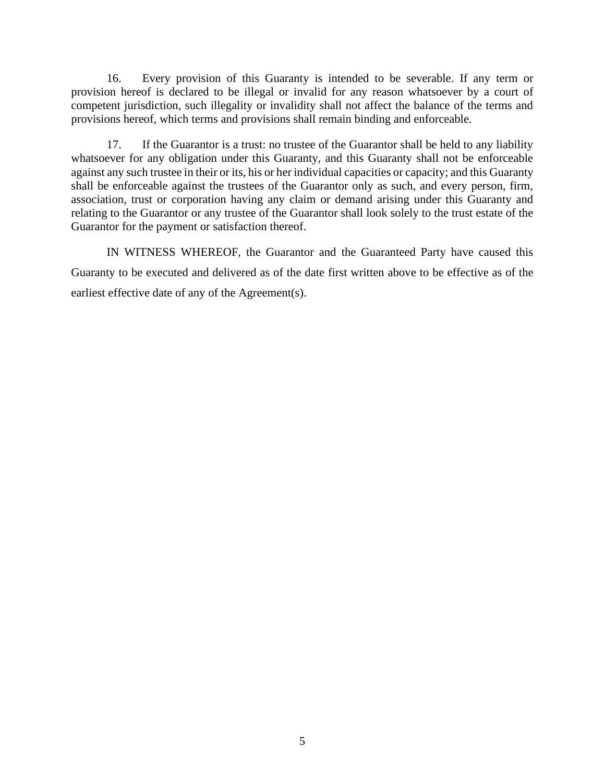16. Every provision of this Guaranty is intended to be severable. If any term or provision hereof is declared to be illegal or invalid for any reason whatsoever by a court of competent jurisdiction, such illegality or invalidity shall not affect the balance of the terms and provisions hereof, which terms and provisions shall remain binding and enforceable.

17. If the Guarantor is a trust: no trustee of the Guarantor shall be held to any liability whatsoever for any obligation under this Guaranty, and this Guaranty shall not be enforceable against any such trustee in their or its, his or her individual capacities or capacity; and this Guaranty shall be enforceable against the trustees of the Guarantor only as such, and every person, firm, association, trust or corporation having any claim or demand arising under this Guaranty and relating to the Guarantor or any trustee of the Guarantor shall look solely to the trust estate of the Guarantor for the payment or satisfaction thereof.

IN WITNESS WHEREOF, the Guarantor and the Guaranteed Party have caused this Guaranty to be executed and delivered as of the date first written above to be effective as of the earliest effective date of any of the Agreement(s).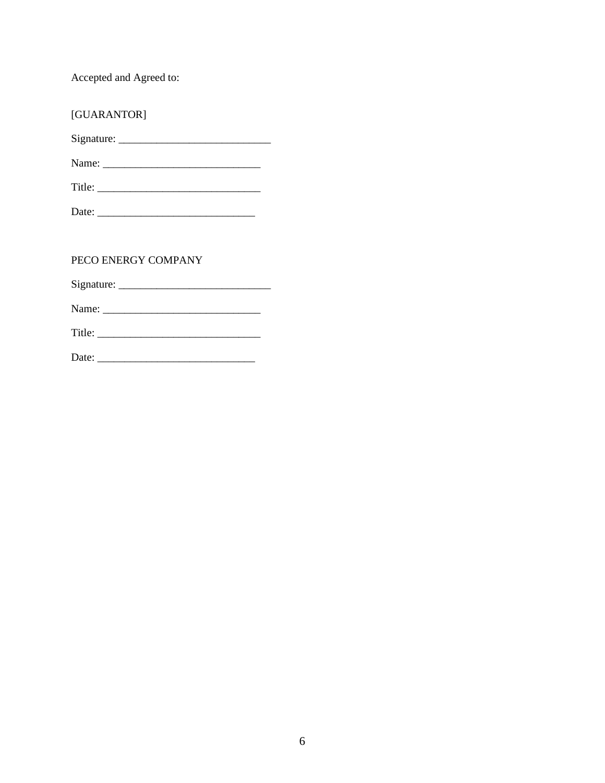Accepted and Agreed to:

| [GUARANTOR]         |
|---------------------|
|                     |
|                     |
| $\text{Title:}$     |
|                     |
|                     |
| PECO ENERGY COMPANY |
|                     |
|                     |
|                     |
|                     |